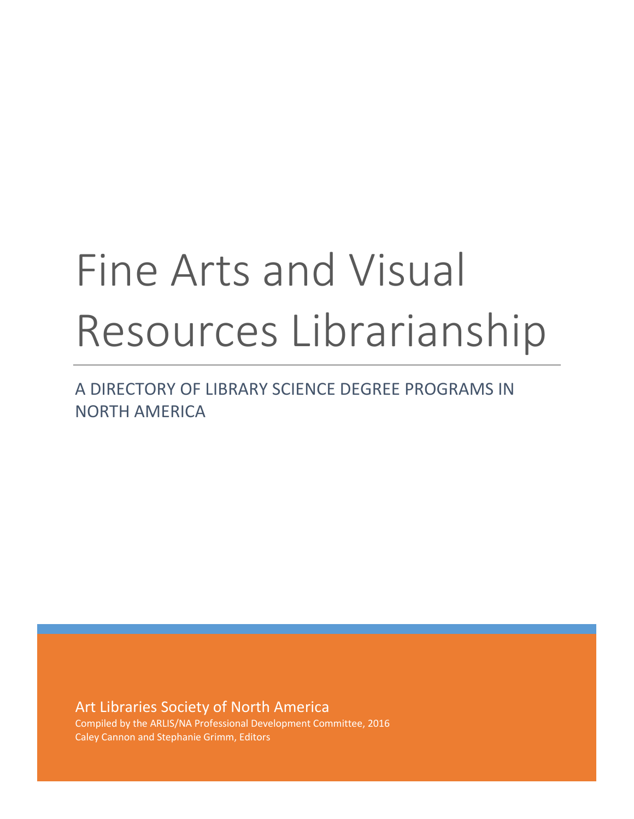# Fine Arts and Visual Resources Librarianship

A DIRECTORY OF LIBRARY SCIENCE DEGREE PROGRAMS IN NORTH AMERICA

Art Libraries Society of North America Compiled by the ARLIS/NA Professional Development Committee, 2016 Caley Cannon and Stephanie Grimm, Editors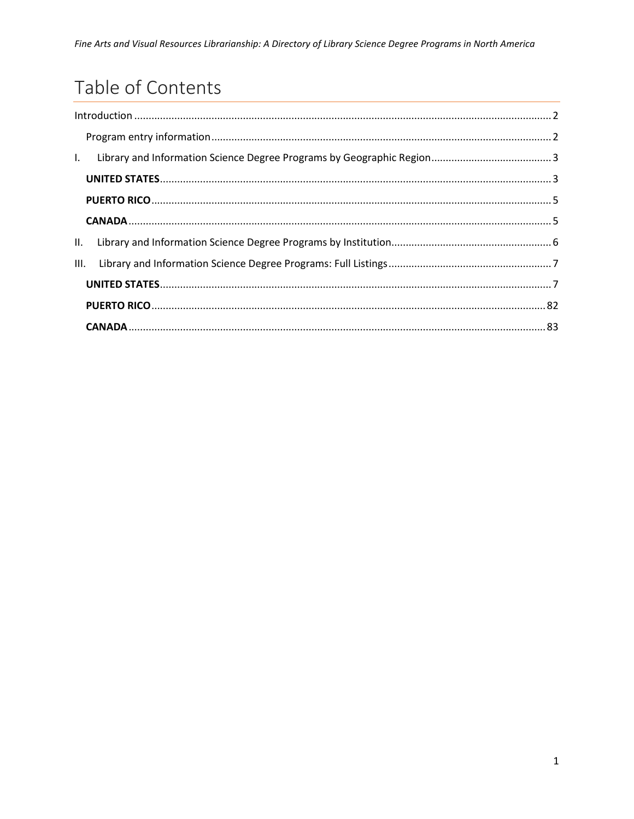# Table of Contents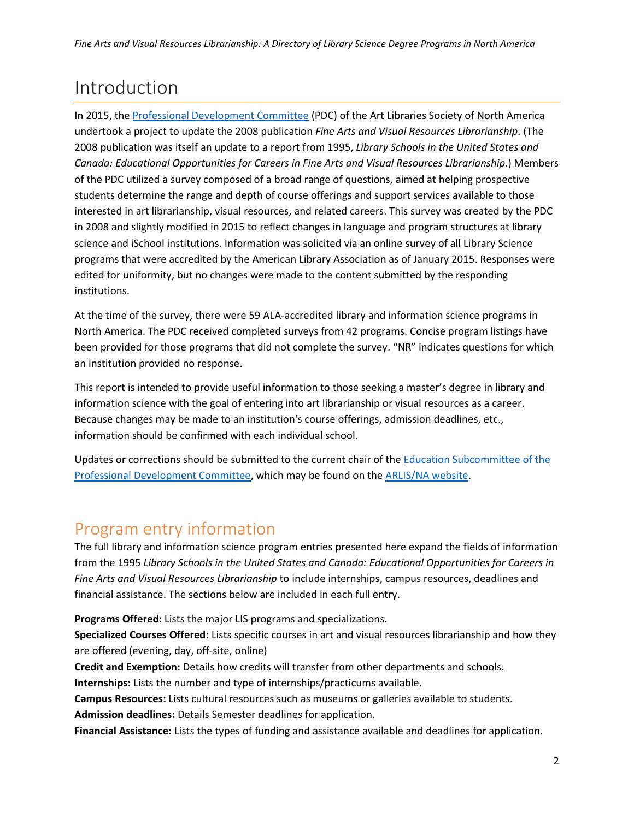# <span id="page-2-0"></span>Introduction

In 2015, the [Professional Development Committee](https://arlisna.org/organization/committees/85-professional-development-committee) (PDC) of the Art Libraries Society of North America undertook a project to update the 2008 publication *Fine Arts and Visual Resources Librarianship*. (The 2008 publication was itself an update to a report from 1995, *Library Schools in the United States and Canada: Educational Opportunities for Careers in Fine Arts and Visual Resources Librarianship*.) Members of the PDC utilized a survey composed of a broad range of questions, aimed at helping prospective students determine the range and depth of course offerings and support services available to those interested in art librarianship, visual resources, and related careers. This survey was created by the PDC in 2008 and slightly modified in 2015 to reflect changes in language and program structures at library science and iSchool institutions. Information was solicited via an online survey of all Library Science programs that were accredited by the American Library Association as of January 2015. Responses were edited for uniformity, but no changes were made to the content submitted by the responding institutions.

At the time of the survey, there were 59 ALA-accredited library and information science programs in North America. The PDC received completed surveys from 42 programs. Concise program listings have been provided for those programs that did not complete the survey. "NR" indicates questions for which an institution provided no response.

This report is intended to provide useful information to those seeking a master's degree in library and information science with the goal of entering into art librarianship or visual resources as a career. Because changes may be made to an institution's course offerings, admission deadlines, etc., information should be confirmed with each individual school.

Updates or corrections should be submitted to the current chair of the [Education Subcommittee of the](https://arlisna.org/organization/committees/85-professional-development-committee)  [Professional Development Committee,](https://arlisna.org/organization/committees/85-professional-development-committee) which may be found on the [ARLIS/NA](http://www.arlisna.org/) website.

### <span id="page-2-1"></span>Program entry information

The full library and information science program entries presented here expand the fields of information from the 1995 *Library Schools in the United States and Canada: Educational Opportunities for Careers in Fine Arts and Visual Resources Librarianship* to include internships, campus resources, deadlines and financial assistance. The sections below are included in each full entry.

**Programs Offered:** Lists the major LIS programs and specializations.

**Specialized Courses Offered:** Lists specific courses in art and visual resources librarianship and how they are offered (evening, day, off-site, online)

**Credit and Exemption:** Details how credits will transfer from other departments and schools. **Internships:** Lists the number and type of internships/practicums available.

**Campus Resources:** Lists cultural resources such as museums or galleries available to students. **Admission deadlines:** Details Semester deadlines for application.

**Financial Assistance:** Lists the types of funding and assistance available and deadlines for application.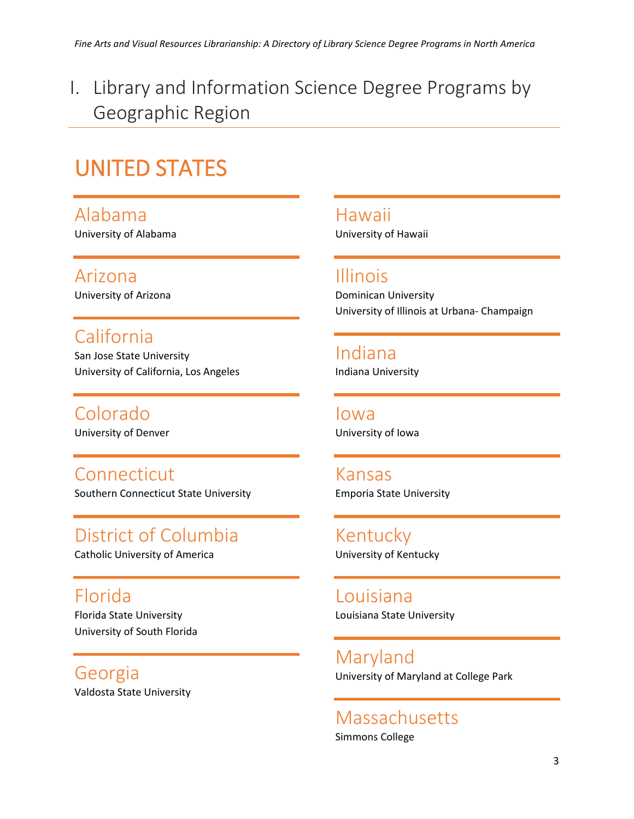<span id="page-3-0"></span>I. Library and Information Science Degree Programs by Geographic Region

# <span id="page-3-1"></span>UNITED STATES

Alabama University of Alabama

Arizona University of Arizona

California San Jose State University University of California, Los Angeles

Colorado University of Denver

Connecticut Southern Connecticut State University

District of Columbia Catholic University of America

Florida Florida State University University of South Florida

Georgia Valdosta State University Hawaii University of Hawaii

Illinois Dominican University University of Illinois at Urbana- Champaign

Indiana Indiana University

Iowa University of Iowa

Kansas Emporia State University

Kentucky University of Kentucky

Louisiana Louisiana State University

Maryland University of Maryland at College Park

Massachusetts Simmons College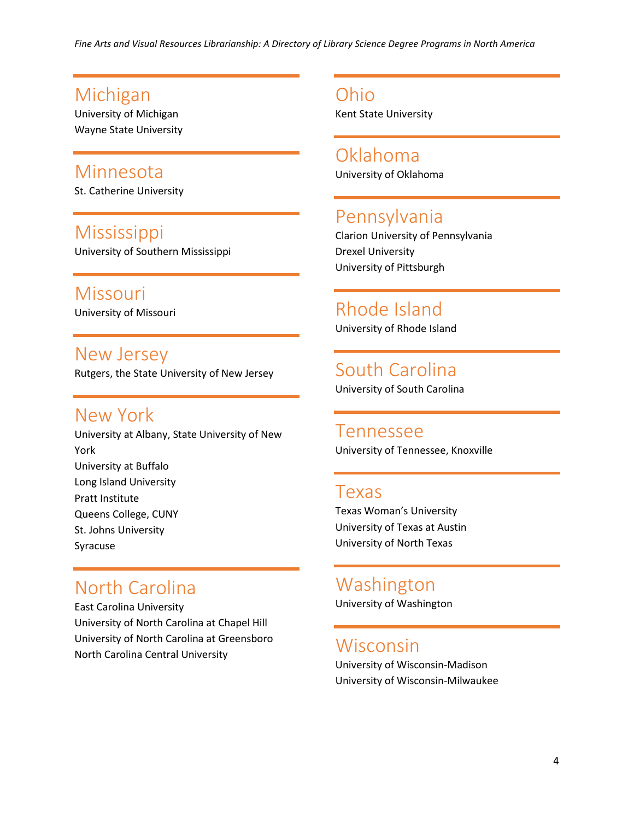### Michigan

University of Michigan Wayne State University

### Minnesota

St. Catherine University

### Mississippi University of Southern Mississippi

Missouri University of Missouri

### New Jersey

Rutgers, the State University of New Jersey

### New York

University at Albany, State University of New York University at Buffalo Long Island University Pratt Institute Queens College, CUNY St. Johns University Syracuse

### North Carolina

East Carolina University University of North Carolina at Chapel Hill University of North Carolina at Greensboro North Carolina Central University

Ohio Kent State University

Oklahoma University of Oklahoma

### Pennsylvania

Clarion University of Pennsylvania Drexel University University of Pittsburgh

# Rhode Island

University of Rhode Island

South Carolina University of South Carolina

Tennessee University of Tennessee, Knoxville

### Texas

Texas Woman's University University of Texas at Austin University of North Texas

### Washington

University of Washington

### Wisconsin

University of Wisconsin-Madison University of Wisconsin-Milwaukee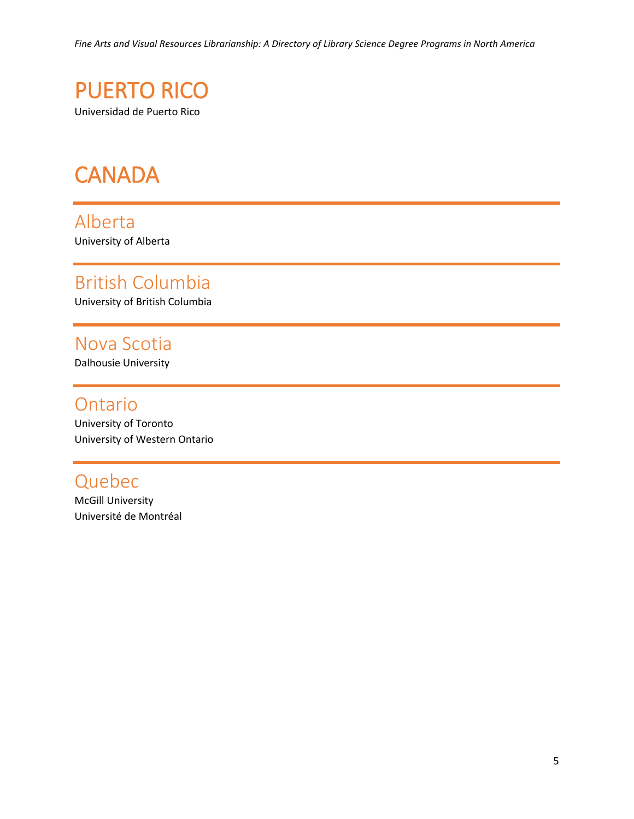<span id="page-5-0"></span>

# <span id="page-5-1"></span>**CANADA**

Alberta University of Alberta

# British Columbia

University of British Columbia

### Nova Scotia

Dalhousie University

### Ontario

University of Toronto University of Western Ontario

### Quebec

McGill University Université de Montréal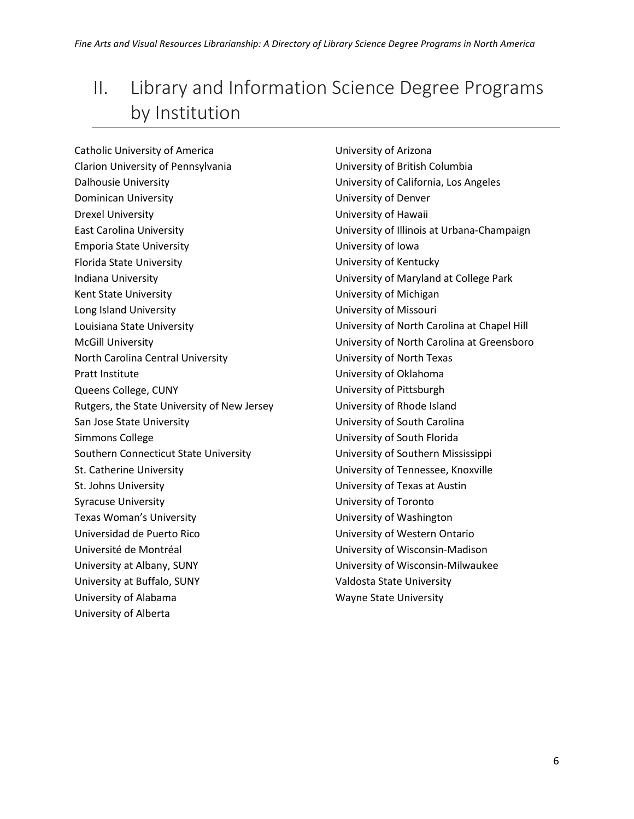# <span id="page-6-0"></span>II. Library and Information Science Degree Programs by Institution

Catholic University of America Clarion University of Pennsylvania Dalhousie University Dominican University Drexel University East Carolina University Emporia State University Florida State University Indiana University Kent State University Long Island University Louisiana State University McGill University North Carolina Central University Pratt Institute Queens College, CUNY Rutgers, the State University of New Jersey San Jose State University Simmons College Southern Connecticut State University St. Catherine University St. Johns University Syracuse University Texas Woman's University Universidad de Puerto Rico Université de Montréal University at Albany, SUNY University at Buffalo, SUNY University of Alabama University of Alberta

University of Arizona University of British Columbia University of California, Los Angeles University of Denver University of Hawaii University of Illinois at Urbana-Champaign University of Iowa University of Kentucky University of Maryland at College Park University of Michigan University of Missouri University of North Carolina at Chapel Hill University of North Carolina at Greensboro University of North Texas University of Oklahoma University of Pittsburgh University of Rhode Island University of South Carolina University of South Florida University of Southern Mississippi University of Tennessee, Knoxville University of Texas at Austin University of Toronto University of Washington University of Western Ontario University of Wisconsin-Madison University of Wisconsin-Milwaukee Valdosta State University Wayne State University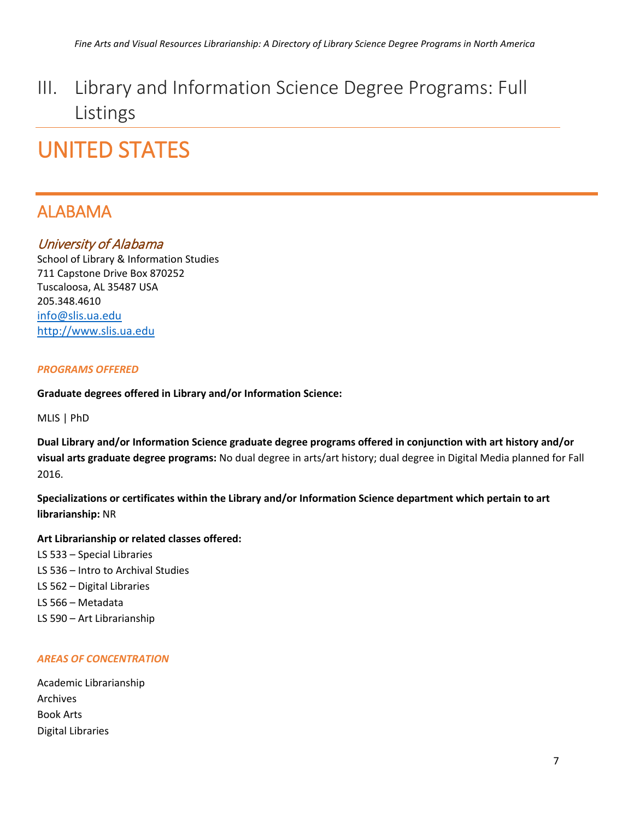# <span id="page-7-0"></span>III. Library and Information Science Degree Programs: Full Listings

# <span id="page-7-1"></span>UNITED STATES

### ALABAMA

#### University of Alabama

School of Library & Information Studies 711 Capstone Drive Box 870252 Tuscaloosa, AL 35487 USA 205.348.4610 [info@slis.ua.edu](mailto:info@slis.ua.edu) [http://www.slis.ua.edu](http://www.slis.ua.edu/)

#### *PROGRAMS OFFERED*

#### **Graduate degrees offered in Library and/or Information Science:**

MLIS | PhD

**Dual Library and/or Information Science graduate degree programs offered in conjunction with art history and/or visual arts graduate degree programs:** No dual degree in arts/art history; dual degree in Digital Media planned for Fall 2016.

**Specializations or certificates within the Library and/or Information Science department which pertain to art librarianship:** NR

#### **Art Librarianship or related classes offered:**

LS 533 – Special Libraries LS 536 – Intro to Archival Studies LS 562 – Digital Libraries LS 566 – Metadata LS 590 – Art Librarianship

#### *AREAS OF CONCENTRATION*

| Academic Librarianship |
|------------------------|
| Archives               |
| <b>Book Arts</b>       |
| Digital Libraries      |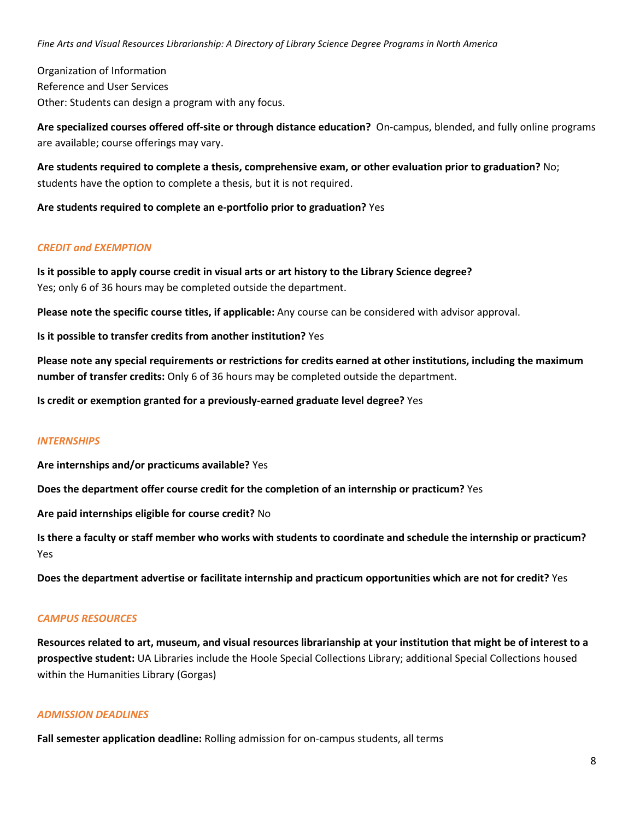Organization of Information Reference and User Services Other: Students can design a program with any focus.

**Are specialized courses offered off-site or through distance education?** On-campus, blended, and fully online programs are available; course offerings may vary.

**Are students required to complete a thesis, comprehensive exam, or other evaluation prior to graduation?** No; students have the option to complete a thesis, but it is not required.

**Are students required to complete an e-portfolio prior to graduation?** Yes

#### *CREDIT and EXEMPTION*

**Is it possible to apply course credit in visual arts or art history to the Library Science degree?** Yes; only 6 of 36 hours may be completed outside the department.

**Please note the specific course titles, if applicable:** Any course can be considered with advisor approval.

**Is it possible to transfer credits from another institution?** Yes

**Please note any special requirements or restrictions for credits earned at other institutions, including the maximum number of transfer credits:** Only 6 of 36 hours may be completed outside the department.

**Is credit or exemption granted for a previously-earned graduate level degree?** Yes

#### *INTERNSHIPS*

**Are internships and/or practicums available?** Yes

**Does the department offer course credit for the completion of an internship or practicum?** Yes

**Are paid internships eligible for course credit?** No

**Is there a faculty or staff member who works with students to coordinate and schedule the internship or practicum?** Yes

**Does the department advertise or facilitate internship and practicum opportunities which are not for credit?** Yes

#### *CAMPUS RESOURCES*

**Resources related to art, museum, and visual resources librarianship at your institution that might be of interest to a prospective student:** UA Libraries include the Hoole Special Collections Library; additional Special Collections housed within the Humanities Library (Gorgas)

#### *ADMISSION DEADLINES*

**Fall semester application deadline:** Rolling admission for on-campus students, all terms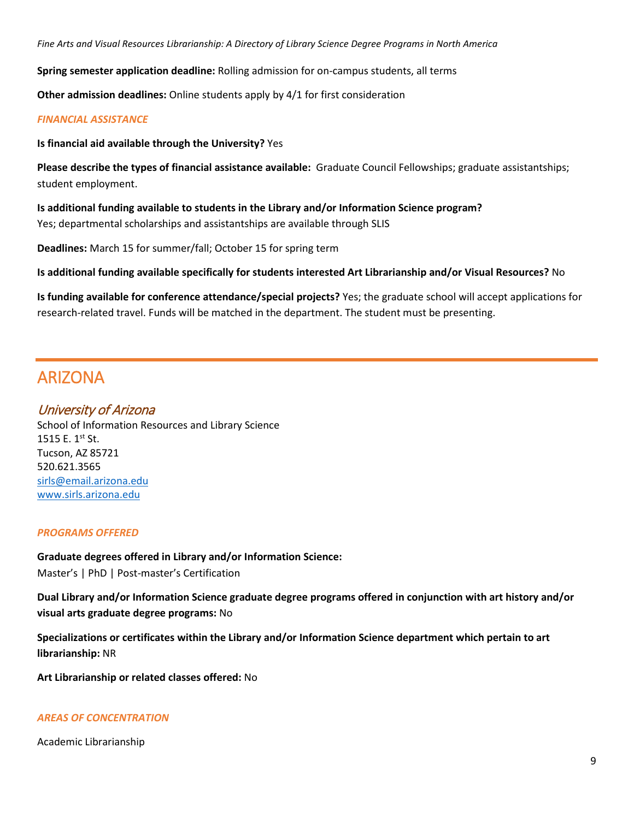**Spring semester application deadline:** Rolling admission for on-campus students, all terms

**Other admission deadlines:** Online students apply by 4/1 for first consideration

#### *FINANCIAL ASSISTANCE*

**Is financial aid available through the University?** Yes

**Please describe the types of financial assistance available:** Graduate Council Fellowships; graduate assistantships; student employment.

**Is additional funding available to students in the Library and/or Information Science program?** Yes; departmental scholarships and assistantships are available through SLIS

**Deadlines:** March 15 for summer/fall; October 15 for spring term

**Is additional funding available specifically for students interested Art Librarianship and/or Visual Resources?** No

**Is funding available for conference attendance/special projects?** Yes; the graduate school will accept applications for research-related travel. Funds will be matched in the department. The student must be presenting.

### ARIZONA

#### University of Arizona

School of Information Resources and Library Science 1515 E.  $1^{st}$  St. Tucson, AZ 85721 520.621.3565 [sirls@email.arizona.edu](mailto:sirls@email.arizona.edu) [www.sirls.arizona.edu](http://www.sirls.arizona.edu/)

#### *PROGRAMS OFFERED*

**Graduate degrees offered in Library and/or Information Science:** Master's | PhD | Post-master's Certification

**Dual Library and/or Information Science graduate degree programs offered in conjunction with art history and/or visual arts graduate degree programs:** No

**Specializations or certificates within the Library and/or Information Science department which pertain to art librarianship:** NR

**Art Librarianship or related classes offered:** No

#### *AREAS OF CONCENTRATION*

Academic Librarianship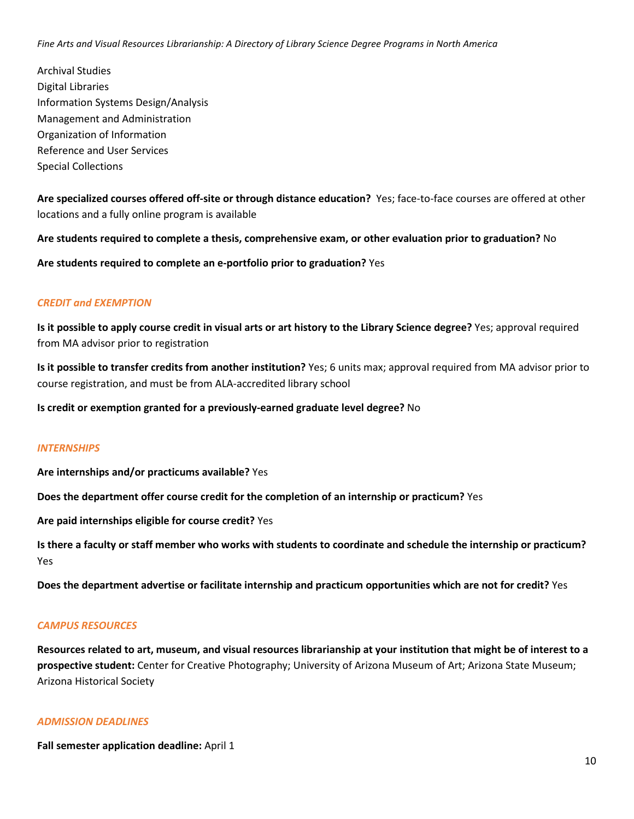Archival Studies Digital Libraries Information Systems Design/Analysis Management and Administration Organization of Information Reference and User Services Special Collections

**Are specialized courses offered off-site or through distance education?** Yes; face-to-face courses are offered at other locations and a fully online program is available

**Are students required to complete a thesis, comprehensive exam, or other evaluation prior to graduation?** No

**Are students required to complete an e-portfolio prior to graduation?** Yes

#### *CREDIT and EXEMPTION*

**Is it possible to apply course credit in visual arts or art history to the Library Science degree?** Yes; approval required from MA advisor prior to registration

**Is it possible to transfer credits from another institution?** Yes; 6 units max; approval required from MA advisor prior to course registration, and must be from ALA-accredited library school

**Is credit or exemption granted for a previously-earned graduate level degree?** No

#### *INTERNSHIPS*

**Are internships and/or practicums available?** Yes

**Does the department offer course credit for the completion of an internship or practicum?** Yes

**Are paid internships eligible for course credit?** Yes

**Is there a faculty or staff member who works with students to coordinate and schedule the internship or practicum?** Yes

**Does the department advertise or facilitate internship and practicum opportunities which are not for credit?** Yes

#### *CAMPUS RESOURCES*

**Resources related to art, museum, and visual resources librarianship at your institution that might be of interest to a prospective student:** Center for Creative Photography; University of Arizona Museum of Art; Arizona State Museum; Arizona Historical Society

#### *ADMISSION DEADLINES*

**Fall semester application deadline:** April 1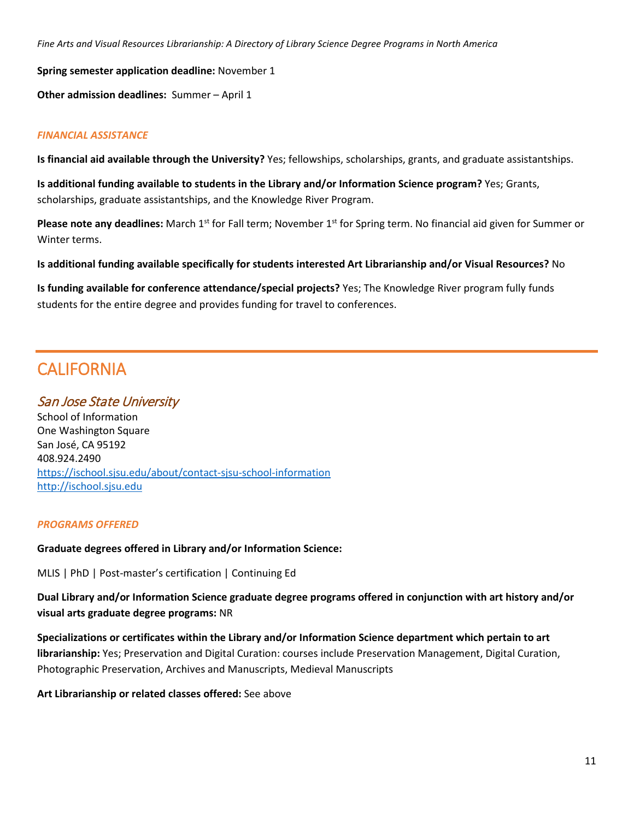**Spring semester application deadline:** November 1

**Other admission deadlines:** Summer – April 1

#### *FINANCIAL ASSISTANCE*

**Is financial aid available through the University?** Yes; fellowships, scholarships, grants, and graduate assistantships.

**Is additional funding available to students in the Library and/or Information Science program?** Yes; Grants, scholarships, graduate assistantships, and the Knowledge River Program.

**Please note any deadlines:** March 1<sup>st</sup> for Fall term; November 1<sup>st</sup> for Spring term. No financial aid given for Summer or Winter terms.

**Is additional funding available specifically for students interested Art Librarianship and/or Visual Resources?** No

**Is funding available for conference attendance/special projects?** Yes; The Knowledge River program fully funds students for the entire degree and provides funding for travel to conferences.

### **CALIFORNIA**

San Jose State University

School of Information One Washington Square San José, CA 95192 408.924.2490 <https://ischool.sjsu.edu/about/contact-sjsu-school-information> [http://ischool.sjsu.edu](http://ischool.sjsu.edu/)

#### *PROGRAMS OFFERED*

**Graduate degrees offered in Library and/or Information Science:**

MLIS | PhD | Post-master's certification | Continuing Ed

**Dual Library and/or Information Science graduate degree programs offered in conjunction with art history and/or visual arts graduate degree programs:** NR

**Specializations or certificates within the Library and/or Information Science department which pertain to art librarianship:** Yes; Preservation and Digital Curation: courses include Preservation Management, Digital Curation, Photographic Preservation, Archives and Manuscripts, Medieval Manuscripts

**Art Librarianship or related classes offered:** See above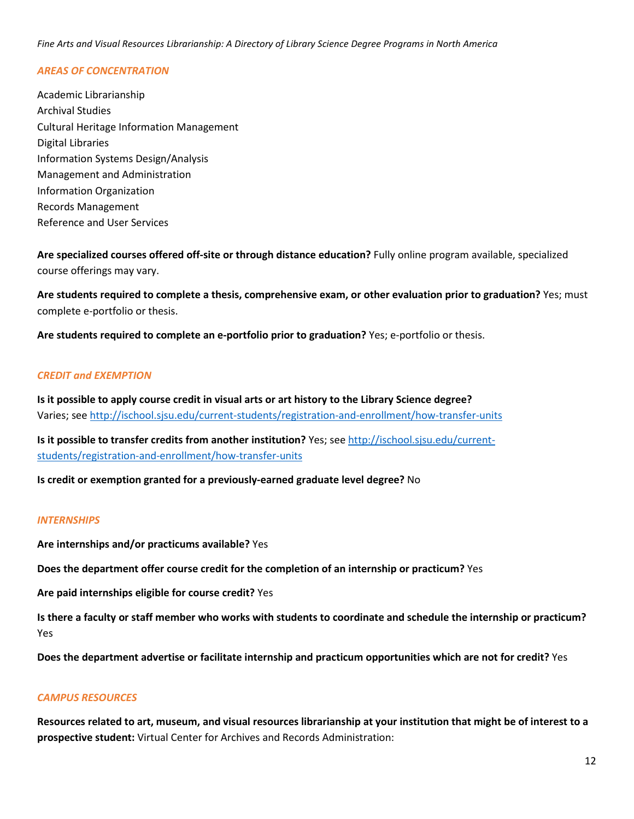#### *AREAS OF CONCENTRATION*

Academic Librarianship Archival Studies Cultural Heritage Information Management Digital Libraries Information Systems Design/Analysis Management and Administration Information Organization Records Management Reference and User Services

**Are specialized courses offered off-site or through distance education?** Fully online program available, specialized course offerings may vary.

**Are students required to complete a thesis, comprehensive exam, or other evaluation prior to graduation?** Yes; must complete e-portfolio or thesis.

**Are students required to complete an e-portfolio prior to graduation?** Yes; e-portfolio or thesis.

#### *CREDIT and EXEMPTION*

**Is it possible to apply course credit in visual arts or art history to the Library Science degree?**  Varies; see<http://ischool.sjsu.edu/current-students/registration-and-enrollment/how-transfer-units>

**Is it possible to transfer credits from another institution?** Yes; see [http://ischool.sjsu.edu/current](http://ischool.sjsu.edu/current-students/registration-and-enrollment/how-transfer-units)[students/registration-and-enrollment/how-transfer-units](http://ischool.sjsu.edu/current-students/registration-and-enrollment/how-transfer-units)

**Is credit or exemption granted for a previously-earned graduate level degree?** No

#### *INTERNSHIPS*

**Are internships and/or practicums available?** Yes

**Does the department offer course credit for the completion of an internship or practicum?** Yes

**Are paid internships eligible for course credit?** Yes

**Is there a faculty or staff member who works with students to coordinate and schedule the internship or practicum?** Yes

**Does the department advertise or facilitate internship and practicum opportunities which are not for credit?** Yes

#### *CAMPUS RESOURCES*

**Resources related to art, museum, and visual resources librarianship at your institution that might be of interest to a prospective student:** Virtual Center for Archives and Records Administration: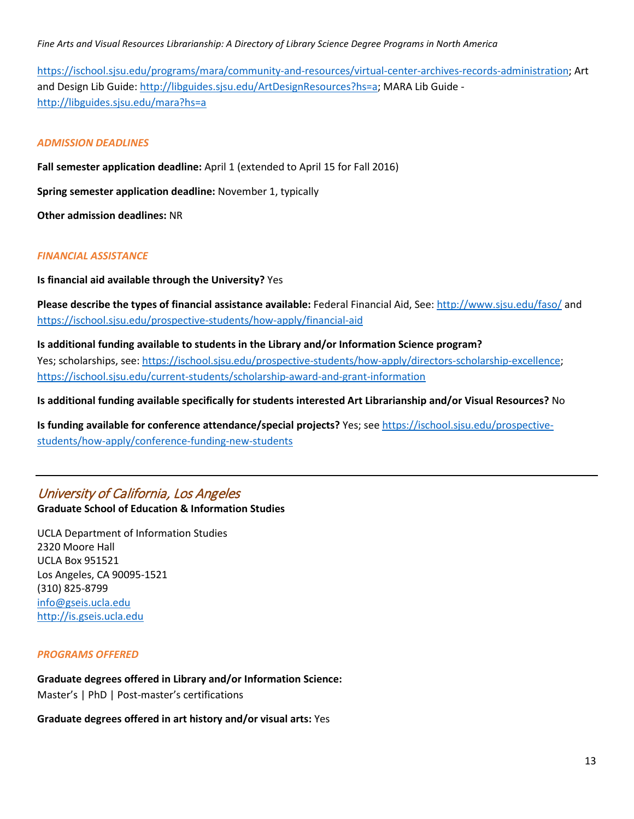[https://ischool.sjsu.edu/programs/mara/community-and-resources/virtual-center-archives-records-administration;](https://ischool.sjsu.edu/programs/mara/community-and-resources/virtual-center-archives-records-administration) Art and Design Lib Guide: [http://libguides.sjsu.edu/ArtDesignResources?hs=a;](http://libguides.sjsu.edu/ArtDesignResources?hs=a) MARA Lib Guide <http://libguides.sjsu.edu/mara?hs=a>

#### *ADMISSION DEADLINES*

**Fall semester application deadline:** April 1 (extended to April 15 for Fall 2016)

**Spring semester application deadline:** November 1, typically

**Other admission deadlines:** NR

#### *FINANCIAL ASSISTANCE*

**Is financial aid available through the University?** Yes

**Please describe the types of financial assistance available:** Federal Financial Aid, See:<http://www.sjsu.edu/faso/> and <https://ischool.sjsu.edu/prospective-students/how-apply/financial-aid>

**Is additional funding available to students in the Library and/or Information Science program?** Yes; scholarships, see: [https://ischool.sjsu.edu/prospective-students/how-apply/directors-scholarship-excellence;](https://ischool.sjsu.edu/prospective-students/how-apply/directors-scholarship-excellence) <https://ischool.sjsu.edu/current-students/scholarship-award-and-grant-information>

**Is additional funding available specifically for students interested Art Librarianship and/or Visual Resources?** No

**Is funding available for conference attendance/special projects?** Yes; see [https://ischool.sjsu.edu/prospective](https://ischool.sjsu.edu/prospective-students/how-apply/conference-funding-new-students)[students/how-apply/conference-funding-new-students](https://ischool.sjsu.edu/prospective-students/how-apply/conference-funding-new-students)

#### University of California, Los Angeles

#### **Graduate School of Education & Information Studies**

UCLA Department of Information Studies 2320 Moore Hall UCLA Box 951521 Los Angeles, CA 90095-1521 (310) 825-8799 [info@gseis.ucla.edu](mailto:info@gseis.ucla.edu) [http://is.gseis.ucla.edu](http://is.gseis.ucla.edu/)

#### *PROGRAMS OFFERED*

**Graduate degrees offered in Library and/or Information Science:**

Master's | PhD | Post-master's certifications

**Graduate degrees offered in art history and/or visual arts:** Yes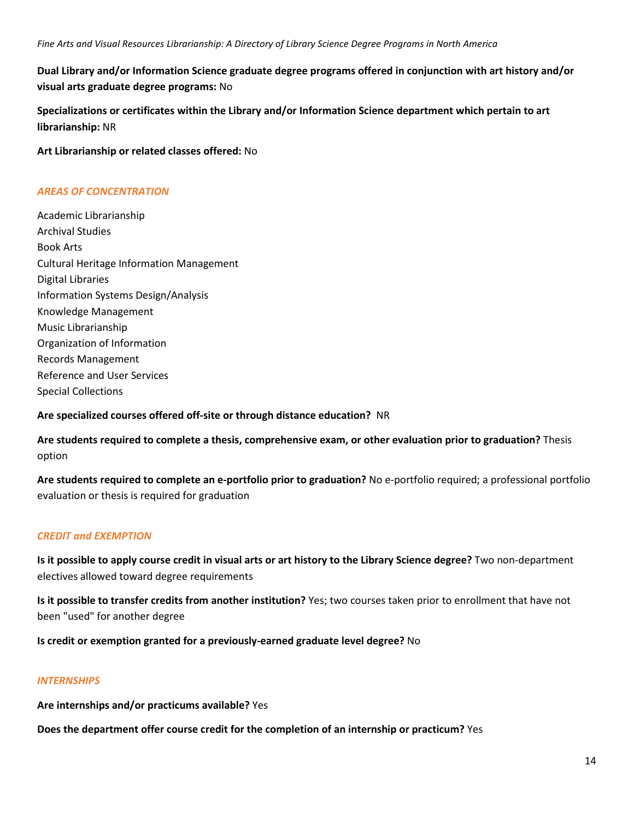**Dual Library and/or Information Science graduate degree programs offered in conjunction with art history and/or visual arts graduate degree programs:** No

**Specializations or certificates within the Library and/or Information Science department which pertain to art librarianship:** NR

**Art Librarianship or related classes offered:** No

#### *AREAS OF CONCENTRATION*

Academic Librarianship Archival Studies Book Arts Cultural Heritage Information Management Digital Libraries Information Systems Design/Analysis Knowledge Management Music Librarianship Organization of Information Records Management Reference and User Services Special Collections

**Are specialized courses offered off-site or through distance education?** NR

**Are students required to complete a thesis, comprehensive exam, or other evaluation prior to graduation?** Thesis option

**Are students required to complete an e-portfolio prior to graduation?** No e-portfolio required; a professional portfolio evaluation or thesis is required for graduation

#### *CREDIT and EXEMPTION*

**Is it possible to apply course credit in visual arts or art history to the Library Science degree?** Two non-department electives allowed toward degree requirements

**Is it possible to transfer credits from another institution?** Yes; two courses taken prior to enrollment that have not been "used" for another degree

**Is credit or exemption granted for a previously-earned graduate level degree?** No

#### *INTERNSHIPS*

**Are internships and/or practicums available?** Yes

**Does the department offer course credit for the completion of an internship or practicum?** Yes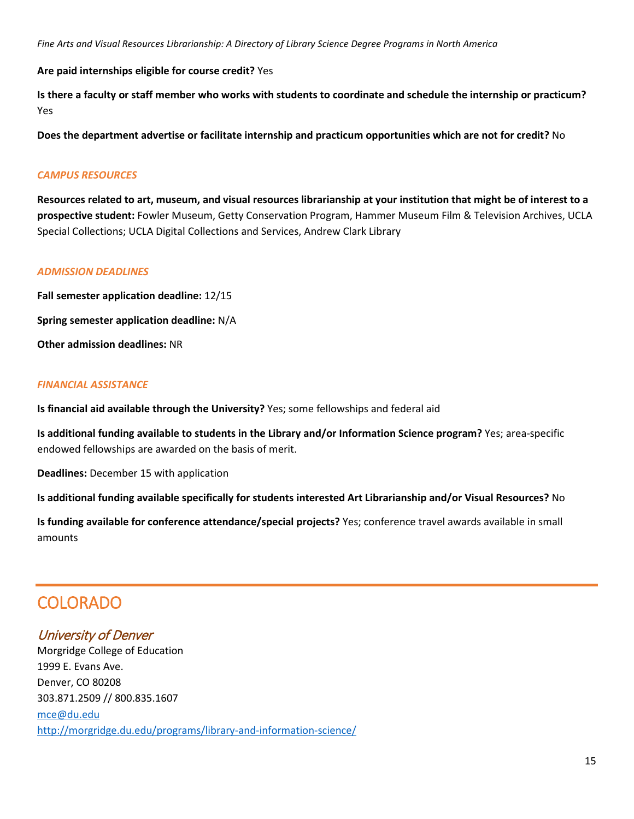**Are paid internships eligible for course credit?** Yes

**Is there a faculty or staff member who works with students to coordinate and schedule the internship or practicum?** Yes

**Does the department advertise or facilitate internship and practicum opportunities which are not for credit?** No

#### *CAMPUS RESOURCES*

**Resources related to art, museum, and visual resources librarianship at your institution that might be of interest to a prospective student:** Fowler Museum, Getty Conservation Program, Hammer Museum Film & Television Archives, UCLA Special Collections; UCLA Digital Collections and Services, Andrew Clark Library

#### *ADMISSION DEADLINES*

**Fall semester application deadline:** 12/15 **Spring semester application deadline:** N/A **Other admission deadlines:** NR

#### *FINANCIAL ASSISTANCE*

**Is financial aid available through the University?** Yes; some fellowships and federal aid

**Is additional funding available to students in the Library and/or Information Science program?** Yes; area-specific endowed fellowships are awarded on the basis of merit.

**Deadlines:** December 15 with application

**Is additional funding available specifically for students interested Art Librarianship and/or Visual Resources?** No

**Is funding available for conference attendance/special projects?** Yes; conference travel awards available in small amounts

### COLORADO

### University of Denver

Morgridge College of Education 1999 E. Evans Ave. Denver, CO 80208 303.871.2509 // 800.835.1607 [mce@du.edu](mailto:mce@du.edu)  <http://morgridge.du.edu/programs/library-and-information-science/>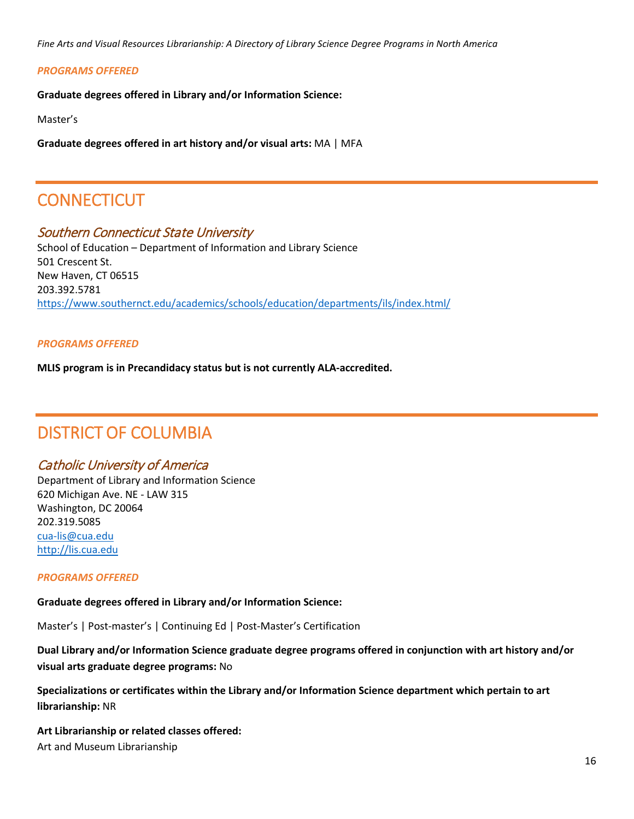#### *PROGRAMS OFFERED*

**Graduate degrees offered in Library and/or Information Science:**

Master's

**Graduate degrees offered in art history and/or visual arts:** MA | MFA

### **CONNECTICUT**

#### Southern Connecticut State University

School of Education – Department of Information and Library Science 501 Crescent St. New Haven, CT 06515 203.392.5781 <https://www.southernct.edu/academics/schools/education/departments/ils/index.html/>

#### *PROGRAMS OFFERED*

**MLIS program is in Precandidacy status but is not currently ALA-accredited.**

### DISTRICT OF COLUMBIA

#### Catholic University of America

Department of Library and Information Science 620 Michigan Ave. NE - LAW 315 Washington, DC 20064 202.319.5085 [cua-lis@cua.edu](mailto:cua-lis@cua.edu) [http://lis.cua.edu](http://lis.cua.edu/)

#### *PROGRAMS OFFERED*

#### **Graduate degrees offered in Library and/or Information Science:**

Master's | Post-master's | Continuing Ed | Post-Master's Certification

#### **Dual Library and/or Information Science graduate degree programs offered in conjunction with art history and/or visual arts graduate degree programs:** No

**Specializations or certificates within the Library and/or Information Science department which pertain to art librarianship:** NR

**Art Librarianship or related classes offered:** Art and Museum Librarianship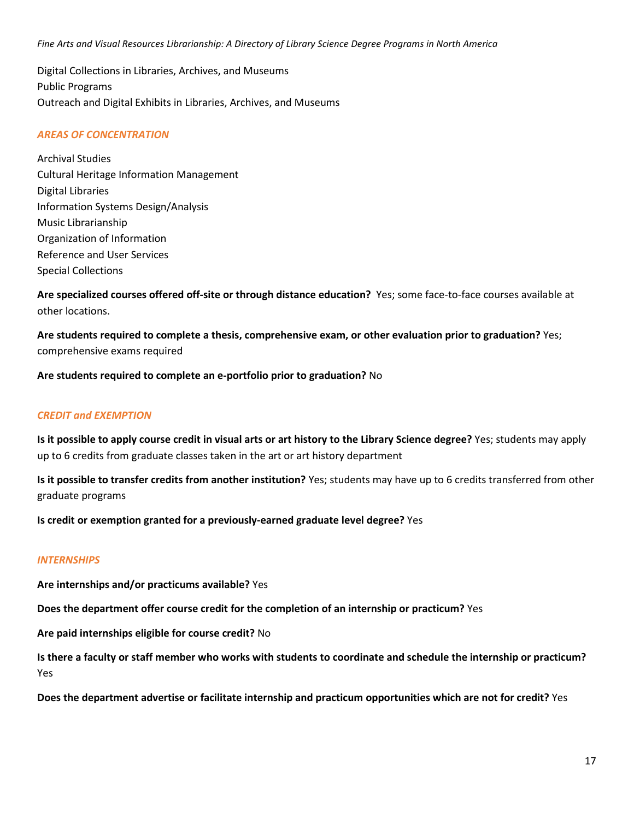Digital Collections in Libraries, Archives, and Museums Public Programs Outreach and Digital Exhibits in Libraries, Archives, and Museums

#### *AREAS OF CONCENTRATION*

Archival Studies Cultural Heritage Information Management Digital Libraries Information Systems Design/Analysis Music Librarianship Organization of Information Reference and User Services Special Collections

**Are specialized courses offered off-site or through distance education?** Yes; some face-to-face courses available at other locations.

**Are students required to complete a thesis, comprehensive exam, or other evaluation prior to graduation?** Yes; comprehensive exams required

**Are students required to complete an e-portfolio prior to graduation?** No

#### *CREDIT and EXEMPTION*

**Is it possible to apply course credit in visual arts or art history to the Library Science degree?** Yes; students may apply up to 6 credits from graduate classes taken in the art or art history department

**Is it possible to transfer credits from another institution?** Yes; students may have up to 6 credits transferred from other graduate programs

**Is credit or exemption granted for a previously-earned graduate level degree?** Yes

#### *INTERNSHIPS*

**Are internships and/or practicums available?** Yes

**Does the department offer course credit for the completion of an internship or practicum?** Yes

**Are paid internships eligible for course credit?** No

**Is there a faculty or staff member who works with students to coordinate and schedule the internship or practicum?** Yes

**Does the department advertise or facilitate internship and practicum opportunities which are not for credit?** Yes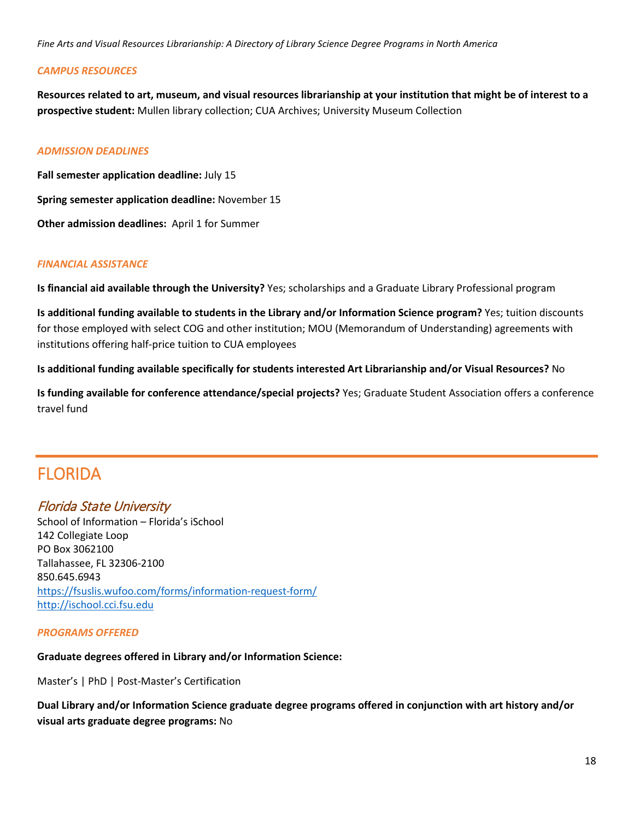#### *CAMPUS RESOURCES*

**Resources related to art, museum, and visual resources librarianship at your institution that might be of interest to a prospective student:** Mullen library collection; CUA Archives; University Museum Collection

#### *ADMISSION DEADLINES*

**Fall semester application deadline:** July 15 **Spring semester application deadline:** November 15 **Other admission deadlines:** April 1 for Summer

#### *FINANCIAL ASSISTANCE*

**Is financial aid available through the University?** Yes; scholarships and a Graduate Library Professional program

**Is additional funding available to students in the Library and/or Information Science program?** Yes; tuition discounts for those employed with select COG and other institution; MOU (Memorandum of Understanding) agreements with institutions offering half-price tuition to CUA employees

**Is additional funding available specifically for students interested Art Librarianship and/or Visual Resources?** No

**Is funding available for conference attendance/special projects?** Yes; Graduate Student Association offers a conference travel fund

### FLORIDA

#### Florida State University

School of Information – Florida's iSchool 142 Collegiate Loop PO Box 3062100 Tallahassee, FL 32306-2100 850.645.6943 <https://fsuslis.wufoo.com/forms/information-request-form/> [http://ischool.cci.fsu.edu](http://ischool.cci.fsu.edu/)

#### *PROGRAMS OFFERED*

#### **Graduate degrees offered in Library and/or Information Science:**

Master's | PhD | Post-Master's Certification

**Dual Library and/or Information Science graduate degree programs offered in conjunction with art history and/or visual arts graduate degree programs:** No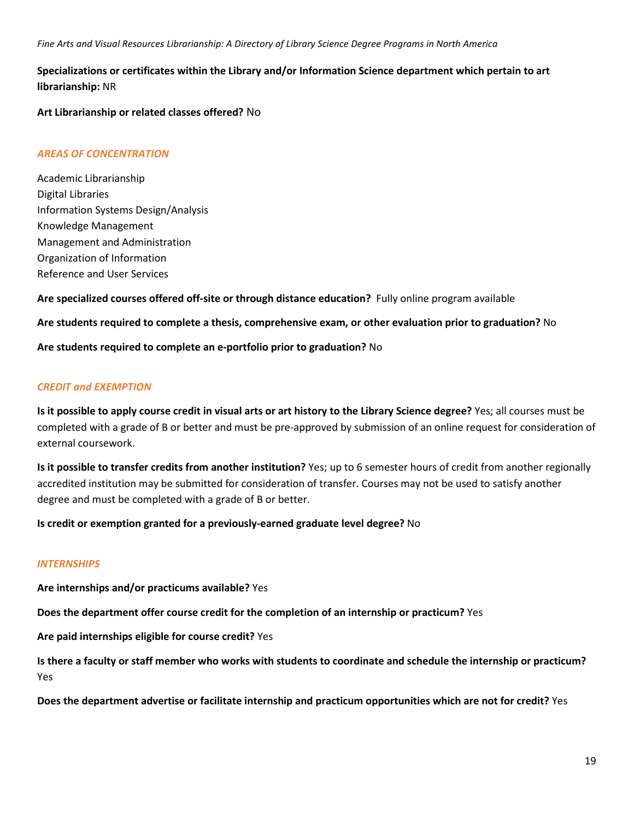#### **Specializations or certificates within the Library and/or Information Science department which pertain to art librarianship:** NR

**Art Librarianship or related classes offered?** No

#### *AREAS OF CONCENTRATION*

Academic Librarianship Digital Libraries Information Systems Design/Analysis Knowledge Management Management and Administration Organization of Information Reference and User Services

**Are specialized courses offered off-site or through distance education?** Fully online program available

**Are students required to complete a thesis, comprehensive exam, or other evaluation prior to graduation?** No

**Are students required to complete an e-portfolio prior to graduation?** No

#### *CREDIT and EXEMPTION*

**Is it possible to apply course credit in visual arts or art history to the Library Science degree?** Yes; all courses must be completed with a grade of B or better and must be pre-approved by submission of an online request for consideration of external coursework.

**Is it possible to transfer credits from another institution?** Yes; up to 6 semester hours of credit from another regionally accredited institution may be submitted for consideration of transfer. Courses may not be used to satisfy another degree and must be completed with a grade of B or better.

**Is credit or exemption granted for a previously-earned graduate level degree?** No

#### *INTERNSHIPS*

**Are internships and/or practicums available?** Yes

**Does the department offer course credit for the completion of an internship or practicum?** Yes

**Are paid internships eligible for course credit?** Yes

**Is there a faculty or staff member who works with students to coordinate and schedule the internship or practicum?** Yes

**Does the department advertise or facilitate internship and practicum opportunities which are not for credit?** Yes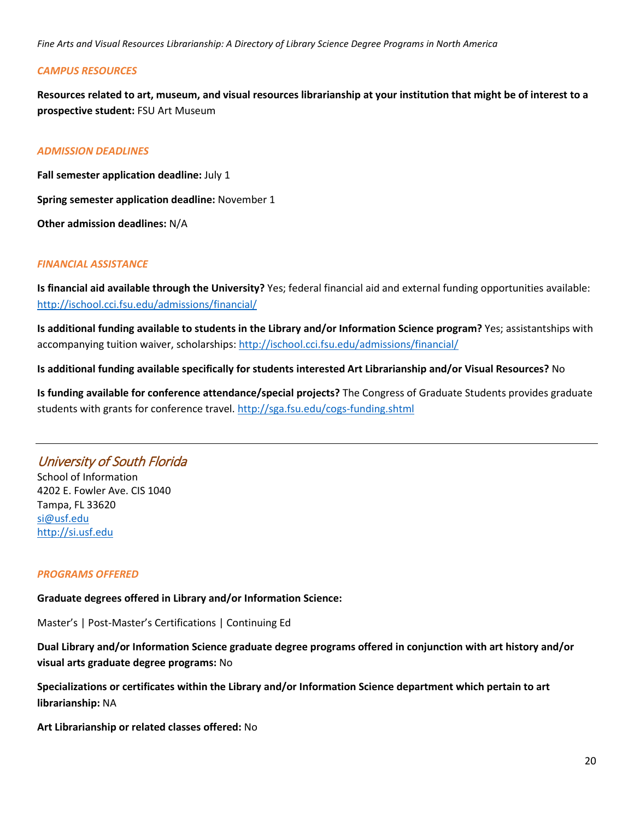#### *CAMPUS RESOURCES*

**Resources related to art, museum, and visual resources librarianship at your institution that might be of interest to a prospective student:** FSU Art Museum

#### *ADMISSION DEADLINES*

**Fall semester application deadline:** July 1 **Spring semester application deadline:** November 1 **Other admission deadlines:** N/A

#### *FINANCIAL ASSISTANCE*

**Is financial aid available through the University?** Yes; federal financial aid and external funding opportunities available: <http://ischool.cci.fsu.edu/admissions/financial/>

**Is additional funding available to students in the Library and/or Information Science program?** Yes; assistantships with accompanying tuition waiver, scholarships[: http://ischool.cci.fsu.edu/admissions/financial/](http://ischool.cci.fsu.edu/admissions/financial/)

#### **Is additional funding available specifically for students interested Art Librarianship and/or Visual Resources?** No

**Is funding available for conference attendance/special projects?** The Congress of Graduate Students provides graduate students with grants for conference travel[. http://sga.fsu.edu/cogs-funding.shtml](http://sga.fsu.edu/cogs-funding.shtml)

#### University of South Florida

School of Information 4202 E. Fowler Ave. CIS 1040 Tampa, FL 33620 [si@usf.edu](mailto:si@usf.edu) [http://si.usf.edu](http://si.usf.edu/)

#### *PROGRAMS OFFERED*

**Graduate degrees offered in Library and/or Information Science:**

Master's | Post-Master's Certifications | Continuing Ed

#### **Dual Library and/or Information Science graduate degree programs offered in conjunction with art history and/or visual arts graduate degree programs:** No

**Specializations or certificates within the Library and/or Information Science department which pertain to art librarianship:** NA

**Art Librarianship or related classes offered:** No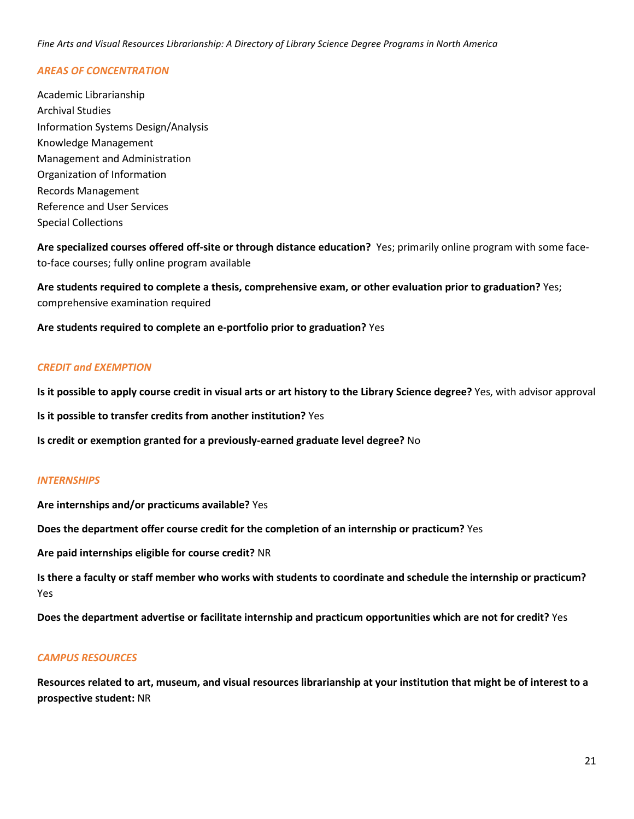#### *AREAS OF CONCENTRATION*

Academic Librarianship Archival Studies Information Systems Design/Analysis Knowledge Management Management and Administration Organization of Information Records Management Reference and User Services Special Collections

**Are specialized courses offered off-site or through distance education?** Yes; primarily online program with some faceto-face courses; fully online program available

**Are students required to complete a thesis, comprehensive exam, or other evaluation prior to graduation?** Yes; comprehensive examination required

**Are students required to complete an e-portfolio prior to graduation?** Yes

#### *CREDIT and EXEMPTION*

**Is it possible to apply course credit in visual arts or art history to the Library Science degree?** Yes, with advisor approval

**Is it possible to transfer credits from another institution?** Yes

**Is credit or exemption granted for a previously-earned graduate level degree?** No

#### *INTERNSHIPS*

**Are internships and/or practicums available?** Yes

**Does the department offer course credit for the completion of an internship or practicum?** Yes

**Are paid internships eligible for course credit?** NR

**Is there a faculty or staff member who works with students to coordinate and schedule the internship or practicum?** Yes

**Does the department advertise or facilitate internship and practicum opportunities which are not for credit?** Yes

#### *CAMPUS RESOURCES*

**Resources related to art, museum, and visual resources librarianship at your institution that might be of interest to a prospective student:** NR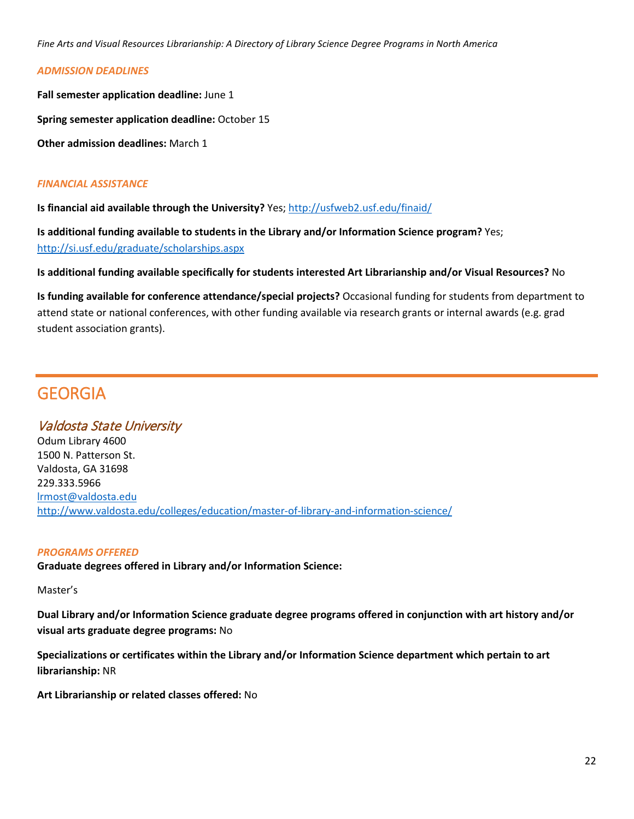#### *ADMISSION DEADLINES*

**Fall semester application deadline:** June 1 **Spring semester application deadline:** October 15

**Other admission deadlines:** March 1

#### *FINANCIAL ASSISTANCE*

**Is financial aid available through the University?** Yes[; http://usfweb2.usf.edu/finaid/](http://usfweb2.usf.edu/finaid/)

**Is additional funding available to students in the Library and/or Information Science program?** Yes; <http://si.usf.edu/graduate/scholarships.aspx>

**Is additional funding available specifically for students interested Art Librarianship and/or Visual Resources?** No

**Is funding available for conference attendance/special projects?** Occasional funding for students from department to attend state or national conferences, with other funding available via research grants or internal awards (e.g. grad student association grants).

### GEORGIA

#### Valdosta State University

Odum Library 4600 1500 N. Patterson St. Valdosta, GA 31698 229.333.5966 [lrmost@valdosta.edu](mailto:lrmost@valdosta.edu) <http://www.valdosta.edu/colleges/education/master-of-library-and-information-science/>

#### *PROGRAMS OFFERED*

**Graduate degrees offered in Library and/or Information Science:**

Master's

**Dual Library and/or Information Science graduate degree programs offered in conjunction with art history and/or visual arts graduate degree programs:** No

**Specializations or certificates within the Library and/or Information Science department which pertain to art librarianship:** NR

**Art Librarianship or related classes offered:** No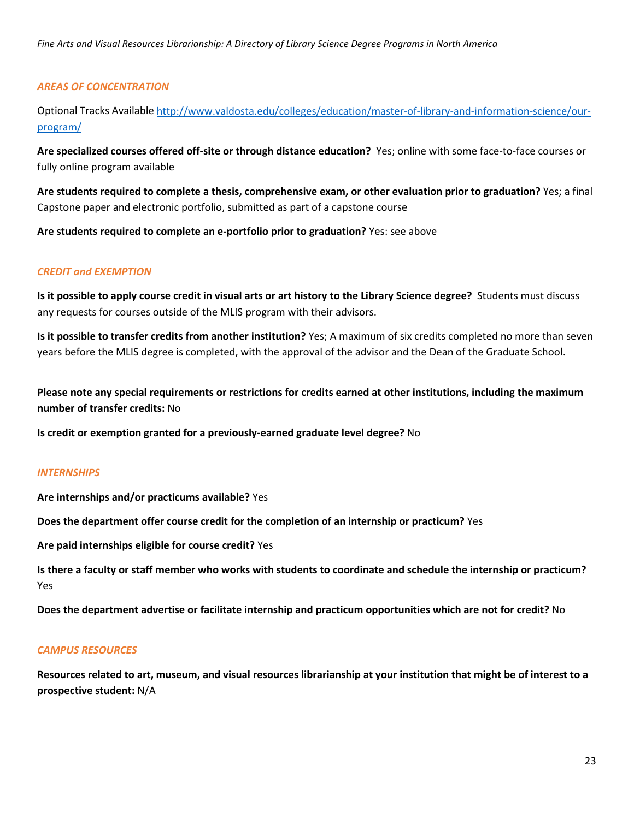#### *AREAS OF CONCENTRATION*

Optional Tracks Available [http://www.valdosta.edu/colleges/education/master-of-library-and-information-science/our](http://www.valdosta.edu/colleges/education/master-of-library-and-information-science/our-program/)[program/](http://www.valdosta.edu/colleges/education/master-of-library-and-information-science/our-program/)

**Are specialized courses offered off-site or through distance education?** Yes; online with some face-to-face courses or fully online program available

**Are students required to complete a thesis, comprehensive exam, or other evaluation prior to graduation?** Yes; a final Capstone paper and electronic portfolio, submitted as part of a capstone course

**Are students required to complete an e-portfolio prior to graduation?** Yes: see above

#### *CREDIT and EXEMPTION*

**Is it possible to apply course credit in visual arts or art history to the Library Science degree?** Students must discuss any requests for courses outside of the MLIS program with their advisors.

**Is it possible to transfer credits from another institution?** Yes; A maximum of six credits completed no more than seven years before the MLIS degree is completed, with the approval of the advisor and the Dean of the Graduate School.

**Please note any special requirements or restrictions for credits earned at other institutions, including the maximum number of transfer credits:** No

**Is credit or exemption granted for a previously-earned graduate level degree?** No

#### *INTERNSHIPS*

**Are internships and/or practicums available?** Yes

**Does the department offer course credit for the completion of an internship or practicum?** Yes

**Are paid internships eligible for course credit?** Yes

**Is there a faculty or staff member who works with students to coordinate and schedule the internship or practicum?** Yes

**Does the department advertise or facilitate internship and practicum opportunities which are not for credit?** No

#### *CAMPUS RESOURCES*

**Resources related to art, museum, and visual resources librarianship at your institution that might be of interest to a prospective student:** N/A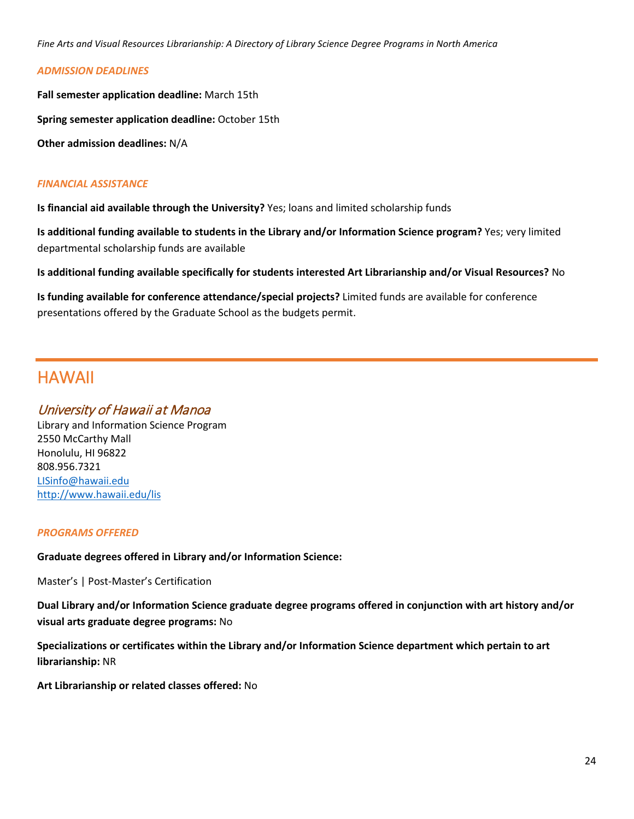#### *ADMISSION DEADLINES*

**Fall semester application deadline:** March 15th **Spring semester application deadline:** October 15th **Other admission deadlines:** N/A

#### *FINANCIAL ASSISTANCE*

**Is financial aid available through the University?** Yes; loans and limited scholarship funds

**Is additional funding available to students in the Library and/or Information Science program?** Yes; very limited departmental scholarship funds are available

**Is additional funding available specifically for students interested Art Librarianship and/or Visual Resources?** No

**Is funding available for conference attendance/special projects?** Limited funds are available for conference presentations offered by the Graduate School as the budgets permit.

### HAWAII

#### University of Hawaii at Manoa

Library and Information Science Program 2550 McCarthy Mall Honolulu, HI 96822 808.956.7321 [LISinfo@hawaii.edu](mailto:LISinfo@hawaii.edu) <http://www.hawaii.edu/lis>

#### *PROGRAMS OFFERED*

**Graduate degrees offered in Library and/or Information Science:**

Master's | Post-Master's Certification

**Dual Library and/or Information Science graduate degree programs offered in conjunction with art history and/or visual arts graduate degree programs:** No

**Specializations or certificates within the Library and/or Information Science department which pertain to art librarianship:** NR

**Art Librarianship or related classes offered:** No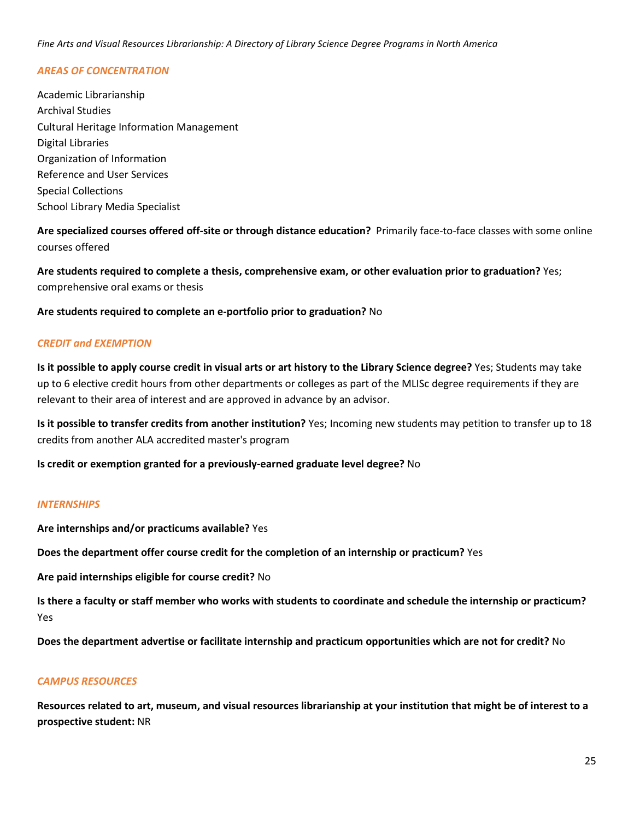#### *AREAS OF CONCENTRATION*

Academic Librarianship Archival Studies Cultural Heritage Information Management Digital Libraries Organization of Information Reference and User Services Special Collections School Library Media Specialist

**Are specialized courses offered off-site or through distance education?** Primarily face-to-face classes with some online courses offered

**Are students required to complete a thesis, comprehensive exam, or other evaluation prior to graduation?** Yes; comprehensive oral exams or thesis

**Are students required to complete an e-portfolio prior to graduation?** No

#### *CREDIT and EXEMPTION*

**Is it possible to apply course credit in visual arts or art history to the Library Science degree?** Yes; Students may take up to 6 elective credit hours from other departments or colleges as part of the MLISc degree requirements if they are relevant to their area of interest and are approved in advance by an advisor.

**Is it possible to transfer credits from another institution?** Yes; Incoming new students may petition to transfer up to 18 credits from another ALA accredited master's program

**Is credit or exemption granted for a previously-earned graduate level degree?** No

#### *INTERNSHIPS*

**Are internships and/or practicums available?** Yes

**Does the department offer course credit for the completion of an internship or practicum?** Yes

**Are paid internships eligible for course credit?** No

**Is there a faculty or staff member who works with students to coordinate and schedule the internship or practicum?** Yes

**Does the department advertise or facilitate internship and practicum opportunities which are not for credit?** No

#### *CAMPUS RESOURCES*

**Resources related to art, museum, and visual resources librarianship at your institution that might be of interest to a prospective student:** NR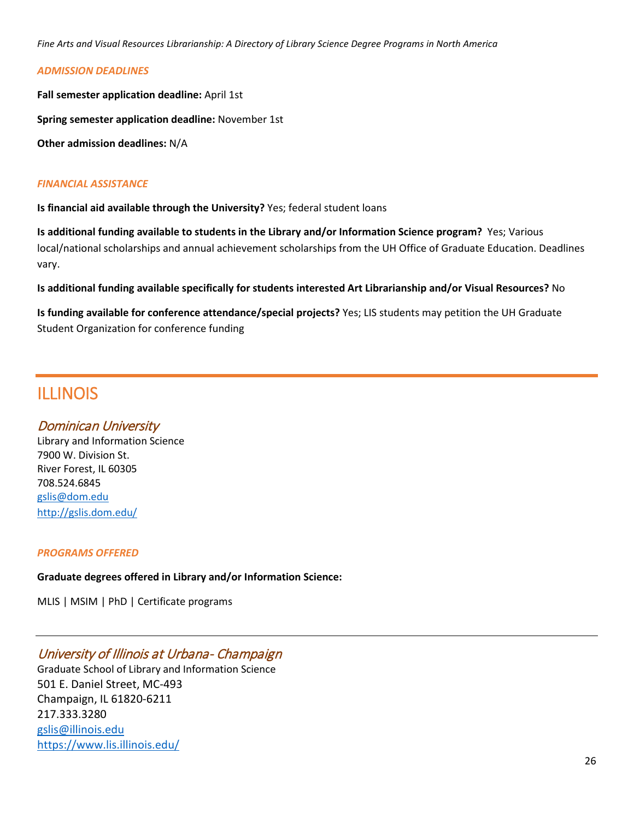#### *ADMISSION DEADLINES*

**Fall semester application deadline:** April 1st

**Spring semester application deadline:** November 1st

**Other admission deadlines:** N/A

#### *FINANCIAL ASSISTANCE*

**Is financial aid available through the University?** Yes; federal student loans

**Is additional funding available to students in the Library and/or Information Science program?** Yes; Various local/national scholarships and annual achievement scholarships from the UH Office of Graduate Education. Deadlines vary.

**Is additional funding available specifically for students interested Art Librarianship and/or Visual Resources?** No

**Is funding available for conference attendance/special projects?** Yes; LIS students may petition the UH Graduate Student Organization for conference funding

### ILLINOIS

#### Dominican University

Library and Information Science 7900 W. Division St. River Forest, IL 60305 708.524.6845 [gslis@dom.edu](mailto:gslis@dom.edu) <http://gslis.dom.edu/>

#### *PROGRAMS OFFERED*

#### **Graduate degrees offered in Library and/or Information Science:**

MLIS | MSIM | PhD | Certificate programs

#### University of Illinois at Urbana- Champaign

Graduate School of Library and Information Science 501 E. Daniel Street, MC-493 Champaign, IL 61820-6211 217.333.3280 [gslis@illinois.edu](mailto:gslis@illinois.edu) <https://www.lis.illinois.edu/>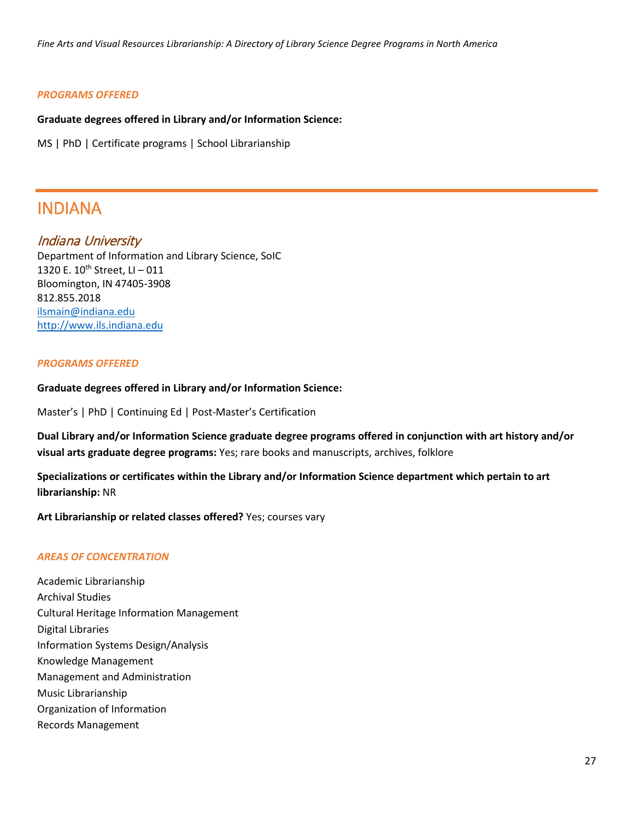#### *PROGRAMS OFFERED*

#### **Graduate degrees offered in Library and/or Information Science:**

MS | PhD | Certificate programs | School Librarianship

### INDIANA

#### Indiana University

Department of Information and Library Science, SoIC 1320 E.  $10^{th}$  Street, LI - 011 Bloomington, IN 47405-3908 812.855.2018 [ilsmain@indiana.edu](mailto:ilsmain@indiana.edu) [http://www.ils.indiana.edu](http://www.ils.indiana.edu/)

#### *PROGRAMS OFFERED*

#### **Graduate degrees offered in Library and/or Information Science:**

Master's | PhD | Continuing Ed | Post-Master's Certification

**Dual Library and/or Information Science graduate degree programs offered in conjunction with art history and/or visual arts graduate degree programs:** Yes; rare books and manuscripts, archives, folklore

**Specializations or certificates within the Library and/or Information Science department which pertain to art librarianship:** NR

**Art Librarianship or related classes offered?** Yes; courses vary

#### *AREAS OF CONCENTRATION*

Academic Librarianship Archival Studies Cultural Heritage Information Management Digital Libraries Information Systems Design/Analysis Knowledge Management Management and Administration Music Librarianship Organization of Information Records Management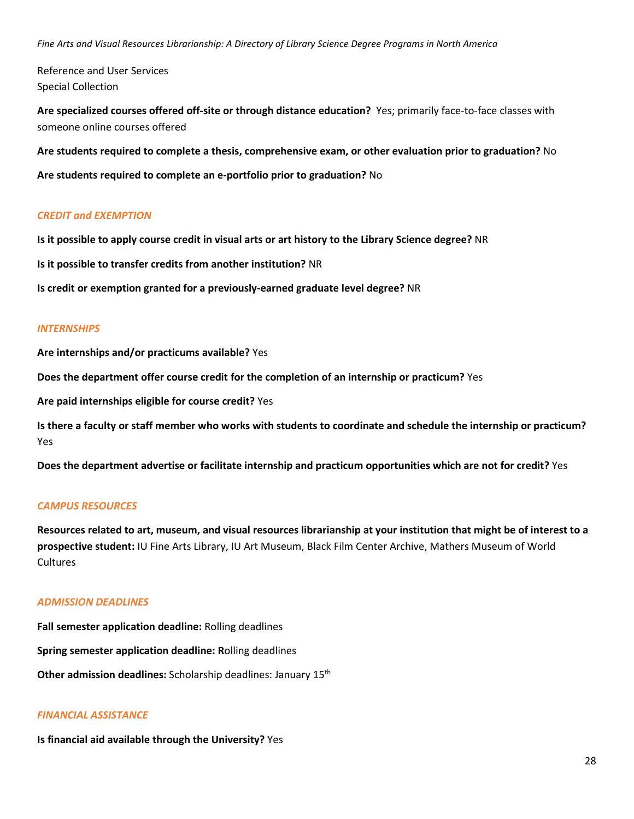Reference and User Services Special Collection

**Are specialized courses offered off-site or through distance education?** Yes; primarily face-to-face classes with someone online courses offered

**Are students required to complete a thesis, comprehensive exam, or other evaluation prior to graduation?** No

**Are students required to complete an e-portfolio prior to graduation?** No

#### *CREDIT and EXEMPTION*

**Is it possible to apply course credit in visual arts or art history to the Library Science degree?** NR

**Is it possible to transfer credits from another institution?** NR

**Is credit or exemption granted for a previously-earned graduate level degree?** NR

#### *INTERNSHIPS*

**Are internships and/or practicums available?** Yes

**Does the department offer course credit for the completion of an internship or practicum?** Yes

**Are paid internships eligible for course credit?** Yes

**Is there a faculty or staff member who works with students to coordinate and schedule the internship or practicum?** Yes

**Does the department advertise or facilitate internship and practicum opportunities which are not for credit?** Yes

#### *CAMPUS RESOURCES*

**Resources related to art, museum, and visual resources librarianship at your institution that might be of interest to a prospective student:** IU Fine Arts Library, IU Art Museum, Black Film Center Archive, Mathers Museum of World **Cultures** 

#### *ADMISSION DEADLINES*

**Fall semester application deadline:** Rolling deadlines **Spring semester application deadline: R**olling deadlines **Other admission deadlines:** Scholarship deadlines: January 15<sup>th</sup>

#### *FINANCIAL ASSISTANCE*

**Is financial aid available through the University?** Yes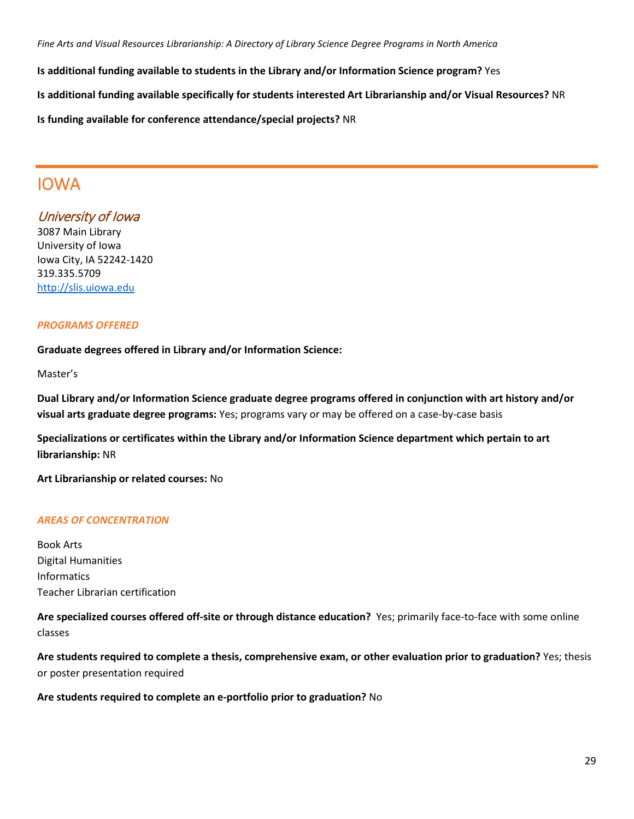**Is additional funding available to students in the Library and/or Information Science program?** Yes **Is additional funding available specifically for students interested Art Librarianship and/or Visual Resources?** NR **Is funding available for conference attendance/special projects?** NR

### IOWA

#### University of Iowa

3087 Main Library University of Iowa Iowa City, IA 52242-1420 319.335.5709 [http://slis.uiowa.edu](http://slis.uiowa.edu/)

#### *PROGRAMS OFFERED*

**Graduate degrees offered in Library and/or Information Science:**

Master's

**Dual Library and/or Information Science graduate degree programs offered in conjunction with art history and/or visual arts graduate degree programs:** Yes; programs vary or may be offered on a case-by-case basis

**Specializations or certificates within the Library and/or Information Science department which pertain to art librarianship:** NR

**Art Librarianship or related courses:** No

#### *AREAS OF CONCENTRATION*

Book Arts Digital Humanities Informatics Teacher Librarian certification

**Are specialized courses offered off-site or through distance education?** Yes; primarily face-to-face with some online classes

**Are students required to complete a thesis, comprehensive exam, or other evaluation prior to graduation?** Yes; thesis or poster presentation required

**Are students required to complete an e-portfolio prior to graduation?** No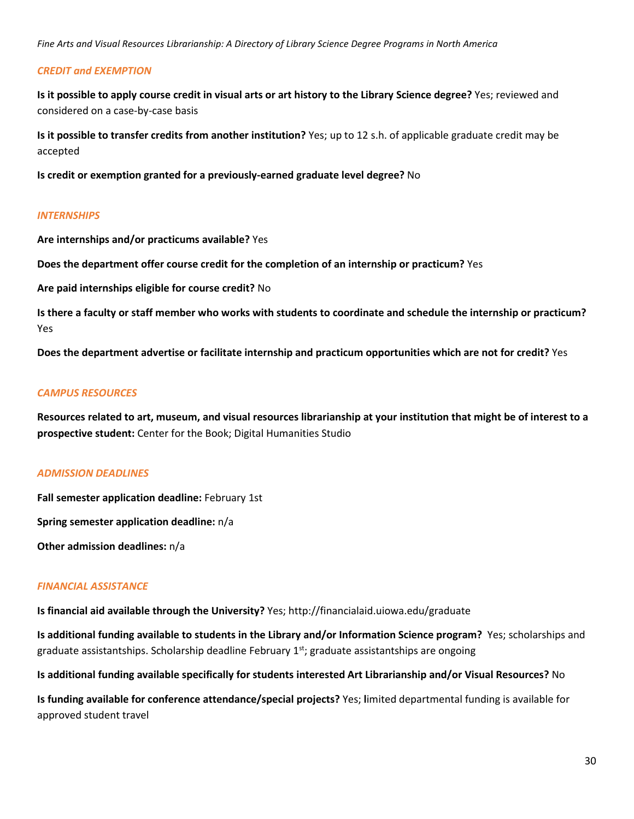#### *CREDIT and EXEMPTION*

**Is it possible to apply course credit in visual arts or art history to the Library Science degree?** Yes; reviewed and considered on a case-by-case basis

**Is it possible to transfer credits from another institution?** Yes; up to 12 s.h. of applicable graduate credit may be accepted

**Is credit or exemption granted for a previously-earned graduate level degree?** No

#### *INTERNSHIPS*

**Are internships and/or practicums available?** Yes

**Does the department offer course credit for the completion of an internship or practicum?** Yes

**Are paid internships eligible for course credit?** No

**Is there a faculty or staff member who works with students to coordinate and schedule the internship or practicum?** Yes

**Does the department advertise or facilitate internship and practicum opportunities which are not for credit?** Yes

#### *CAMPUS RESOURCES*

**Resources related to art, museum, and visual resources librarianship at your institution that might be of interest to a prospective student:** Center for the Book; Digital Humanities Studio

#### *ADMISSION DEADLINES*

**Fall semester application deadline:** February 1st

**Spring semester application deadline:** n/a

**Other admission deadlines:** n/a

#### *FINANCIAL ASSISTANCE*

**Is financial aid available through the University?** Yes; http://financialaid.uiowa.edu/graduate

**Is additional funding available to students in the Library and/or Information Science program?** Yes; scholarships and graduate assistantships. Scholarship deadline February  $1<sup>st</sup>$ ; graduate assistantships are ongoing

**Is additional funding available specifically for students interested Art Librarianship and/or Visual Resources?** No

**Is funding available for conference attendance/special projects?** Yes; **l**imited departmental funding is available for approved student travel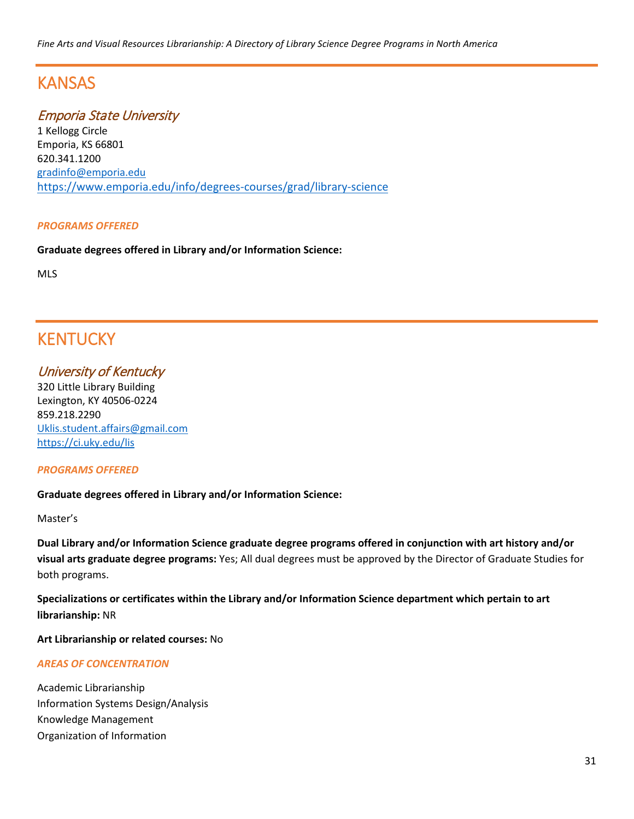### **KANSAS**

#### Emporia State University

1 Kellogg Circle Emporia, KS 66801 620.341.1200 [gradinfo@emporia.edu](mailto:gradinfo@emporia.edu) <https://www.emporia.edu/info/degrees-courses/grad/library-science>

#### *PROGRAMS OFFERED*

**Graduate degrees offered in Library and/or Information Science:**

MLS

### **KENTUCKY**

University of Kentucky 320 Little Library Building Lexington, KY 40506-0224 859.218.2290 [Uklis.student.affairs@gmail.com](mailto:Uklis.student.affairs@gmail.com) <https://ci.uky.edu/lis>

#### *PROGRAMS OFFERED*

#### **Graduate degrees offered in Library and/or Information Science:**

Master's

**Dual Library and/or Information Science graduate degree programs offered in conjunction with art history and/or visual arts graduate degree programs:** Yes; All dual degrees must be approved by the Director of Graduate Studies for both programs.

**Specializations or certificates within the Library and/or Information Science department which pertain to art librarianship:** NR

**Art Librarianship or related courses:** No

#### *AREAS OF CONCENTRATION*

Academic Librarianship Information Systems Design/Analysis Knowledge Management Organization of Information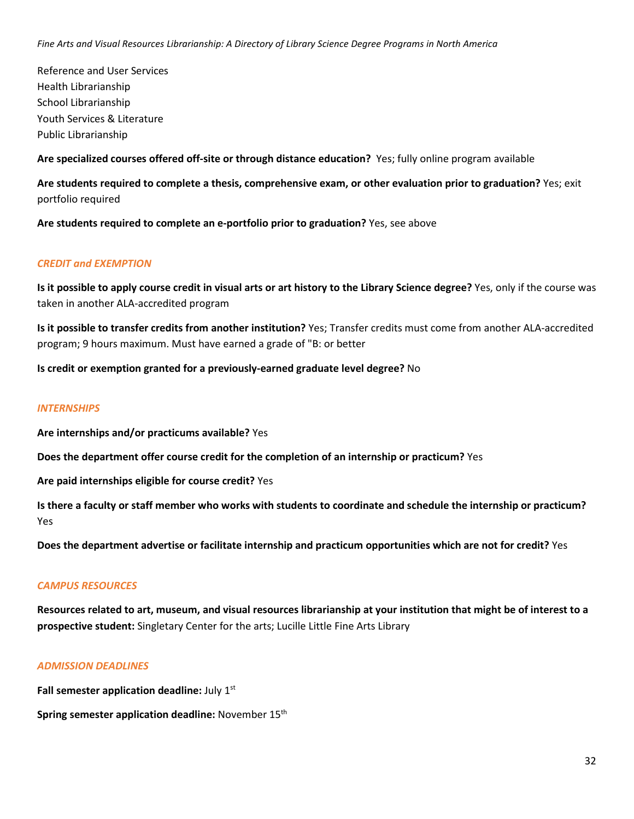Reference and User Services Health Librarianship School Librarianship Youth Services & Literature Public Librarianship

**Are specialized courses offered off-site or through distance education?** Yes; fully online program available

**Are students required to complete a thesis, comprehensive exam, or other evaluation prior to graduation?** Yes; exit portfolio required

**Are students required to complete an e-portfolio prior to graduation?** Yes, see above

#### *CREDIT and EXEMPTION*

**Is it possible to apply course credit in visual arts or art history to the Library Science degree?** Yes, only if the course was taken in another ALA-accredited program

**Is it possible to transfer credits from another institution?** Yes; Transfer credits must come from another ALA-accredited program; 9 hours maximum. Must have earned a grade of "B: or better

**Is credit or exemption granted for a previously-earned graduate level degree?** No

#### *INTERNSHIPS*

**Are internships and/or practicums available?** Yes

**Does the department offer course credit for the completion of an internship or practicum?** Yes

**Are paid internships eligible for course credit?** Yes

**Is there a faculty or staff member who works with students to coordinate and schedule the internship or practicum?** Yes

**Does the department advertise or facilitate internship and practicum opportunities which are not for credit?** Yes

#### *CAMPUS RESOURCES*

**Resources related to art, museum, and visual resources librarianship at your institution that might be of interest to a prospective student:** Singletary Center for the arts; Lucille Little Fine Arts Library

#### *ADMISSION DEADLINES*

**Fall semester application deadline: July 1st** 

**Spring semester application deadline:** November 15<sup>th</sup>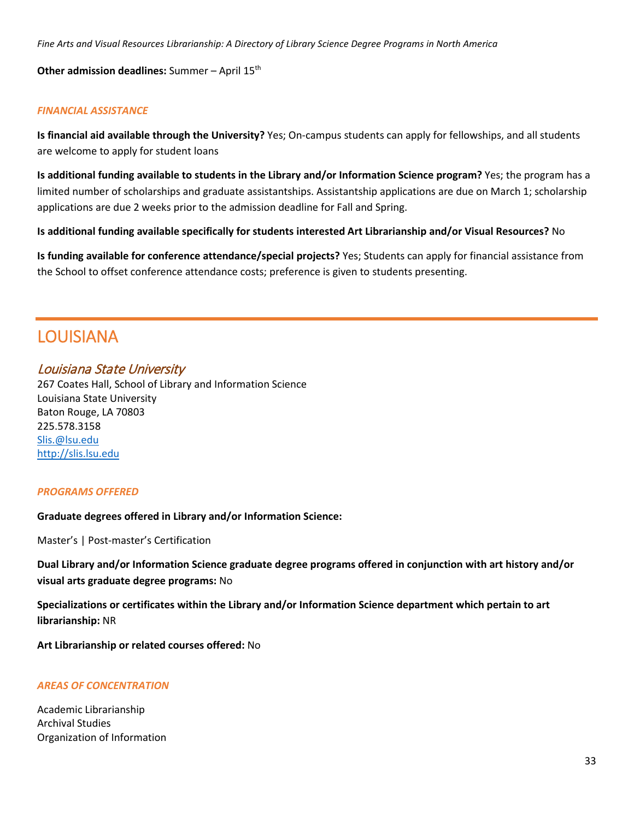**Other admission deadlines:** Summer – April 15<sup>th</sup>

#### *FINANCIAL ASSISTANCE*

**Is financial aid available through the University?** Yes; On-campus students can apply for fellowships, and all students are welcome to apply for student loans

**Is additional funding available to students in the Library and/or Information Science program?** Yes; the program has a limited number of scholarships and graduate assistantships. Assistantship applications are due on March 1; scholarship applications are due 2 weeks prior to the admission deadline for Fall and Spring.

**Is additional funding available specifically for students interested Art Librarianship and/or Visual Resources?** No

**Is funding available for conference attendance/special projects?** Yes; Students can apply for financial assistance from the School to offset conference attendance costs; preference is given to students presenting.

### LOUISIANA

#### Louisiana State University

267 Coates Hall, School of Library and Information Science Louisiana State University Baton Rouge, LA 70803 225.578.3158 [Slis.@lsu.edu](mailto:Slis.@lsu.edu) [http://slis.lsu.edu](http://slis.lsu.edu/)

#### *PROGRAMS OFFERED*

**Graduate degrees offered in Library and/or Information Science:**

Master's | Post-master's Certification

**Dual Library and/or Information Science graduate degree programs offered in conjunction with art history and/or visual arts graduate degree programs:** No

**Specializations or certificates within the Library and/or Information Science department which pertain to art librarianship:** NR

**Art Librarianship or related courses offered:** No

#### *AREAS OF CONCENTRATION*

Academic Librarianship Archival Studies Organization of Information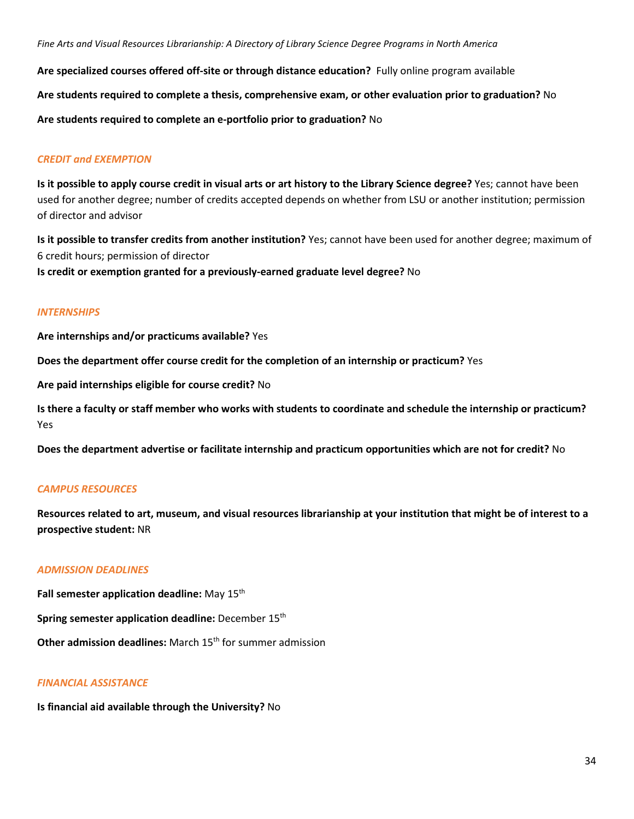**Are specialized courses offered off-site or through distance education?** Fully online program available **Are students required to complete a thesis, comprehensive exam, or other evaluation prior to graduation?** No **Are students required to complete an e-portfolio prior to graduation?** No

#### *CREDIT and EXEMPTION*

**Is it possible to apply course credit in visual arts or art history to the Library Science degree?** Yes; cannot have been used for another degree; number of credits accepted depends on whether from LSU or another institution; permission of director and advisor

**Is it possible to transfer credits from another institution?** Yes; cannot have been used for another degree; maximum of 6 credit hours; permission of director **Is credit or exemption granted for a previously-earned graduate level degree?** No

#### *INTERNSHIPS*

**Are internships and/or practicums available?** Yes

**Does the department offer course credit for the completion of an internship or practicum?** Yes

**Are paid internships eligible for course credit?** No

**Is there a faculty or staff member who works with students to coordinate and schedule the internship or practicum?** Yes

**Does the department advertise or facilitate internship and practicum opportunities which are not for credit?** No

#### *CAMPUS RESOURCES*

**Resources related to art, museum, and visual resources librarianship at your institution that might be of interest to a prospective student:** NR

#### *ADMISSION DEADLINES*

**Fall semester application deadline:** May 15th

**Spring semester application deadline:** December 15th

**Other admission deadlines:** March 15<sup>th</sup> for summer admission

#### *FINANCIAL ASSISTANCE*

**Is financial aid available through the University?** No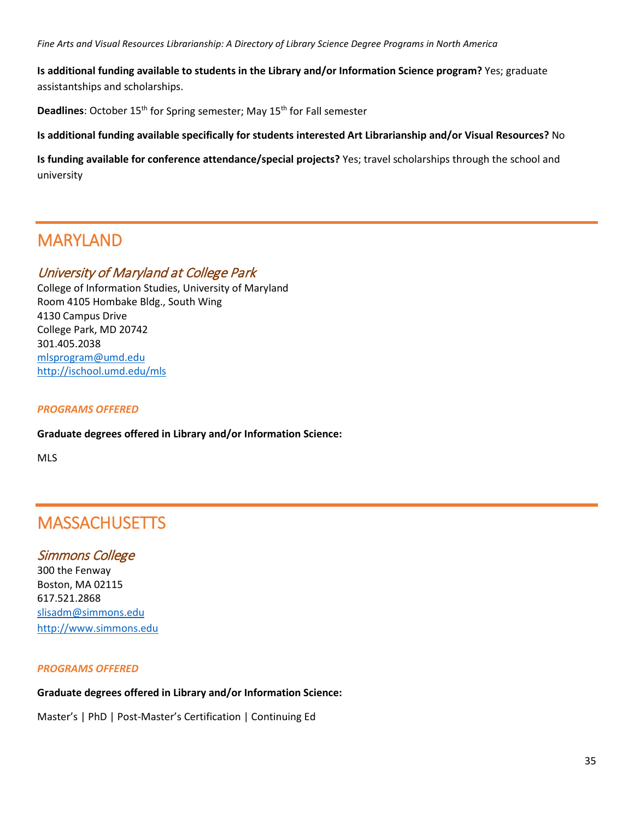**Is additional funding available to students in the Library and/or Information Science program?** Yes; graduate assistantships and scholarships.

**Deadlines:** October 15<sup>th</sup> for Spring semester; May 15<sup>th</sup> for Fall semester

**Is additional funding available specifically for students interested Art Librarianship and/or Visual Resources?** No

**Is funding available for conference attendance/special projects?** Yes; travel scholarships through the school and university

### MARYLAND

#### University of Maryland at College Park

College of Information Studies, University of Maryland Room 4105 Hombake Bldg., South Wing 4130 Campus Drive College Park, MD 20742 301.405.2038 [mlsprogram@umd.edu](mailto:mlsprogram@umd.edu) <http://ischool.umd.edu/mls>

#### *PROGRAMS OFFERED*

**Graduate degrees offered in Library and/or Information Science:**

MLS

### **MASSACHUSETTS**

#### Simmons College

300 the Fenway Boston, MA 02115 617.521.2868 [slisadm@simmons.edu](mailto:slisadm@simmons.edu) [http://www.simmons.edu](http://www.simmons.edu/)

#### *PROGRAMS OFFERED*

#### **Graduate degrees offered in Library and/or Information Science:**

Master's | PhD | Post-Master's Certification | Continuing Ed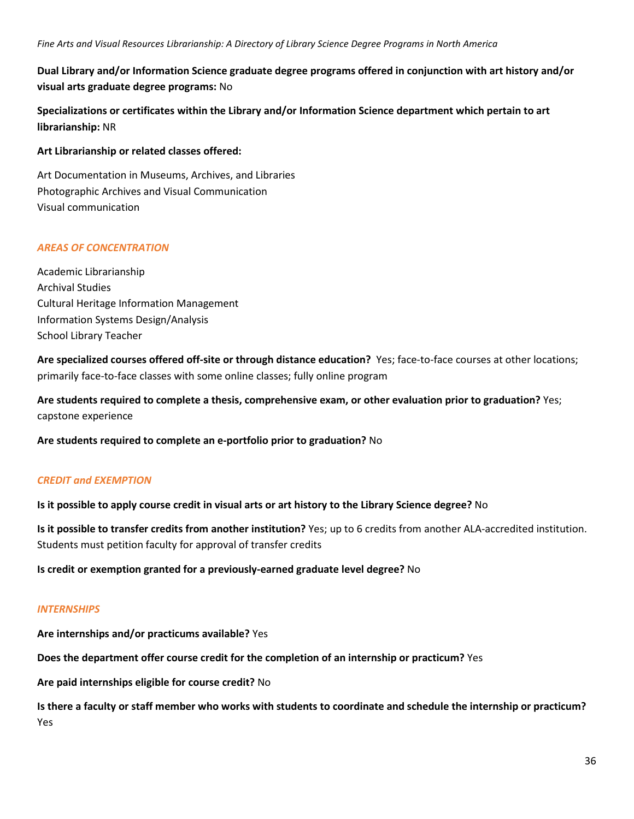## **Dual Library and/or Information Science graduate degree programs offered in conjunction with art history and/or visual arts graduate degree programs:** No

**Specializations or certificates within the Library and/or Information Science department which pertain to art librarianship:** NR

### **Art Librarianship or related classes offered:**

Art Documentation in Museums, Archives, and Libraries Photographic Archives and Visual Communication Visual communication

## *AREAS OF CONCENTRATION*

Academic Librarianship Archival Studies Cultural Heritage Information Management Information Systems Design/Analysis School Library Teacher

**Are specialized courses offered off-site or through distance education?** Yes; face-to-face courses at other locations; primarily face-to-face classes with some online classes; fully online program

**Are students required to complete a thesis, comprehensive exam, or other evaluation prior to graduation?** Yes; capstone experience

**Are students required to complete an e-portfolio prior to graduation?** No

## *CREDIT and EXEMPTION*

**Is it possible to apply course credit in visual arts or art history to the Library Science degree?** No

**Is it possible to transfer credits from another institution?** Yes; up to 6 credits from another ALA-accredited institution. Students must petition faculty for approval of transfer credits

**Is credit or exemption granted for a previously-earned graduate level degree?** No

## *INTERNSHIPS*

**Are internships and/or practicums available?** Yes

**Does the department offer course credit for the completion of an internship or practicum?** Yes

**Are paid internships eligible for course credit?** No

**Is there a faculty or staff member who works with students to coordinate and schedule the internship or practicum?** Yes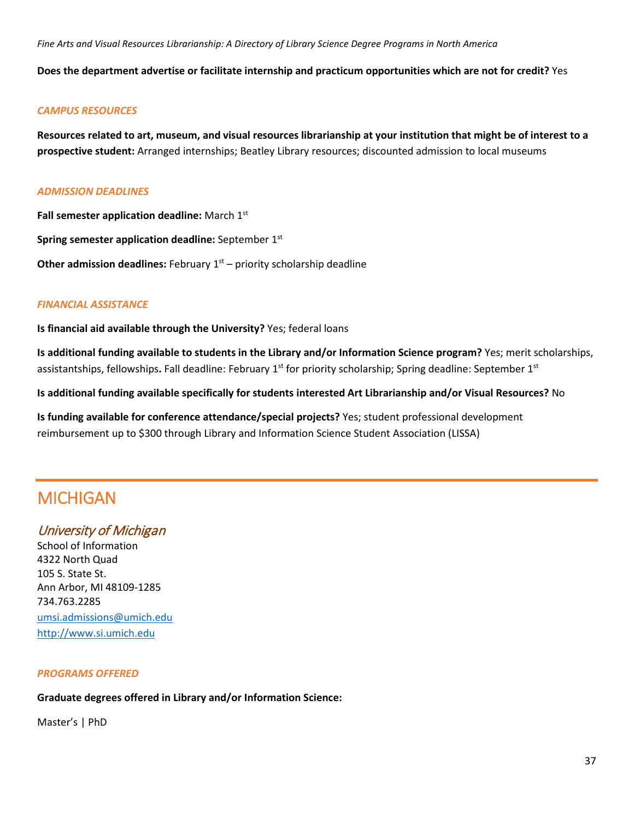**Does the department advertise or facilitate internship and practicum opportunities which are not for credit?** Yes

### *CAMPUS RESOURCES*

**Resources related to art, museum, and visual resources librarianship at your institution that might be of interest to a prospective student:** Arranged internships; Beatley Library resources; discounted admission to local museums

#### *ADMISSION DEADLINES*

**Fall semester application deadline:** March 1st

**Spring semester application deadline:** September 1st

**Other admission deadlines:** February 1<sup>st</sup> – priority scholarship deadline

### *FINANCIAL ASSISTANCE*

**Is financial aid available through the University?** Yes; federal loans

**Is additional funding available to students in the Library and/or Information Science program?** Yes; merit scholarships, assistantships, fellowships**.** Fall deadline: February 1st for priority scholarship; Spring deadline: September 1st

**Is additional funding available specifically for students interested Art Librarianship and/or Visual Resources?** No

**Is funding available for conference attendance/special projects?** Yes; student professional development reimbursement up to \$300 through Library and Information Science Student Association (LISSA)

# MICHIGAN

# University of Michigan

School of Information 4322 North Quad 105 S. State St. Ann Arbor, MI 48109-1285 734.763.2285 [umsi.admissions@umich.edu](mailto:umsi.admissions@umich.edu) [http://www.si.umich.edu](http://www.si.umich.edu/)

### *PROGRAMS OFFERED*

# **Graduate degrees offered in Library and/or Information Science:**

Master's | PhD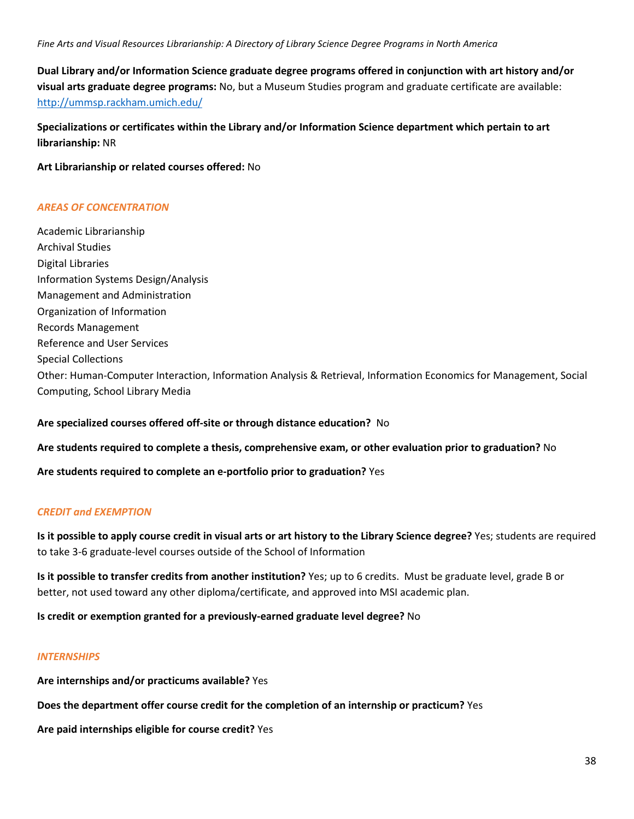**Dual Library and/or Information Science graduate degree programs offered in conjunction with art history and/or visual arts graduate degree programs:** No, but a Museum Studies program and graduate certificate are available: <http://ummsp.rackham.umich.edu/>

**Specializations or certificates within the Library and/or Information Science department which pertain to art librarianship:** NR

**Art Librarianship or related courses offered:** No

#### *AREAS OF CONCENTRATION*

Academic Librarianship Archival Studies Digital Libraries Information Systems Design/Analysis Management and Administration Organization of Information Records Management Reference and User Services Special Collections Other: Human-Computer Interaction, Information Analysis & Retrieval, Information Economics for Management, Social Computing, School Library Media

**Are specialized courses offered off-site or through distance education?** No

**Are students required to complete a thesis, comprehensive exam, or other evaluation prior to graduation?** No

**Are students required to complete an e-portfolio prior to graduation?** Yes

### *CREDIT and EXEMPTION*

**Is it possible to apply course credit in visual arts or art history to the Library Science degree?** Yes; students are required to take 3-6 graduate-level courses outside of the School of Information

**Is it possible to transfer credits from another institution?** Yes; up to 6 credits. Must be graduate level, grade B or better, not used toward any other diploma/certificate, and approved into MSI academic plan.

**Is credit or exemption granted for a previously-earned graduate level degree?** No

#### *INTERNSHIPS*

**Are internships and/or practicums available?** Yes

**Does the department offer course credit for the completion of an internship or practicum?** Yes

**Are paid internships eligible for course credit?** Yes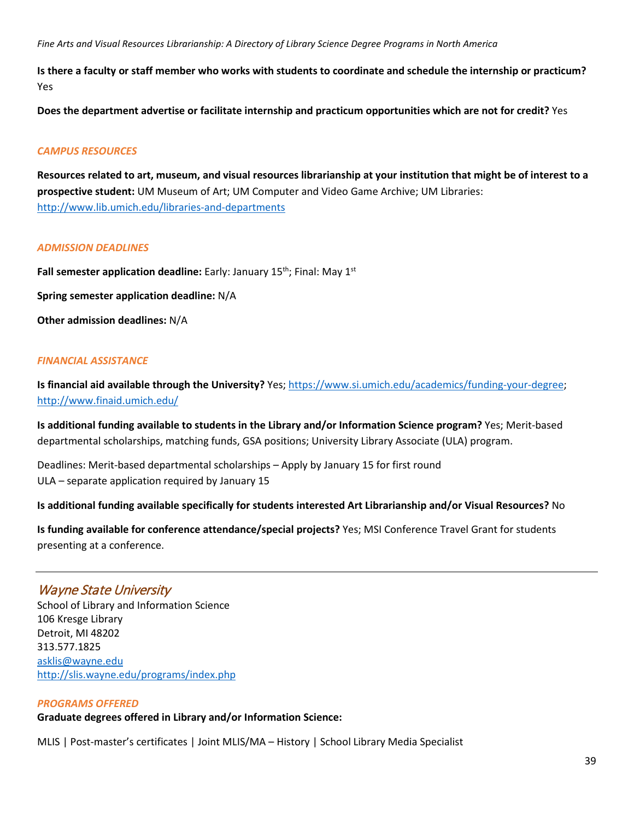**Is there a faculty or staff member who works with students to coordinate and schedule the internship or practicum?** Yes

**Does the department advertise or facilitate internship and practicum opportunities which are not for credit?** Yes

### *CAMPUS RESOURCES*

**Resources related to art, museum, and visual resources librarianship at your institution that might be of interest to a prospective student:** UM Museum of Art; UM Computer and Video Game Archive; UM Libraries: <http://www.lib.umich.edu/libraries-and-departments>

#### *ADMISSION DEADLINES*

Fall semester application deadline: Early: January 15<sup>th</sup>; Final: May 1<sup>st</sup>

**Spring semester application deadline:** N/A

**Other admission deadlines:** N/A

#### *FINANCIAL ASSISTANCE*

**Is financial aid available through the University?** Yes[; https://www.si.umich.edu/academics/funding-your-degree;](https://www.si.umich.edu/academics/funding-your-degree) <http://www.finaid.umich.edu/>

**Is additional funding available to students in the Library and/or Information Science program?** Yes; Merit-based departmental scholarships, matching funds, GSA positions; University Library Associate (ULA) program.

Deadlines: Merit-based departmental scholarships – Apply by January 15 for first round ULA – separate application required by January 15

### **Is additional funding available specifically for students interested Art Librarianship and/or Visual Resources?** No

**Is funding available for conference attendance/special projects?** Yes; MSI Conference Travel Grant for students presenting at a conference.

# Wayne State University

School of Library and Information Science 106 Kresge Library Detroit, MI 48202 313.577.1825 [asklis@wayne.edu](mailto:asklis@wayne.edu) <http://slis.wayne.edu/programs/index.php>

#### *PROGRAMS OFFERED*

**Graduate degrees offered in Library and/or Information Science:**

MLIS | Post-master's certificates | Joint MLIS/MA – History | School Library Media Specialist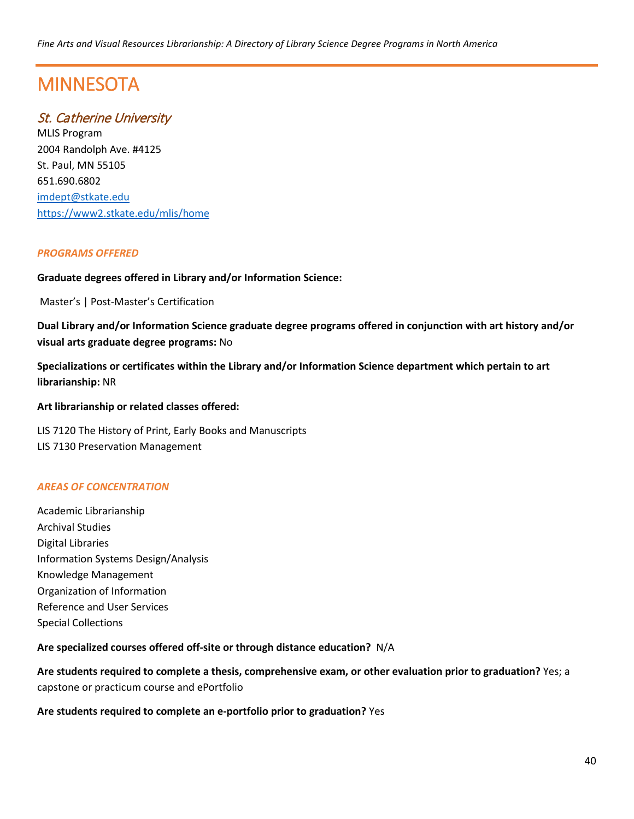# **MINNESOTA**

# St. Catherine University

MLIS Program 2004 Randolph Ave. #4125 St. Paul, MN 55105 651.690.6802 [imdept@stkate.edu](mailto:imdept@stkate.edu) <https://www2.stkate.edu/mlis/home>

## *PROGRAMS OFFERED*

### **Graduate degrees offered in Library and/or Information Science:**

Master's | Post-Master's Certification

**Dual Library and/or Information Science graduate degree programs offered in conjunction with art history and/or visual arts graduate degree programs:** No

**Specializations or certificates within the Library and/or Information Science department which pertain to art librarianship:** NR

**Art librarianship or related classes offered:**

LIS 7120 The History of Print, Early Books and Manuscripts LIS 7130 Preservation Management

### *AREAS OF CONCENTRATION*

Academic Librarianship Archival Studies Digital Libraries Information Systems Design/Analysis Knowledge Management Organization of Information Reference and User Services Special Collections

**Are specialized courses offered off-site or through distance education?** N/A

**Are students required to complete a thesis, comprehensive exam, or other evaluation prior to graduation?** Yes; a capstone or practicum course and ePortfolio

**Are students required to complete an e-portfolio prior to graduation?** Yes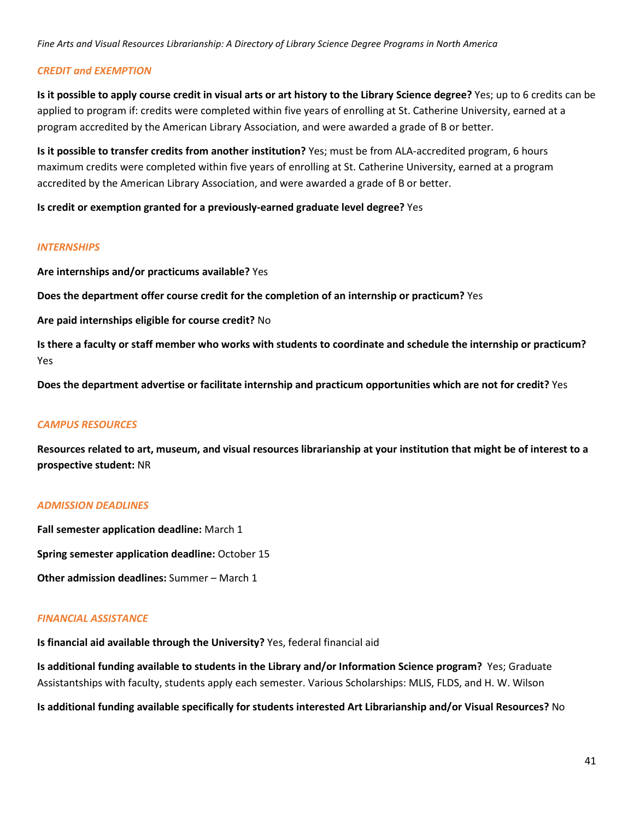#### *CREDIT and EXEMPTION*

**Is it possible to apply course credit in visual arts or art history to the Library Science degree?** Yes; up to 6 credits can be applied to program if: credits were completed within five years of enrolling at St. Catherine University, earned at a program accredited by the American Library Association, and were awarded a grade of B or better.

**Is it possible to transfer credits from another institution?** Yes; must be from ALA-accredited program, 6 hours maximum credits were completed within five years of enrolling at St. Catherine University, earned at a program accredited by the American Library Association, and were awarded a grade of B or better.

**Is credit or exemption granted for a previously-earned graduate level degree?** Yes

#### *INTERNSHIPS*

**Are internships and/or practicums available?** Yes

**Does the department offer course credit for the completion of an internship or practicum?** Yes

**Are paid internships eligible for course credit?** No

**Is there a faculty or staff member who works with students to coordinate and schedule the internship or practicum?** Yes

**Does the department advertise or facilitate internship and practicum opportunities which are not for credit?** Yes

### *CAMPUS RESOURCES*

**Resources related to art, museum, and visual resources librarianship at your institution that might be of interest to a prospective student:** NR

#### *ADMISSION DEADLINES*

**Fall semester application deadline:** March 1

**Spring semester application deadline:** October 15

**Other admission deadlines:** Summer – March 1

### *FINANCIAL ASSISTANCE*

**Is financial aid available through the University?** Yes, federal financial aid

**Is additional funding available to students in the Library and/or Information Science program?** Yes; Graduate Assistantships with faculty, students apply each semester. Various Scholarships: MLIS, FLDS, and H. W. Wilson

**Is additional funding available specifically for students interested Art Librarianship and/or Visual Resources?** No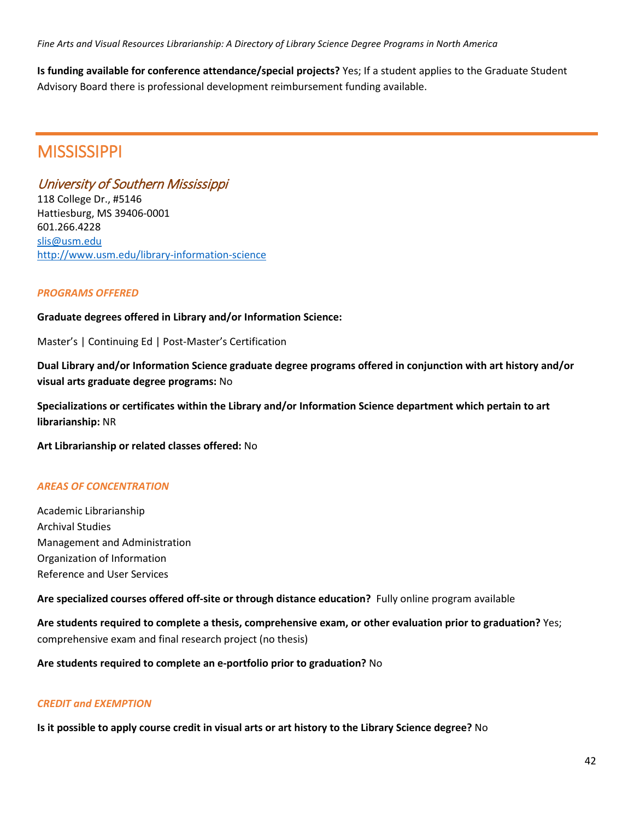**Is funding available for conference attendance/special projects?** Yes; If a student applies to the Graduate Student Advisory Board there is professional development reimbursement funding available.

# **MISSISSIPPI**

# University of Southern Mississippi

118 College Dr., #5146 Hattiesburg, MS 39406-0001 601.266.4228 [slis@usm.edu](mailto:slis@usm.edu) <http://www.usm.edu/library-information-science>

## *PROGRAMS OFFERED*

## **Graduate degrees offered in Library and/or Information Science:**

Master's | Continuing Ed | Post-Master's Certification

**Dual Library and/or Information Science graduate degree programs offered in conjunction with art history and/or visual arts graduate degree programs:** No

**Specializations or certificates within the Library and/or Information Science department which pertain to art librarianship:** NR

**Art Librarianship or related classes offered:** No

## *AREAS OF CONCENTRATION*

Academic Librarianship Archival Studies Management and Administration Organization of Information Reference and User Services

**Are specialized courses offered off-site or through distance education?** Fully online program available

**Are students required to complete a thesis, comprehensive exam, or other evaluation prior to graduation?** Yes; comprehensive exam and final research project (no thesis)

**Are students required to complete an e-portfolio prior to graduation?** No

### *CREDIT and EXEMPTION*

**Is it possible to apply course credit in visual arts or art history to the Library Science degree?** No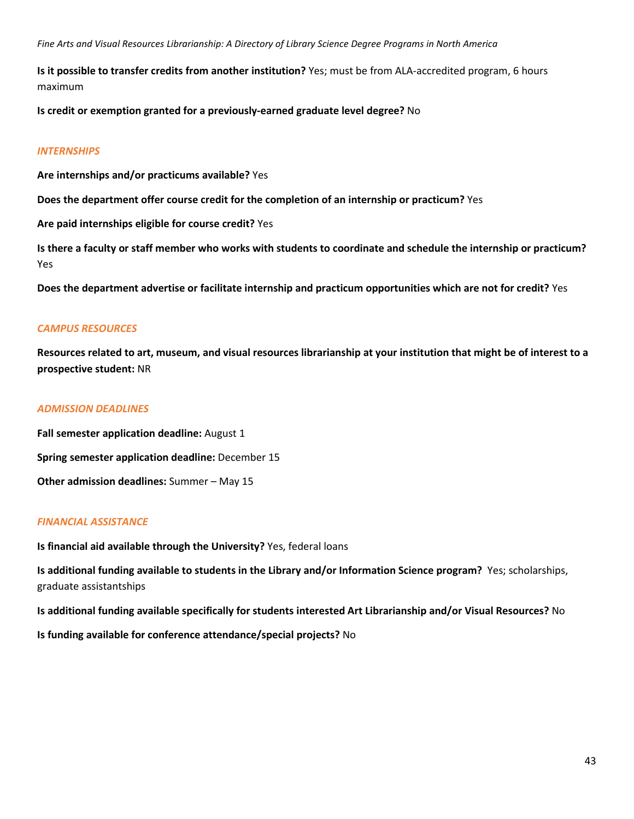**Is it possible to transfer credits from another institution?** Yes; must be from ALA-accredited program, 6 hours maximum

**Is credit or exemption granted for a previously-earned graduate level degree?** No

#### *INTERNSHIPS*

**Are internships and/or practicums available?** Yes

**Does the department offer course credit for the completion of an internship or practicum?** Yes

**Are paid internships eligible for course credit?** Yes

**Is there a faculty or staff member who works with students to coordinate and schedule the internship or practicum?** Yes

**Does the department advertise or facilitate internship and practicum opportunities which are not for credit?** Yes

#### *CAMPUS RESOURCES*

**Resources related to art, museum, and visual resources librarianship at your institution that might be of interest to a prospective student:** NR

#### *ADMISSION DEADLINES*

**Fall semester application deadline:** August 1 **Spring semester application deadline:** December 15 **Other admission deadlines:** Summer – May 15

#### *FINANCIAL ASSISTANCE*

**Is financial aid available through the University?** Yes, federal loans

**Is additional funding available to students in the Library and/or Information Science program?** Yes; scholarships, graduate assistantships

**Is additional funding available specifically for students interested Art Librarianship and/or Visual Resources?** No

**Is funding available for conference attendance/special projects?** No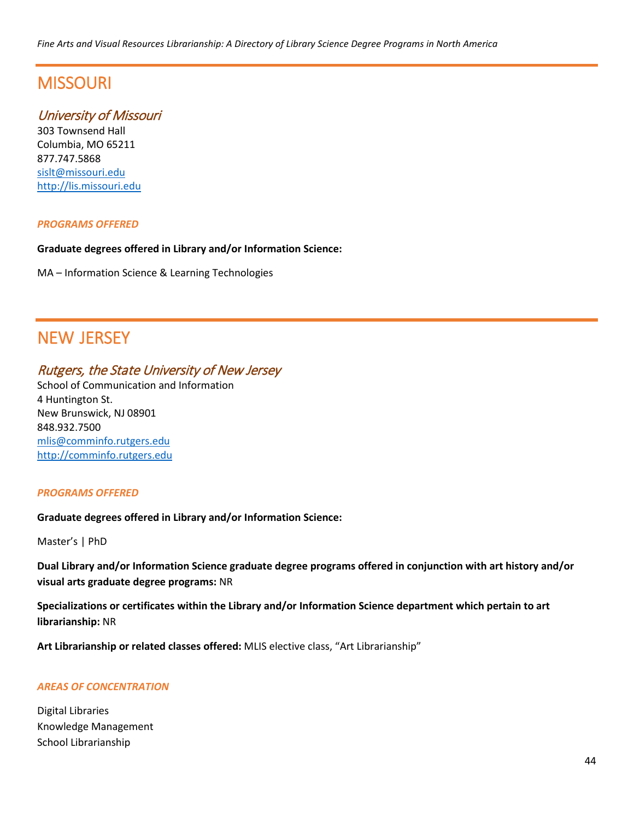# **MISSOURI**

# University of Missouri

303 Townsend Hall Columbia, MO 65211 877.747.5868 [sislt@missouri.edu](mailto:sislt@missouri.edu) [http://lis.missouri.edu](http://lis.missouri.edu/)

### *PROGRAMS OFFERED*

#### **Graduate degrees offered in Library and/or Information Science:**

MA – Information Science & Learning Technologies

# NEW JERSEY

# Rutgers, the State University of New Jersey

School of Communication and Information 4 Huntington St. New Brunswick, NJ 08901 848.932.7500 [mlis@comminfo.rutgers.edu](mailto:mlis@comminfo.rutgers.edu) [http://comminfo.rutgers.edu](http://comminfo.rutgers.edu/)

### *PROGRAMS OFFERED*

### **Graduate degrees offered in Library and/or Information Science:**

Master's | PhD

**Dual Library and/or Information Science graduate degree programs offered in conjunction with art history and/or visual arts graduate degree programs:** NR

**Specializations or certificates within the Library and/or Information Science department which pertain to art librarianship:** NR

**Art Librarianship or related classes offered:** MLIS elective class, "Art Librarianship"

### *AREAS OF CONCENTRATION*

Digital Libraries Knowledge Management School Librarianship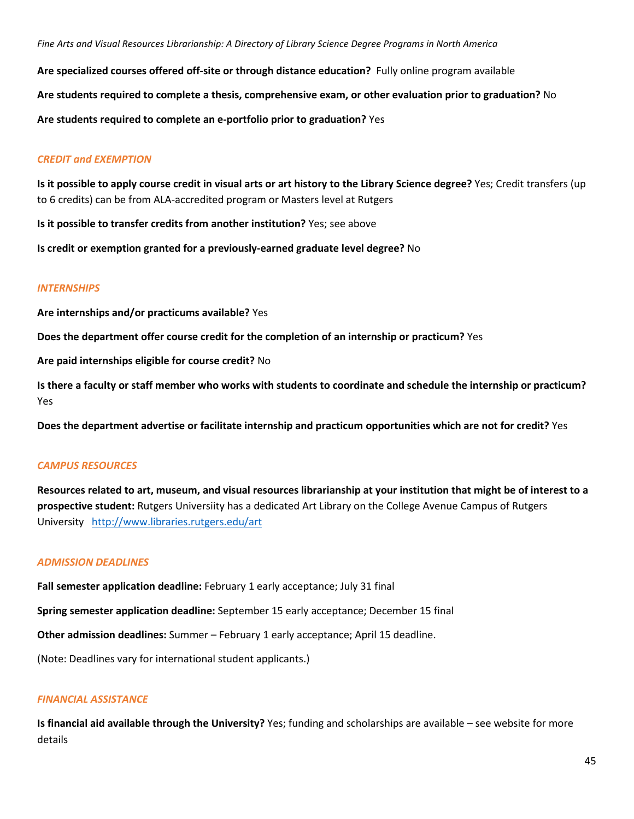**Are specialized courses offered off-site or through distance education?** Fully online program available **Are students required to complete a thesis, comprehensive exam, or other evaluation prior to graduation?** No **Are students required to complete an e-portfolio prior to graduation?** Yes

### *CREDIT and EXEMPTION*

**Is it possible to apply course credit in visual arts or art history to the Library Science degree?** Yes; Credit transfers (up to 6 credits) can be from ALA-accredited program or Masters level at Rutgers

**Is it possible to transfer credits from another institution?** Yes; see above

**Is credit or exemption granted for a previously-earned graduate level degree?** No

#### *INTERNSHIPS*

**Are internships and/or practicums available?** Yes

**Does the department offer course credit for the completion of an internship or practicum?** Yes

**Are paid internships eligible for course credit?** No

**Is there a faculty or staff member who works with students to coordinate and schedule the internship or practicum?** Yes

**Does the department advertise or facilitate internship and practicum opportunities which are not for credit?** Yes

### *CAMPUS RESOURCES*

**Resources related to art, museum, and visual resources librarianship at your institution that might be of interest to a prospective student:** Rutgers Universiity has a dedicated Art Library on the College Avenue Campus of Rutgers University <http://www.libraries.rutgers.edu/art>

#### *ADMISSION DEADLINES*

**Fall semester application deadline:** February 1 early acceptance; July 31 final

**Spring semester application deadline:** September 15 early acceptance; December 15 final

**Other admission deadlines:** Summer – February 1 early acceptance; April 15 deadline.

(Note: Deadlines vary for international student applicants.)

#### *FINANCIAL ASSISTANCE*

**Is financial aid available through the University?** Yes; funding and scholarships are available – see website for more details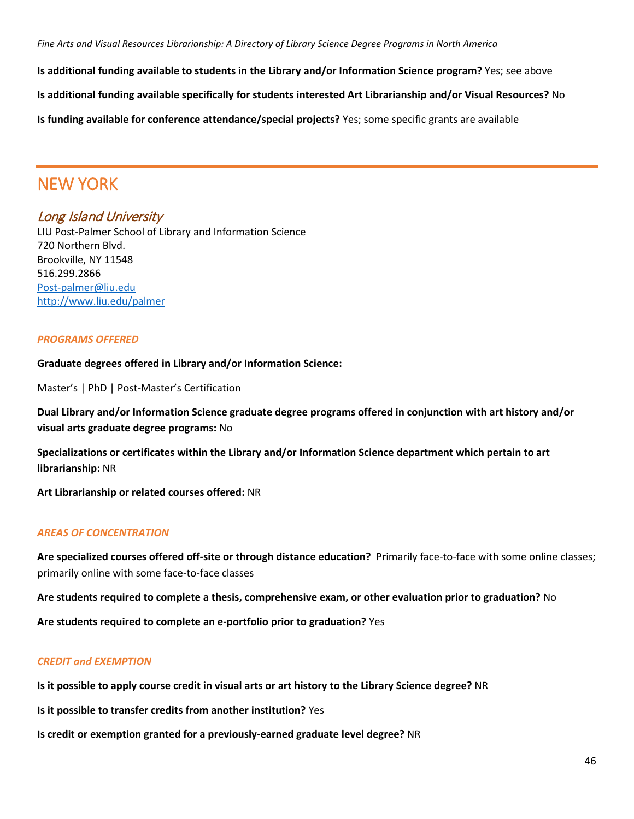**Is additional funding available to students in the Library and/or Information Science program?** Yes; see above

**Is additional funding available specifically for students interested Art Librarianship and/or Visual Resources?** No

**Is funding available for conference attendance/special projects?** Yes; some specific grants are available

# NEW YORK

# Long Island University

LIU Post-Palmer School of Library and Information Science 720 Northern Blvd. Brookville, NY 11548 516.299.2866 [Post-palmer@liu.edu](mailto:Post-palmer@liu.edu) <http://www.liu.edu/palmer>

## *PROGRAMS OFFERED*

**Graduate degrees offered in Library and/or Information Science:**

Master's | PhD | Post-Master's Certification

**Dual Library and/or Information Science graduate degree programs offered in conjunction with art history and/or visual arts graduate degree programs:** No

**Specializations or certificates within the Library and/or Information Science department which pertain to art librarianship:** NR

**Art Librarianship or related courses offered:** NR

### *AREAS OF CONCENTRATION*

**Are specialized courses offered off-site or through distance education?** Primarily face-to-face with some online classes; primarily online with some face-to-face classes

**Are students required to complete a thesis, comprehensive exam, or other evaluation prior to graduation?** No

**Are students required to complete an e-portfolio prior to graduation?** Yes

## *CREDIT and EXEMPTION*

**Is it possible to apply course credit in visual arts or art history to the Library Science degree?** NR

**Is it possible to transfer credits from another institution?** Yes

**Is credit or exemption granted for a previously-earned graduate level degree?** NR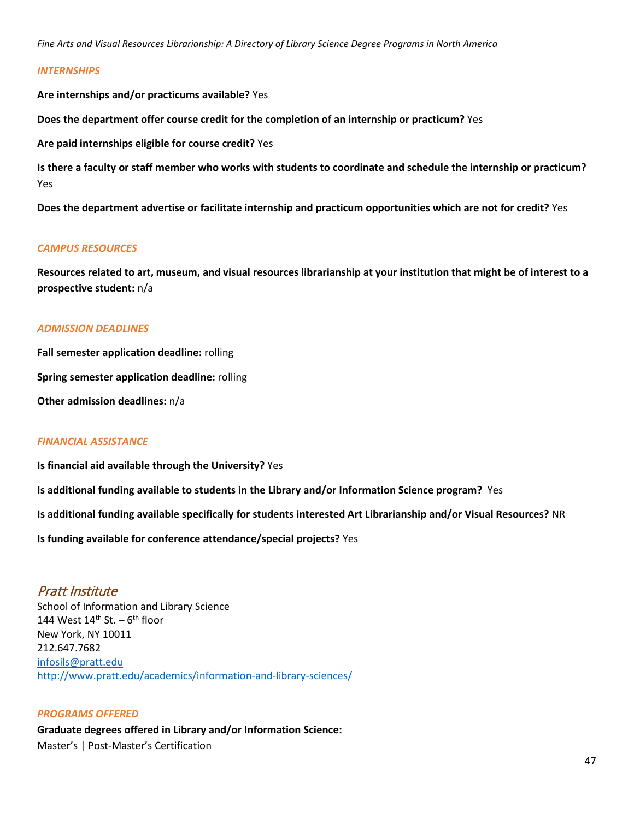#### *INTERNSHIPS*

**Are internships and/or practicums available?** Yes

**Does the department offer course credit for the completion of an internship or practicum?** Yes

**Are paid internships eligible for course credit?** Yes

**Is there a faculty or staff member who works with students to coordinate and schedule the internship or practicum?** Yes

**Does the department advertise or facilitate internship and practicum opportunities which are not for credit?** Yes

#### *CAMPUS RESOURCES*

**Resources related to art, museum, and visual resources librarianship at your institution that might be of interest to a prospective student:** n/a

#### *ADMISSION DEADLINES*

**Fall semester application deadline:** rolling

**Spring semester application deadline:** rolling

**Other admission deadlines:** n/a

#### *FINANCIAL ASSISTANCE*

**Is financial aid available through the University?** Yes

**Is additional funding available to students in the Library and/or Information Science program?** Yes

**Is additional funding available specifically for students interested Art Librarianship and/or Visual Resources?** NR

**Is funding available for conference attendance/special projects?** Yes

## Pratt Institute

School of Information and Library Science 144 West  $14<sup>th</sup>$  St. –  $6<sup>th</sup>$  floor New York, NY 10011 212.647.7682 [infosils@pratt.edu](mailto:infosils@pratt.edu) <http://www.pratt.edu/academics/information-and-library-sciences/>

#### *PROGRAMS OFFERED*

**Graduate degrees offered in Library and/or Information Science:** Master's | Post-Master's Certification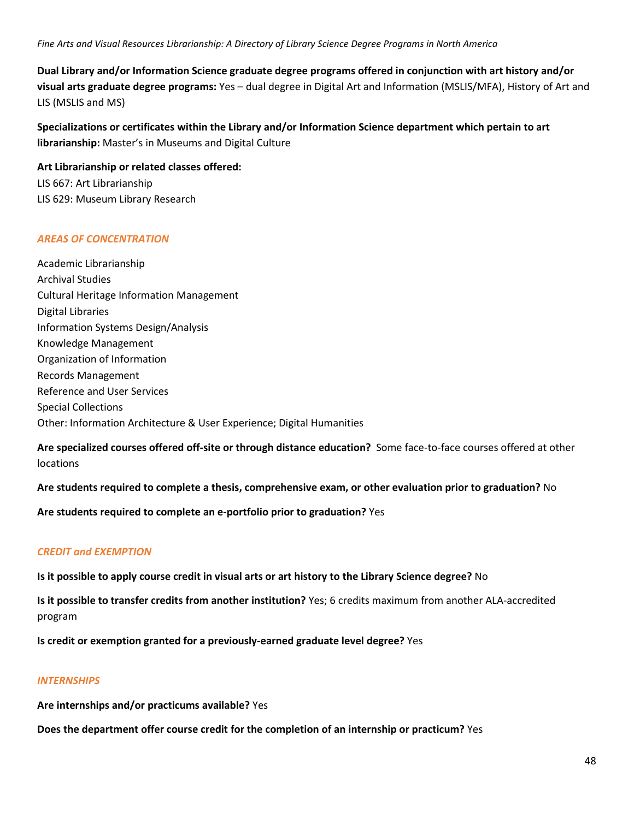**Dual Library and/or Information Science graduate degree programs offered in conjunction with art history and/or visual arts graduate degree programs:** Yes – dual degree in Digital Art and Information (MSLIS/MFA), History of Art and LIS (MSLIS and MS)

**Specializations or certificates within the Library and/or Information Science department which pertain to art librarianship:** Master's in Museums and Digital Culture

**Art Librarianship or related classes offered:** LIS 667: Art Librarianship LIS 629: Museum Library Research

#### *AREAS OF CONCENTRATION*

Academic Librarianship Archival Studies Cultural Heritage Information Management Digital Libraries Information Systems Design/Analysis Knowledge Management Organization of Information Records Management Reference and User Services Special Collections Other: Information Architecture & User Experience; Digital Humanities

**Are specialized courses offered off-site or through distance education?** Some face-to-face courses offered at other locations

**Are students required to complete a thesis, comprehensive exam, or other evaluation prior to graduation?** No

**Are students required to complete an e-portfolio prior to graduation?** Yes

## *CREDIT and EXEMPTION*

**Is it possible to apply course credit in visual arts or art history to the Library Science degree?** No

**Is it possible to transfer credits from another institution?** Yes; 6 credits maximum from another ALA-accredited program

**Is credit or exemption granted for a previously-earned graduate level degree?** Yes

#### *INTERNSHIPS*

**Are internships and/or practicums available?** Yes

**Does the department offer course credit for the completion of an internship or practicum?** Yes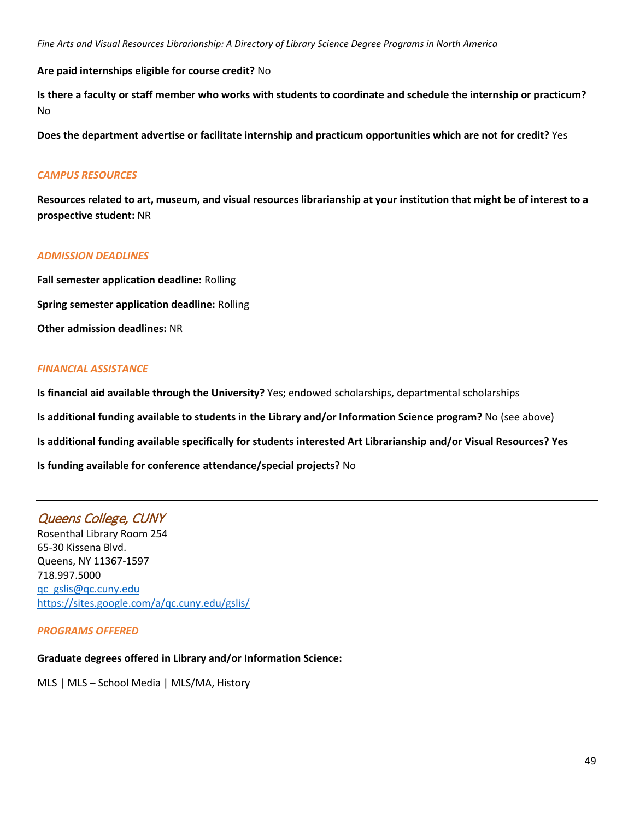**Are paid internships eligible for course credit?** No

**Is there a faculty or staff member who works with students to coordinate and schedule the internship or practicum?** No

**Does the department advertise or facilitate internship and practicum opportunities which are not for credit?** Yes

### *CAMPUS RESOURCES*

**Resources related to art, museum, and visual resources librarianship at your institution that might be of interest to a prospective student:** NR

## *ADMISSION DEADLINES*

**Fall semester application deadline:** Rolling **Spring semester application deadline:** Rolling **Other admission deadlines:** NR

## *FINANCIAL ASSISTANCE*

**Is financial aid available through the University?** Yes; endowed scholarships, departmental scholarships **Is additional funding available to students in the Library and/or Information Science program?** No (see above) **Is additional funding available specifically for students interested Art Librarianship and/or Visual Resources? Yes Is funding available for conference attendance/special projects?** No

# Queens College, CUNY

Rosenthal Library Room 254 65-30 Kissena Blvd. Queens, NY 11367-1597 718.997.5000 [qc\\_gslis@qc.cuny.edu](mailto:qc_gslis@qc.cuny.edu) <https://sites.google.com/a/qc.cuny.edu/gslis/>

*PROGRAMS OFFERED*

## **Graduate degrees offered in Library and/or Information Science:**

MLS | MLS – School Media | MLS/MA, History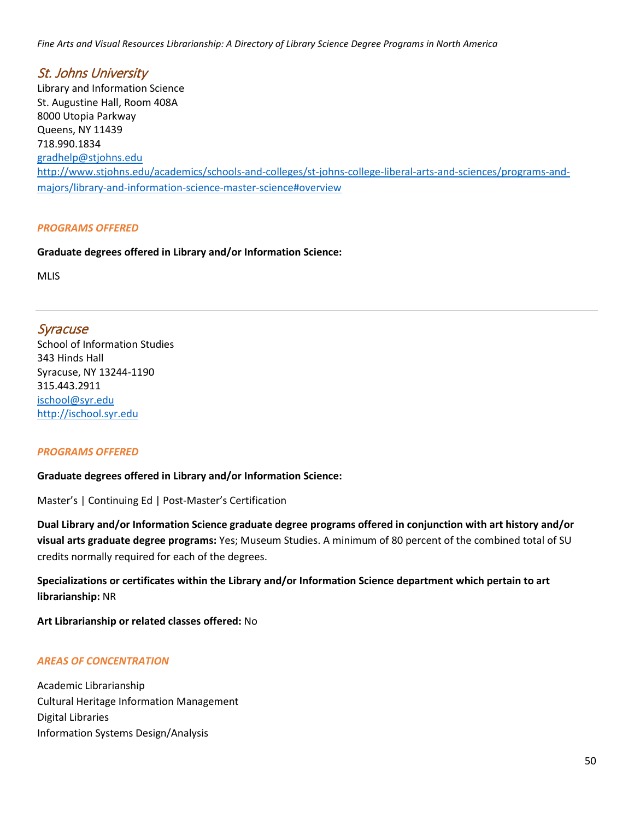St. Johns University Library and Information Science St. Augustine Hall, Room 408A 8000 Utopia Parkway Queens, NY 11439 718.990.1834 [gradhelp@stjohns.edu](mailto:gradhelp@stjohns.edu) [http://www.stjohns.edu/academics/schools-and-colleges/st-johns-college-liberal-arts-and-sciences/programs-and](http://www.stjohns.edu/academics/schools-and-colleges/st-johns-college-liberal-arts-and-sciences/programs-and-majors/library-and-information-science-master-science#overview)[majors/library-and-information-science-master-science#overview](http://www.stjohns.edu/academics/schools-and-colleges/st-johns-college-liberal-arts-and-sciences/programs-and-majors/library-and-information-science-master-science#overview)

#### *PROGRAMS OFFERED*

**Graduate degrees offered in Library and/or Information Science:**

MLIS

## Syracuse

School of Information Studies 343 Hinds Hall Syracuse, NY 13244-1190 315.443.2911 [ischool@syr.edu](mailto:ischool@syr.edu) [http://ischool.syr.edu](http://ischool.syr.edu/)

#### *PROGRAMS OFFERED*

#### **Graduate degrees offered in Library and/or Information Science:**

Master's | Continuing Ed | Post-Master's Certification

**Dual Library and/or Information Science graduate degree programs offered in conjunction with art history and/or visual arts graduate degree programs:** Yes; Museum Studies. A minimum of 80 percent of the combined total of SU credits normally required for each of the degrees.

## **Specializations or certificates within the Library and/or Information Science department which pertain to art librarianship:** NR

**Art Librarianship or related classes offered:** No

#### *AREAS OF CONCENTRATION*

Academic Librarianship Cultural Heritage Information Management Digital Libraries Information Systems Design/Analysis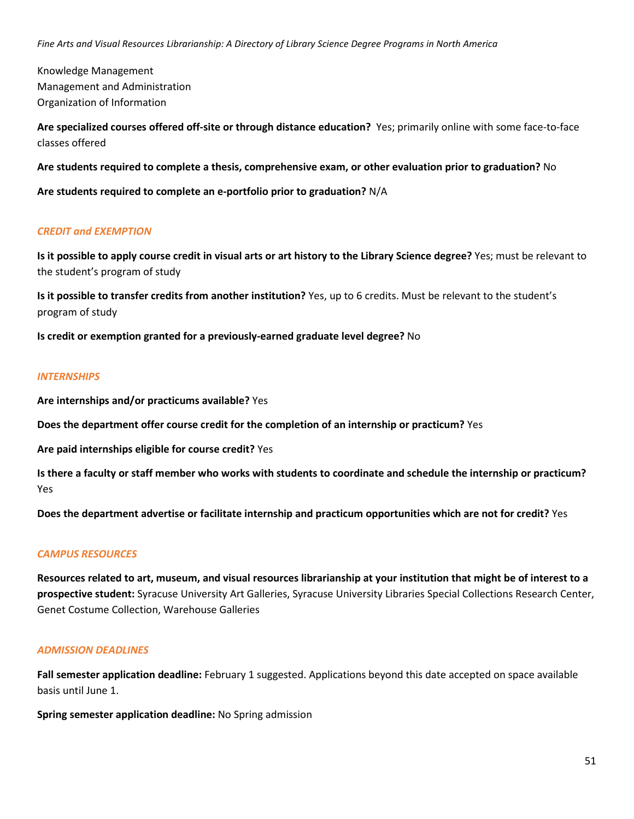Knowledge Management Management and Administration Organization of Information

**Are specialized courses offered off-site or through distance education?** Yes; primarily online with some face-to-face classes offered

**Are students required to complete a thesis, comprehensive exam, or other evaluation prior to graduation?** No

**Are students required to complete an e-portfolio prior to graduation?** N/A

#### *CREDIT and EXEMPTION*

**Is it possible to apply course credit in visual arts or art history to the Library Science degree?** Yes; must be relevant to the student's program of study

**Is it possible to transfer credits from another institution?** Yes, up to 6 credits. Must be relevant to the student's program of study

**Is credit or exemption granted for a previously-earned graduate level degree?** No

#### *INTERNSHIPS*

**Are internships and/or practicums available?** Yes

**Does the department offer course credit for the completion of an internship or practicum?** Yes

**Are paid internships eligible for course credit?** Yes

**Is there a faculty or staff member who works with students to coordinate and schedule the internship or practicum?** Yes

**Does the department advertise or facilitate internship and practicum opportunities which are not for credit?** Yes

### *CAMPUS RESOURCES*

**Resources related to art, museum, and visual resources librarianship at your institution that might be of interest to a prospective student:** Syracuse University Art Galleries, Syracuse University Libraries Special Collections Research Center, Genet Costume Collection, Warehouse Galleries

#### *ADMISSION DEADLINES*

**Fall semester application deadline:** February 1 suggested. Applications beyond this date accepted on space available basis until June 1.

**Spring semester application deadline:** No Spring admission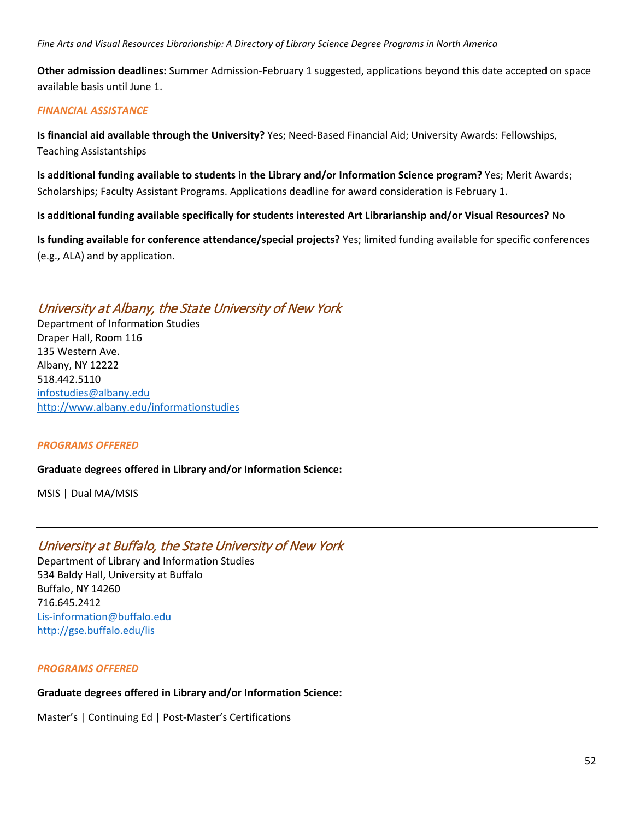**Other admission deadlines:** Summer Admission-February 1 suggested, applications beyond this date accepted on space available basis until June 1.

### *FINANCIAL ASSISTANCE*

**Is financial aid available through the University?** Yes; Need-Based Financial Aid; University Awards: Fellowships, Teaching Assistantships

**Is additional funding available to students in the Library and/or Information Science program?** Yes; Merit Awards; Scholarships; Faculty Assistant Programs. Applications deadline for award consideration is February 1.

**Is additional funding available specifically for students interested Art Librarianship and/or Visual Resources?** No

**Is funding available for conference attendance/special projects?** Yes; limited funding available for specific conferences (e.g., ALA) and by application.

# University at Albany, the State University of New York

Department of Information Studies Draper Hall, Room 116 135 Western Ave. Albany, NY 12222 518.442.5110 [infostudies@albany.edu](mailto:infostudies@albany.edu) <http://www.albany.edu/informationstudies>

### *PROGRAMS OFFERED*

### **Graduate degrees offered in Library and/or Information Science:**

MSIS | Dual MA/MSIS

# University at Buffalo, the State University of New York

Department of Library and Information Studies 534 Baldy Hall, University at Buffalo Buffalo, NY 14260 716.645.2412 [Lis-information@buffalo.edu](mailto:Lis-information@buffalo.edu) <http://gse.buffalo.edu/lis>

### *PROGRAMS OFFERED*

### **Graduate degrees offered in Library and/or Information Science:**

Master's | Continuing Ed | Post-Master's Certifications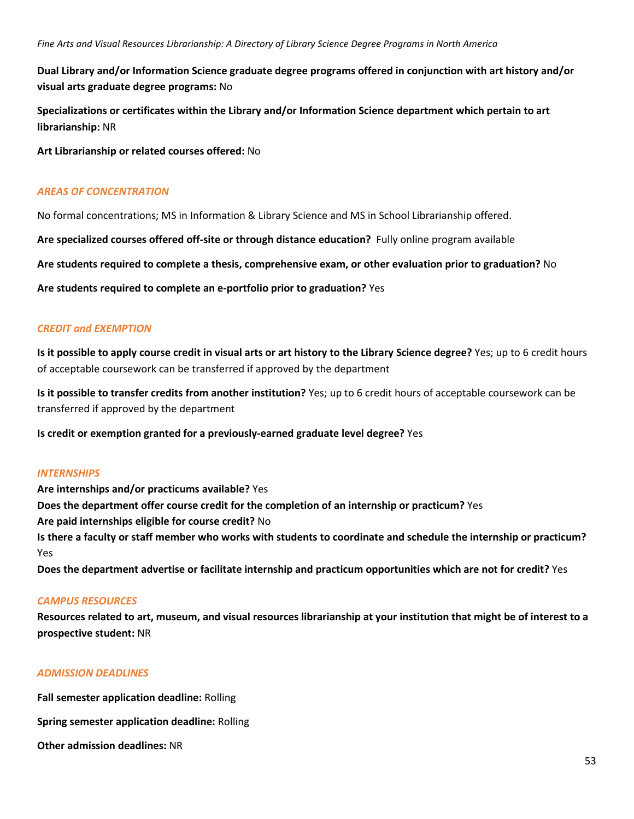**Dual Library and/or Information Science graduate degree programs offered in conjunction with art history and/or visual arts graduate degree programs:** No

**Specializations or certificates within the Library and/or Information Science department which pertain to art librarianship:** NR

**Art Librarianship or related courses offered:** No

#### *AREAS OF CONCENTRATION*

No formal concentrations; MS in Information & Library Science and MS in School Librarianship offered.

**Are specialized courses offered off-site or through distance education?** Fully online program available

**Are students required to complete a thesis, comprehensive exam, or other evaluation prior to graduation?** No

**Are students required to complete an e-portfolio prior to graduation?** Yes

#### *CREDIT and EXEMPTION*

**Is it possible to apply course credit in visual arts or art history to the Library Science degree?** Yes; up to 6 credit hours of acceptable coursework can be transferred if approved by the department

**Is it possible to transfer credits from another institution?** Yes; up to 6 credit hours of acceptable coursework can be transferred if approved by the department

**Is credit or exemption granted for a previously-earned graduate level degree?** Yes

#### *INTERNSHIPS*

**Are internships and/or practicums available?** Yes **Does the department offer course credit for the completion of an internship or practicum?** Yes **Are paid internships eligible for course credit?** No **Is there a faculty or staff member who works with students to coordinate and schedule the internship or practicum?** Yes

**Does the department advertise or facilitate internship and practicum opportunities which are not for credit?** Yes

### *CAMPUS RESOURCES*

**Resources related to art, museum, and visual resources librarianship at your institution that might be of interest to a prospective student:** NR

### *ADMISSION DEADLINES*

**Fall semester application deadline:** Rolling

**Spring semester application deadline:** Rolling

**Other admission deadlines:** NR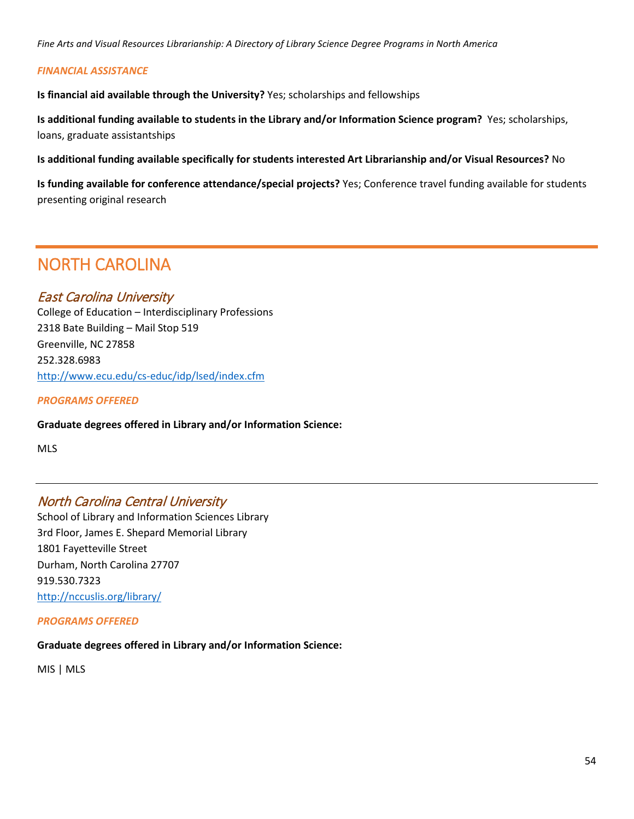#### *FINANCIAL ASSISTANCE*

**Is financial aid available through the University?** Yes; scholarships and fellowships

**Is additional funding available to students in the Library and/or Information Science program?** Yes; scholarships, loans, graduate assistantships

**Is additional funding available specifically for students interested Art Librarianship and/or Visual Resources?** No

**Is funding available for conference attendance/special projects?** Yes; Conference travel funding available for students presenting original research

# NORTH CAROLINA

# East Carolina University

College of Education – Interdisciplinary Professions 2318 Bate Building – Mail Stop 519 Greenville, NC 27858 252.328.6983 <http://www.ecu.edu/cs-educ/idp/lsed/index.cfm>

*PROGRAMS OFFERED*

**Graduate degrees offered in Library and/or Information Science:**

MLS

# North Carolina Central University

School of Library and Information Sciences Library 3rd Floor, James E. Shepard Memorial Library 1801 Fayetteville Street Durham, North Carolina 27707 919.530.7323 <http://nccuslis.org/library/>

### *PROGRAMS OFFERED*

### **Graduate degrees offered in Library and/or Information Science:**

MIS | MLS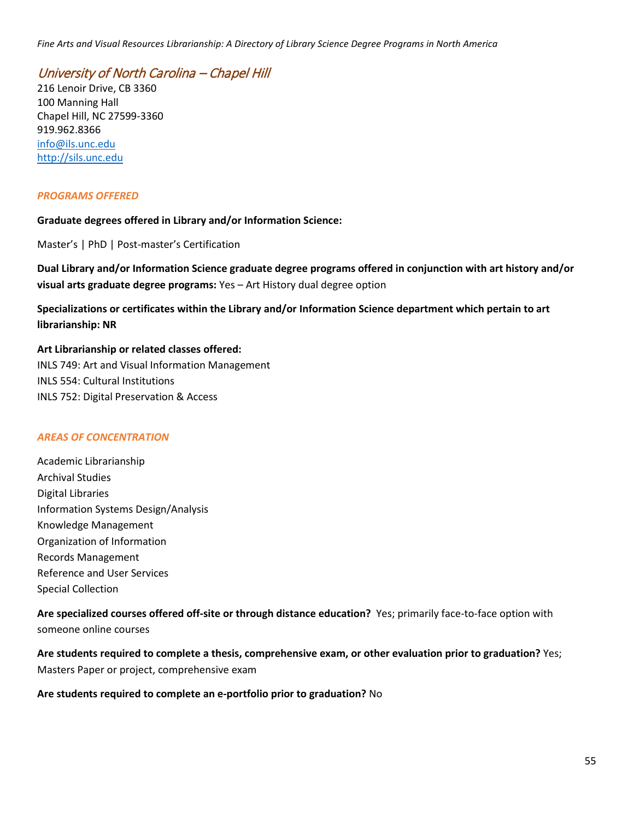# University of North Carolina – Chapel Hill

216 Lenoir Drive, CB 3360 100 Manning Hall Chapel Hill, NC 27599-3360 919.962.8366 [info@ils.unc.edu](mailto:info@ils.unc.edu) [http://sils.unc.edu](http://sils.unc.edu/)

#### *PROGRAMS OFFERED*

#### **Graduate degrees offered in Library and/or Information Science:**

Master's | PhD | Post-master's Certification

**Dual Library and/or Information Science graduate degree programs offered in conjunction with art history and/or visual arts graduate degree programs:** Yes – Art History dual degree option

**Specializations or certificates within the Library and/or Information Science department which pertain to art librarianship: NR**

**Art Librarianship or related classes offered:** INLS 749: Art and Visual Information Management INLS 554: Cultural Institutions INLS 752: Digital Preservation & Access

### *AREAS OF CONCENTRATION*

Academic Librarianship Archival Studies Digital Libraries Information Systems Design/Analysis Knowledge Management Organization of Information Records Management Reference and User Services Special Collection

**Are specialized courses offered off-site or through distance education?** Yes; primarily face-to-face option with someone online courses

**Are students required to complete a thesis, comprehensive exam, or other evaluation prior to graduation?** Yes; Masters Paper or project, comprehensive exam

**Are students required to complete an e-portfolio prior to graduation?** No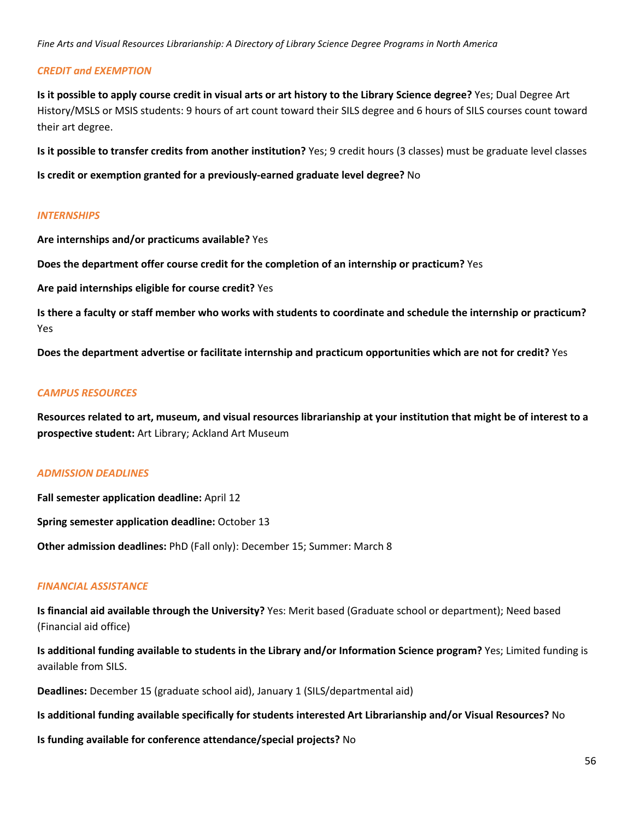#### *CREDIT and EXEMPTION*

**Is it possible to apply course credit in visual arts or art history to the Library Science degree?** Yes; Dual Degree Art History/MSLS or MSIS students: 9 hours of art count toward their SILS degree and 6 hours of SILS courses count toward their art degree.

**Is it possible to transfer credits from another institution?** Yes; 9 credit hours (3 classes) must be graduate level classes

**Is credit or exemption granted for a previously-earned graduate level degree?** No

#### *INTERNSHIPS*

**Are internships and/or practicums available?** Yes

**Does the department offer course credit for the completion of an internship or practicum?** Yes

**Are paid internships eligible for course credit?** Yes

**Is there a faculty or staff member who works with students to coordinate and schedule the internship or practicum?** Yes

**Does the department advertise or facilitate internship and practicum opportunities which are not for credit?** Yes

#### *CAMPUS RESOURCES*

**Resources related to art, museum, and visual resources librarianship at your institution that might be of interest to a prospective student:** Art Library; Ackland Art Museum

#### *ADMISSION DEADLINES*

**Fall semester application deadline:** April 12

**Spring semester application deadline:** October 13

**Other admission deadlines:** PhD (Fall only): December 15; Summer: March 8

### *FINANCIAL ASSISTANCE*

**Is financial aid available through the University?** Yes: Merit based (Graduate school or department); Need based (Financial aid office)

**Is additional funding available to students in the Library and/or Information Science program?** Yes; Limited funding is available from SILS.

**Deadlines:** December 15 (graduate school aid), January 1 (SILS/departmental aid)

**Is additional funding available specifically for students interested Art Librarianship and/or Visual Resources?** No

**Is funding available for conference attendance/special projects?** No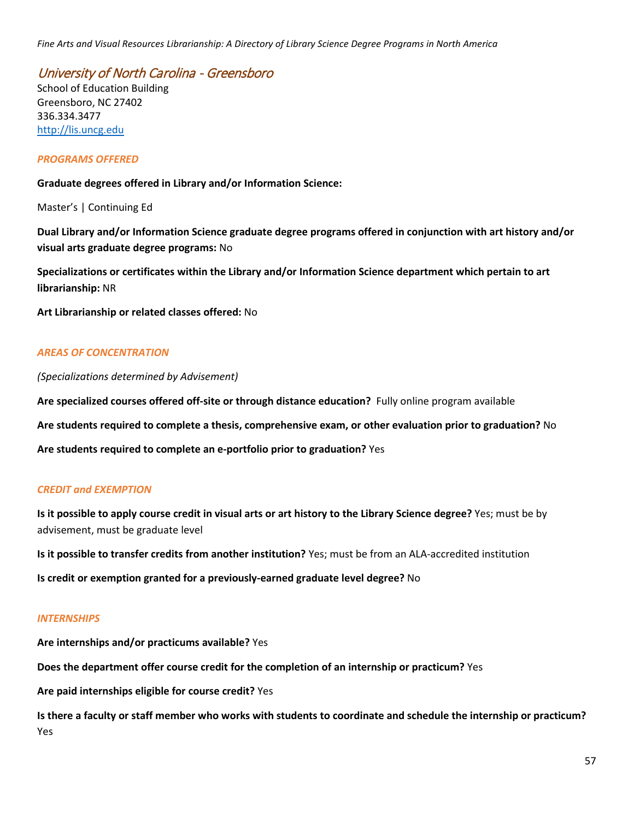University of North Carolina - Greensboro

School of Education Building Greensboro, NC 27402 336.334.3477 [http://lis.uncg.edu](http://lis.uncg.edu/)

#### *PROGRAMS OFFERED*

**Graduate degrees offered in Library and/or Information Science:**

Master's | Continuing Ed

**Dual Library and/or Information Science graduate degree programs offered in conjunction with art history and/or visual arts graduate degree programs:** No

**Specializations or certificates within the Library and/or Information Science department which pertain to art librarianship:** NR

**Art Librarianship or related classes offered:** No

### *AREAS OF CONCENTRATION*

*(Specializations determined by Advisement)*

**Are specialized courses offered off-site or through distance education?** Fully online program available

**Are students required to complete a thesis, comprehensive exam, or other evaluation prior to graduation?** No

**Are students required to complete an e-portfolio prior to graduation?** Yes

### *CREDIT and EXEMPTION*

**Is it possible to apply course credit in visual arts or art history to the Library Science degree?** Yes; must be by advisement, must be graduate level

**Is it possible to transfer credits from another institution?** Yes; must be from an ALA-accredited institution

**Is credit or exemption granted for a previously-earned graduate level degree?** No

#### *INTERNSHIPS*

**Are internships and/or practicums available?** Yes

**Does the department offer course credit for the completion of an internship or practicum?** Yes

**Are paid internships eligible for course credit?** Yes

**Is there a faculty or staff member who works with students to coordinate and schedule the internship or practicum?** Yes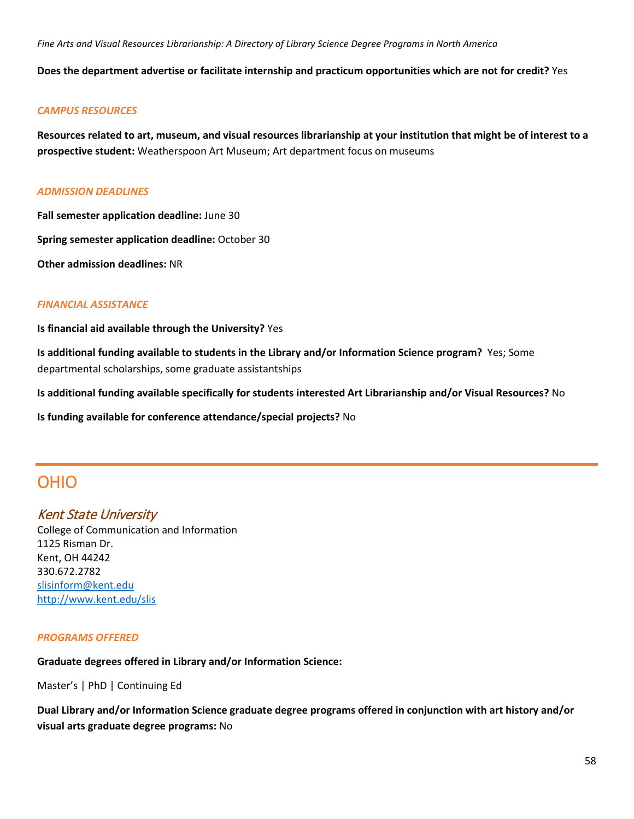**Does the department advertise or facilitate internship and practicum opportunities which are not for credit?** Yes

### *CAMPUS RESOURCES*

**Resources related to art, museum, and visual resources librarianship at your institution that might be of interest to a prospective student:** Weatherspoon Art Museum; Art department focus on museums

#### *ADMISSION DEADLINES*

**Fall semester application deadline:** June 30

**Spring semester application deadline:** October 30

**Other admission deadlines:** NR

## *FINANCIAL ASSISTANCE*

**Is financial aid available through the University?** Yes

**Is additional funding available to students in the Library and/or Information Science program?** Yes; Some departmental scholarships, some graduate assistantships

**Is additional funding available specifically for students interested Art Librarianship and/or Visual Resources?** No

**Is funding available for conference attendance/special projects?** No

# OHIO

# Kent State University

College of Communication and Information 1125 Risman Dr. Kent, OH 44242 330.672.2782 [slisinform@kent.edu](mailto:slisinform@kent.edu) <http://www.kent.edu/slis>

### *PROGRAMS OFFERED*

**Graduate degrees offered in Library and/or Information Science:**

Master's | PhD | Continuing Ed

**Dual Library and/or Information Science graduate degree programs offered in conjunction with art history and/or visual arts graduate degree programs:** No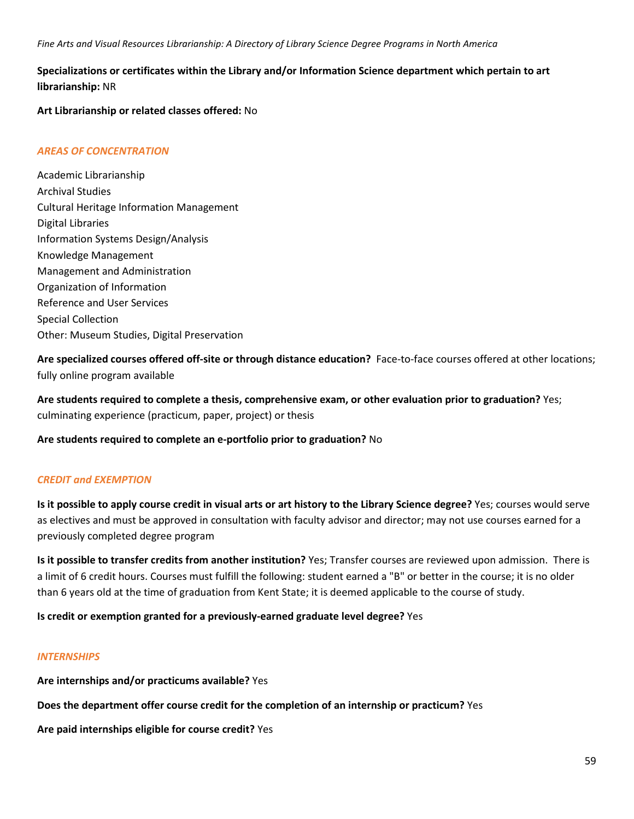## **Specializations or certificates within the Library and/or Information Science department which pertain to art librarianship:** NR

**Art Librarianship or related classes offered:** No

### *AREAS OF CONCENTRATION*

Academic Librarianship Archival Studies Cultural Heritage Information Management Digital Libraries Information Systems Design/Analysis Knowledge Management Management and Administration Organization of Information Reference and User Services Special Collection Other: Museum Studies, Digital Preservation

**Are specialized courses offered off-site or through distance education?** Face-to-face courses offered at other locations; fully online program available

**Are students required to complete a thesis, comprehensive exam, or other evaluation prior to graduation?** Yes; culminating experience (practicum, paper, project) or thesis

**Are students required to complete an e-portfolio prior to graduation?** No

### *CREDIT and EXEMPTION*

**Is it possible to apply course credit in visual arts or art history to the Library Science degree?** Yes; courses would serve as electives and must be approved in consultation with faculty advisor and director; may not use courses earned for a previously completed degree program

**Is it possible to transfer credits from another institution?** Yes; Transfer courses are reviewed upon admission. There is a limit of 6 credit hours. Courses must fulfill the following: student earned a "B" or better in the course; it is no older than 6 years old at the time of graduation from Kent State; it is deemed applicable to the course of study.

### **Is credit or exemption granted for a previously-earned graduate level degree?** Yes

### *INTERNSHIPS*

**Are internships and/or practicums available?** Yes

**Does the department offer course credit for the completion of an internship or practicum?** Yes

**Are paid internships eligible for course credit?** Yes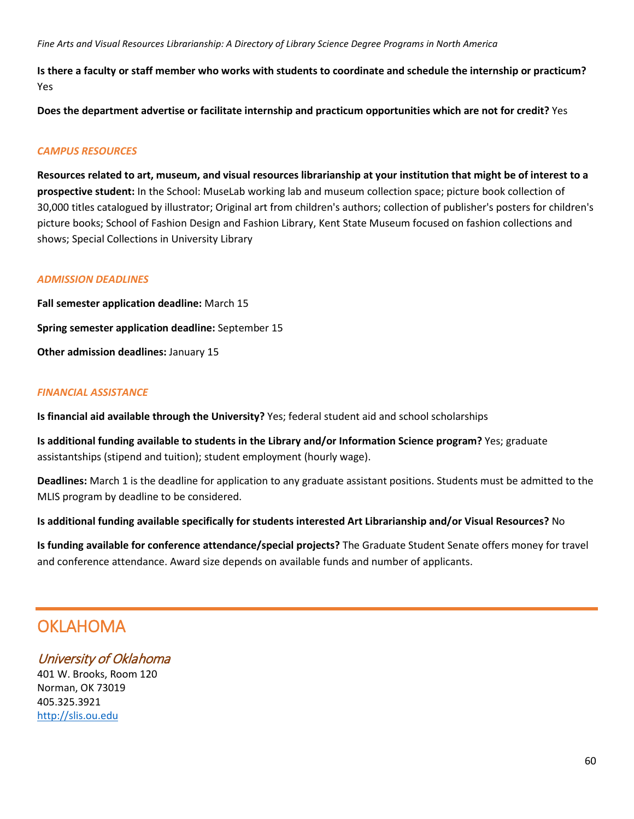**Is there a faculty or staff member who works with students to coordinate and schedule the internship or practicum?** Yes

**Does the department advertise or facilitate internship and practicum opportunities which are not for credit?** Yes

## *CAMPUS RESOURCES*

**Resources related to art, museum, and visual resources librarianship at your institution that might be of interest to a prospective student:** In the School: MuseLab working lab and museum collection space; picture book collection of 30,000 titles catalogued by illustrator; Original art from children's authors; collection of publisher's posters for children's picture books; School of Fashion Design and Fashion Library, Kent State Museum focused on fashion collections and shows; Special Collections in University Library

#### *ADMISSION DEADLINES*

**Fall semester application deadline:** March 15 **Spring semester application deadline:** September 15 **Other admission deadlines:** January 15

#### *FINANCIAL ASSISTANCE*

**Is financial aid available through the University?** Yes; federal student aid and school scholarships

**Is additional funding available to students in the Library and/or Information Science program?** Yes; graduate assistantships (stipend and tuition); student employment (hourly wage).

**Deadlines:** March 1 is the deadline for application to any graduate assistant positions. Students must be admitted to the MLIS program by deadline to be considered.

**Is additional funding available specifically for students interested Art Librarianship and/or Visual Resources?** No

**Is funding available for conference attendance/special projects?** The Graduate Student Senate offers money for travel and conference attendance. Award size depends on available funds and number of applicants.

# **OKLAHOMA**

# University of Oklahoma

401 W. Brooks, Room 120 Norman, OK 73019 405.325.3921 [http://slis.ou.edu](http://slis.ou.edu/)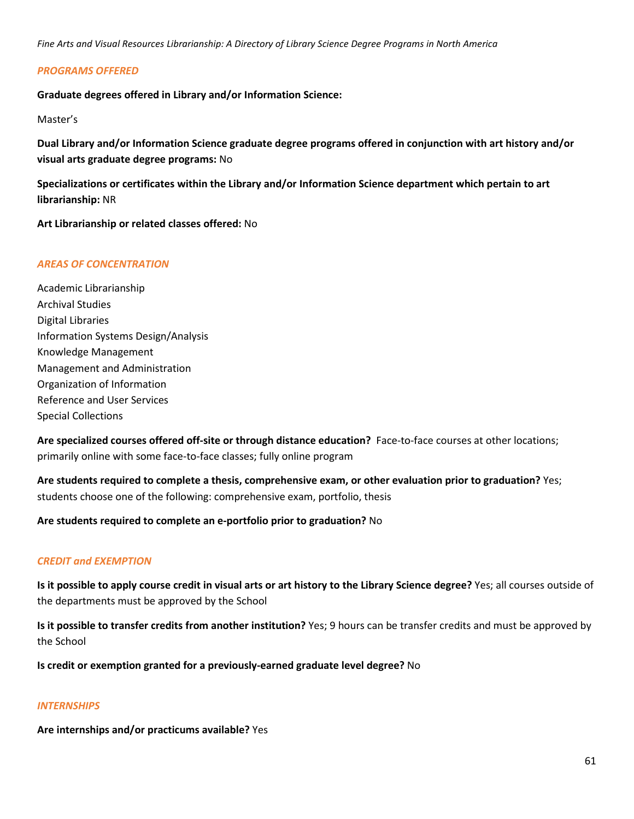### *PROGRAMS OFFERED*

**Graduate degrees offered in Library and/or Information Science:**

#### Master's

**Dual Library and/or Information Science graduate degree programs offered in conjunction with art history and/or visual arts graduate degree programs:** No

**Specializations or certificates within the Library and/or Information Science department which pertain to art librarianship:** NR

**Art Librarianship or related classes offered:** No

#### *AREAS OF CONCENTRATION*

Academic Librarianship Archival Studies Digital Libraries Information Systems Design/Analysis Knowledge Management Management and Administration Organization of Information Reference and User Services Special Collections

**Are specialized courses offered off-site or through distance education?** Face-to-face courses at other locations; primarily online with some face-to-face classes; fully online program

**Are students required to complete a thesis, comprehensive exam, or other evaluation prior to graduation?** Yes; students choose one of the following: comprehensive exam, portfolio, thesis

### **Are students required to complete an e-portfolio prior to graduation?** No

### *CREDIT and EXEMPTION*

**Is it possible to apply course credit in visual arts or art history to the Library Science degree?** Yes; all courses outside of the departments must be approved by the School

**Is it possible to transfer credits from another institution?** Yes; 9 hours can be transfer credits and must be approved by the School

**Is credit or exemption granted for a previously-earned graduate level degree?** No

#### *INTERNSHIPS*

**Are internships and/or practicums available?** Yes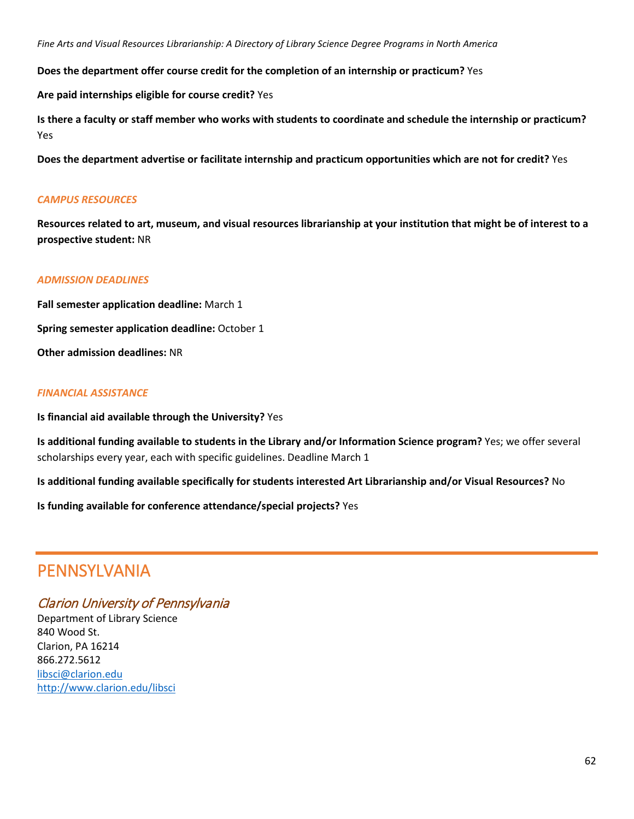**Does the department offer course credit for the completion of an internship or practicum?** Yes

**Are paid internships eligible for course credit?** Yes

**Is there a faculty or staff member who works with students to coordinate and schedule the internship or practicum?** Yes

**Does the department advertise or facilitate internship and practicum opportunities which are not for credit?** Yes

### *CAMPUS RESOURCES*

**Resources related to art, museum, and visual resources librarianship at your institution that might be of interest to a prospective student:** NR

### *ADMISSION DEADLINES*

**Fall semester application deadline:** March 1 **Spring semester application deadline:** October 1 **Other admission deadlines:** NR

#### *FINANCIAL ASSISTANCE*

**Is financial aid available through the University?** Yes

**Is additional funding available to students in the Library and/or Information Science program?** Yes; we offer several scholarships every year, each with specific guidelines. Deadline March 1

**Is additional funding available specifically for students interested Art Librarianship and/or Visual Resources?** No

**Is funding available for conference attendance/special projects?** Yes

# PENNSYLVANIA

## Clarion University of Pennsylvania

Department of Library Science 840 Wood St. Clarion, PA 16214 866.272.5612 [libsci@clarion.edu](mailto:libsci@clarion.edu) <http://www.clarion.edu/libsci>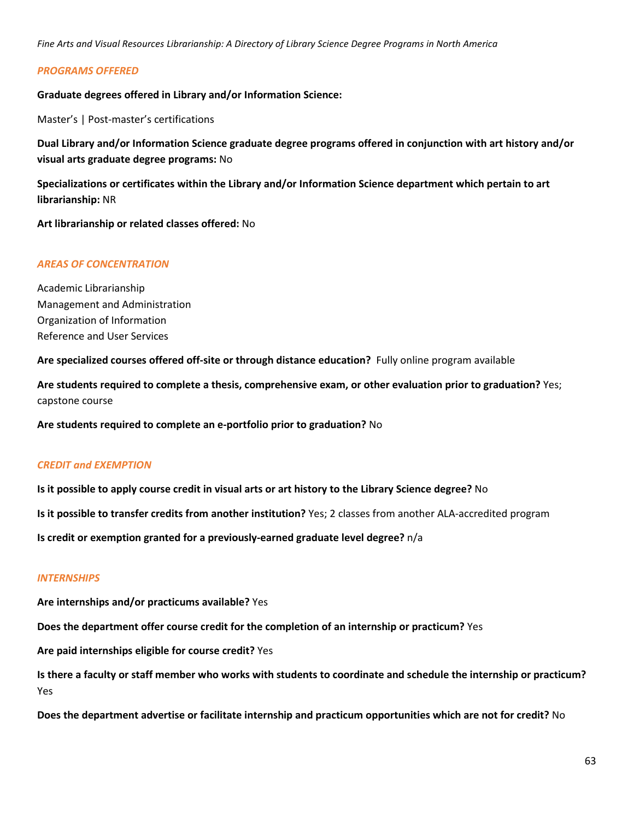#### *PROGRAMS OFFERED*

**Graduate degrees offered in Library and/or Information Science:**

Master's | Post-master's certifications

**Dual Library and/or Information Science graduate degree programs offered in conjunction with art history and/or visual arts graduate degree programs:** No

**Specializations or certificates within the Library and/or Information Science department which pertain to art librarianship:** NR

**Art librarianship or related classes offered:** No

#### *AREAS OF CONCENTRATION*

Academic Librarianship Management and Administration Organization of Information Reference and User Services

**Are specialized courses offered off-site or through distance education?** Fully online program available

**Are students required to complete a thesis, comprehensive exam, or other evaluation prior to graduation?** Yes; capstone course

**Are students required to complete an e-portfolio prior to graduation?** No

#### *CREDIT and EXEMPTION*

**Is it possible to apply course credit in visual arts or art history to the Library Science degree?** No

**Is it possible to transfer credits from another institution?** Yes; 2 classes from another ALA-accredited program

**Is credit or exemption granted for a previously-earned graduate level degree?** n/a

#### *INTERNSHIPS*

**Are internships and/or practicums available?** Yes

**Does the department offer course credit for the completion of an internship or practicum?** Yes

**Are paid internships eligible for course credit?** Yes

**Is there a faculty or staff member who works with students to coordinate and schedule the internship or practicum?** Yes

**Does the department advertise or facilitate internship and practicum opportunities which are not for credit?** No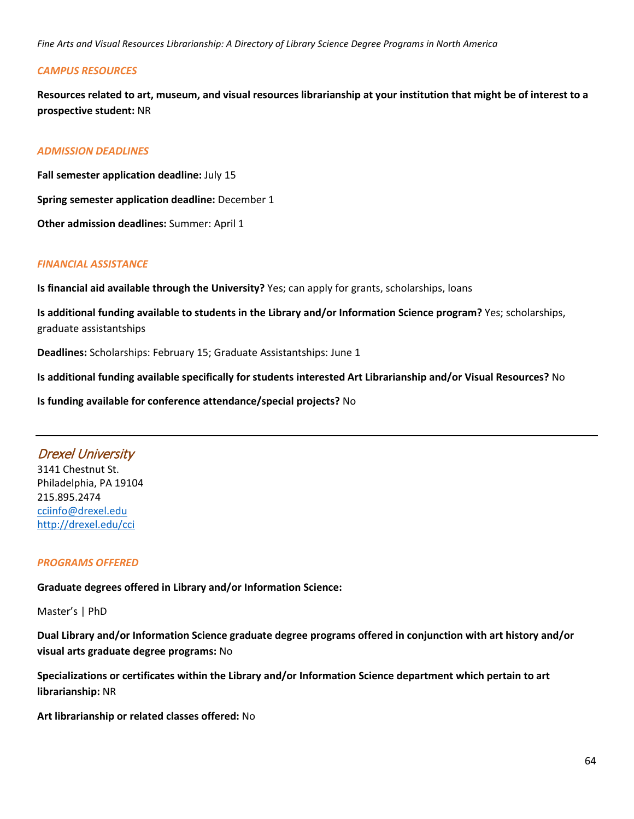### *CAMPUS RESOURCES*

**Resources related to art, museum, and visual resources librarianship at your institution that might be of interest to a prospective student:** NR

### *ADMISSION DEADLINES*

**Fall semester application deadline:** July 15 **Spring semester application deadline:** December 1 **Other admission deadlines:** Summer: April 1

### *FINANCIAL ASSISTANCE*

**Is financial aid available through the University?** Yes; can apply for grants, scholarships, loans

**Is additional funding available to students in the Library and/or Information Science program?** Yes; scholarships, graduate assistantships

**Deadlines:** Scholarships: February 15; Graduate Assistantships: June 1

**Is additional funding available specifically for students interested Art Librarianship and/or Visual Resources?** No

**Is funding available for conference attendance/special projects?** No

# Drexel University

3141 Chestnut St. Philadelphia, PA 19104 215.895.2474 [cciinfo@drexel.edu](mailto:cciinfo@drexel.edu) <http://drexel.edu/cci>

### *PROGRAMS OFFERED*

**Graduate degrees offered in Library and/or Information Science:**

Master's | PhD

**Dual Library and/or Information Science graduate degree programs offered in conjunction with art history and/or visual arts graduate degree programs:** No

**Specializations or certificates within the Library and/or Information Science department which pertain to art librarianship:** NR

**Art librarianship or related classes offered:** No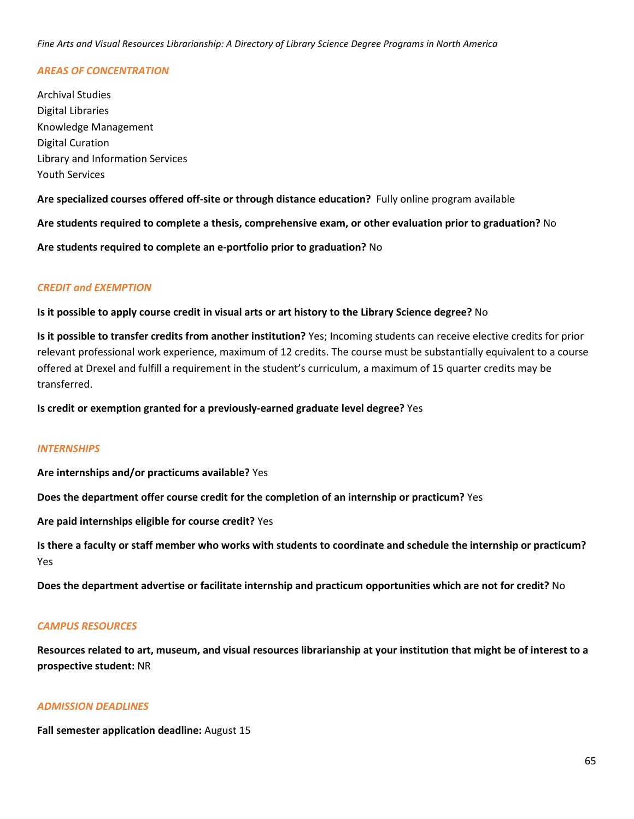### *AREAS OF CONCENTRATION*

Archival Studies Digital Libraries Knowledge Management Digital Curation Library and Information Services Youth Services

**Are specialized courses offered off-site or through distance education?** Fully online program available

**Are students required to complete a thesis, comprehensive exam, or other evaluation prior to graduation?** No

**Are students required to complete an e-portfolio prior to graduation?** No

### *CREDIT and EXEMPTION*

#### **Is it possible to apply course credit in visual arts or art history to the Library Science degree?** No

**Is it possible to transfer credits from another institution?** Yes; Incoming students can receive elective credits for prior relevant professional work experience, maximum of 12 credits. The course must be substantially equivalent to a course offered at Drexel and fulfill a requirement in the student's curriculum, a maximum of 15 quarter credits may be transferred.

**Is credit or exemption granted for a previously-earned graduate level degree?** Yes

### *INTERNSHIPS*

**Are internships and/or practicums available?** Yes

**Does the department offer course credit for the completion of an internship or practicum?** Yes

**Are paid internships eligible for course credit?** Yes

**Is there a faculty or staff member who works with students to coordinate and schedule the internship or practicum?** Yes

**Does the department advertise or facilitate internship and practicum opportunities which are not for credit?** No

### *CAMPUS RESOURCES*

**Resources related to art, museum, and visual resources librarianship at your institution that might be of interest to a prospective student:** NR

#### *ADMISSION DEADLINES*

**Fall semester application deadline:** August 15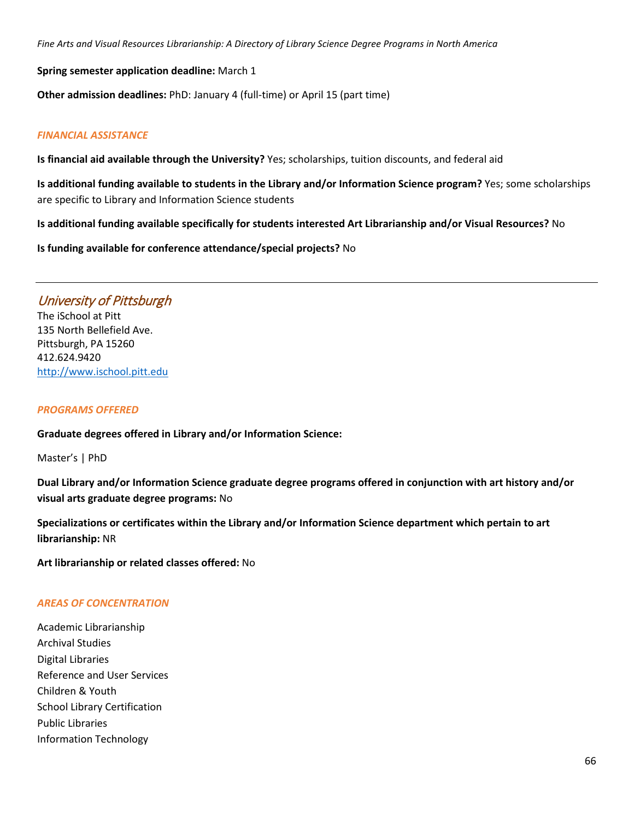**Spring semester application deadline:** March 1

**Other admission deadlines:** PhD: January 4 (full-time) or April 15 (part time)

### *FINANCIAL ASSISTANCE*

**Is financial aid available through the University?** Yes; scholarships, tuition discounts, and federal aid

**Is additional funding available to students in the Library and/or Information Science program?** Yes; some scholarships are specific to Library and Information Science students

**Is additional funding available specifically for students interested Art Librarianship and/or Visual Resources?** No

**Is funding available for conference attendance/special projects?** No

# University of Pittsburgh

The iSchool at Pitt 135 North Bellefield Ave. Pittsburgh, PA 15260 412.624.9420 [http://www.ischool.pitt.edu](http://www.ischool.pitt.edu/)

#### *PROGRAMS OFFERED*

**Graduate degrees offered in Library and/or Information Science:**

Master's | PhD

**Dual Library and/or Information Science graduate degree programs offered in conjunction with art history and/or visual arts graduate degree programs:** No

**Specializations or certificates within the Library and/or Information Science department which pertain to art librarianship:** NR

**Art librarianship or related classes offered:** No

### *AREAS OF CONCENTRATION*

Academic Librarianship Archival Studies Digital Libraries Reference and User Services Children & Youth School Library Certification Public Libraries Information Technology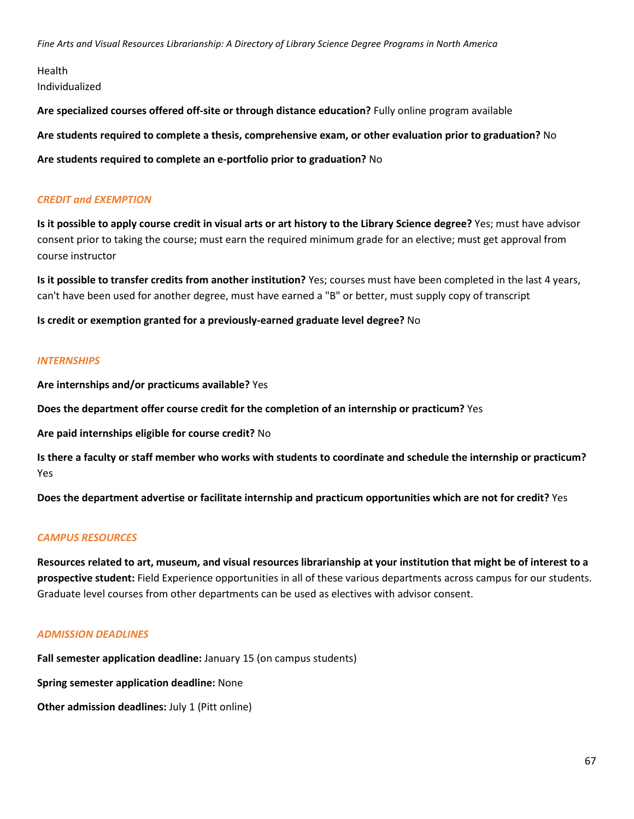Health Individualized

**Are specialized courses offered off-site or through distance education?** Fully online program available

**Are students required to complete a thesis, comprehensive exam, or other evaluation prior to graduation?** No

**Are students required to complete an e-portfolio prior to graduation?** No

### *CREDIT and EXEMPTION*

**Is it possible to apply course credit in visual arts or art history to the Library Science degree?** Yes; must have advisor consent prior to taking the course; must earn the required minimum grade for an elective; must get approval from course instructor

**Is it possible to transfer credits from another institution?** Yes; courses must have been completed in the last 4 years, can't have been used for another degree, must have earned a "B" or better, must supply copy of transcript

**Is credit or exemption granted for a previously-earned graduate level degree?** No

#### *INTERNSHIPS*

**Are internships and/or practicums available?** Yes

**Does the department offer course credit for the completion of an internship or practicum?** Yes

**Are paid internships eligible for course credit?** No

**Is there a faculty or staff member who works with students to coordinate and schedule the internship or practicum?** Yes

**Does the department advertise or facilitate internship and practicum opportunities which are not for credit?** Yes

### *CAMPUS RESOURCES*

**Resources related to art, museum, and visual resources librarianship at your institution that might be of interest to a prospective student:** Field Experience opportunities in all of these various departments across campus for our students. Graduate level courses from other departments can be used as electives with advisor consent.

### *ADMISSION DEADLINES*

**Fall semester application deadline:** January 15 (on campus students)

**Spring semester application deadline:** None

**Other admission deadlines:** July 1 (Pitt online)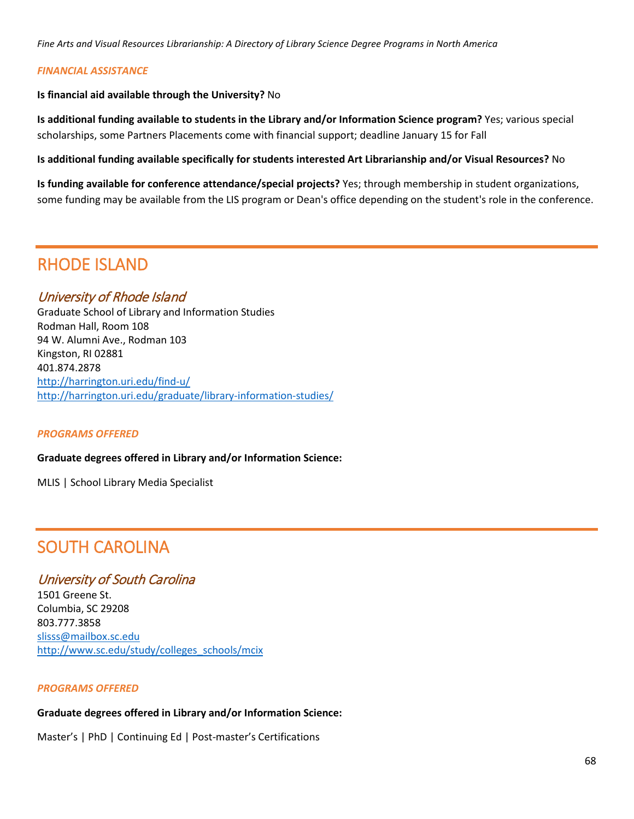### *FINANCIAL ASSISTANCE*

**Is financial aid available through the University?** No

**Is additional funding available to students in the Library and/or Information Science program?** Yes; various special scholarships, some Partners Placements come with financial support; deadline January 15 for Fall

**Is additional funding available specifically for students interested Art Librarianship and/or Visual Resources?** No

**Is funding available for conference attendance/special projects?** Yes; through membership in student organizations, some funding may be available from the LIS program or Dean's office depending on the student's role in the conference.

# RHODE ISLAND

## University of Rhode Island

Graduate School of Library and Information Studies Rodman Hall, Room 108 94 W. Alumni Ave., Rodman 103 Kingston, RI 02881 401.874.2878 <http://harrington.uri.edu/find-u/> <http://harrington.uri.edu/graduate/library-information-studies/>

### *PROGRAMS OFFERED*

#### **Graduate degrees offered in Library and/or Information Science:**

MLIS | School Library Media Specialist

# SOUTH CAROLINA

# University of South Carolina

1501 Greene St. Columbia, SC 29208 803.777.3858 [slisss@mailbox.sc.edu](mailto:slisss@mailbox.sc.edu) [http://www.sc.edu/study/colleges\\_schools/mcix](http://www.sc.edu/study/colleges_schools/mcix)

#### *PROGRAMS OFFERED*

# **Graduate degrees offered in Library and/or Information Science:**

Master's | PhD | Continuing Ed | Post-master's Certifications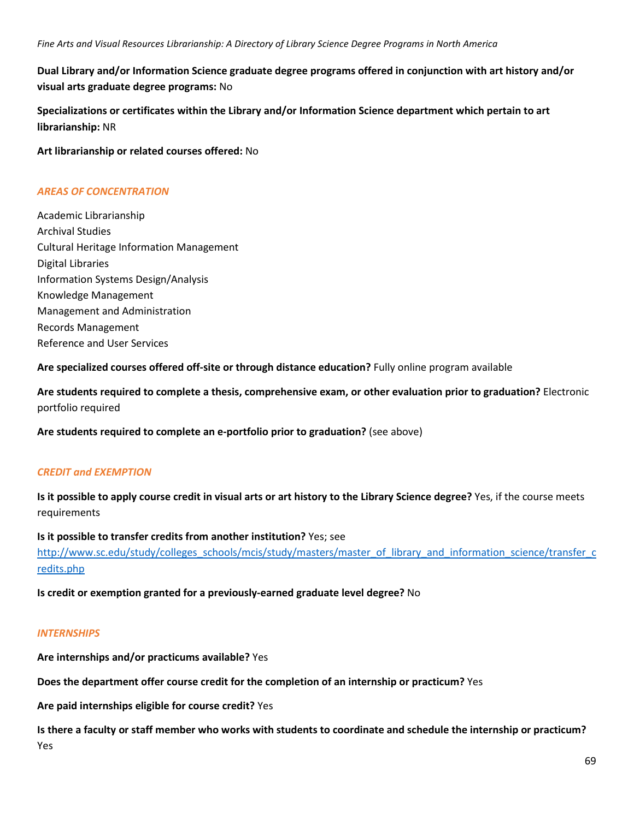**Dual Library and/or Information Science graduate degree programs offered in conjunction with art history and/or visual arts graduate degree programs:** No

**Specializations or certificates within the Library and/or Information Science department which pertain to art librarianship:** NR

**Art librarianship or related courses offered:** No

### *AREAS OF CONCENTRATION*

Academic Librarianship Archival Studies Cultural Heritage Information Management Digital Libraries Information Systems Design/Analysis Knowledge Management Management and Administration Records Management Reference and User Services

**Are specialized courses offered off-site or through distance education?** Fully online program available

**Are students required to complete a thesis, comprehensive exam, or other evaluation prior to graduation?** Electronic portfolio required

**Are students required to complete an e-portfolio prior to graduation?** (see above)

## *CREDIT and EXEMPTION*

**Is it possible to apply course credit in visual arts or art history to the Library Science degree?** Yes, if the course meets requirements

**Is it possible to transfer credits from another institution?** Yes; see [http://www.sc.edu/study/colleges\\_schools/mcis/study/masters/master\\_of\\_library\\_and\\_information\\_science/transfer\\_c](http://www.sc.edu/study/colleges_schools/mcis/study/masters/master_of_library_and_information_science/transfer_credits.php) [redits.php](http://www.sc.edu/study/colleges_schools/mcis/study/masters/master_of_library_and_information_science/transfer_credits.php)

**Is credit or exemption granted for a previously-earned graduate level degree?** No

### *INTERNSHIPS*

**Are internships and/or practicums available?** Yes

**Does the department offer course credit for the completion of an internship or practicum?** Yes

**Are paid internships eligible for course credit?** Yes

**Is there a faculty or staff member who works with students to coordinate and schedule the internship or practicum?** Yes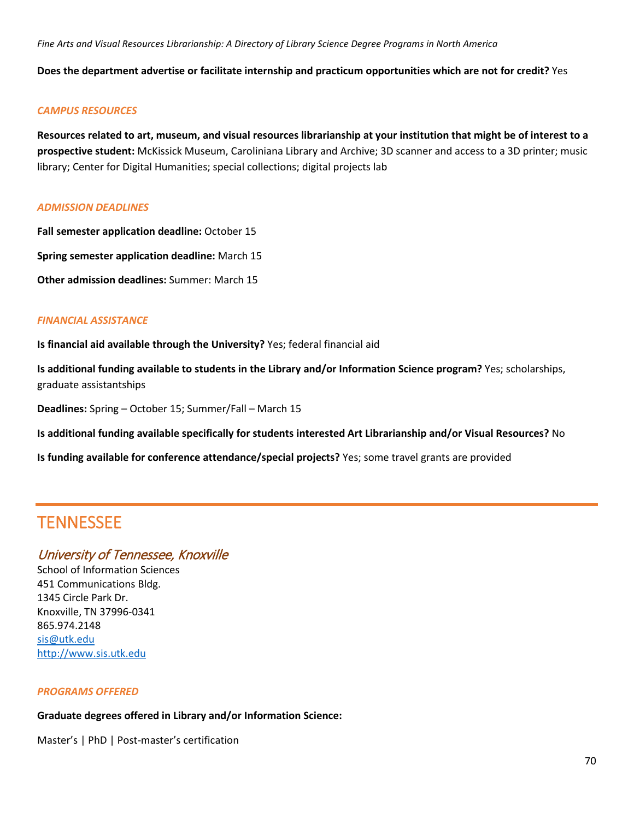**Does the department advertise or facilitate internship and practicum opportunities which are not for credit?** Yes

#### *CAMPUS RESOURCES*

**Resources related to art, museum, and visual resources librarianship at your institution that might be of interest to a prospective student:** McKissick Museum, Caroliniana Library and Archive; 3D scanner and access to a 3D printer; music library; Center for Digital Humanities; special collections; digital projects lab

#### *ADMISSION DEADLINES*

**Fall semester application deadline:** October 15

**Spring semester application deadline:** March 15

**Other admission deadlines:** Summer: March 15

### *FINANCIAL ASSISTANCE*

**Is financial aid available through the University?** Yes; federal financial aid

**Is additional funding available to students in the Library and/or Information Science program?** Yes; scholarships, graduate assistantships

**Deadlines:** Spring – October 15; Summer/Fall – March 15

**Is additional funding available specifically for students interested Art Librarianship and/or Visual Resources?** No

**Is funding available for conference attendance/special projects?** Yes; some travel grants are provided

# **TENNESSEE**

# University of Tennessee, Knoxville

School of Information Sciences 451 Communications Bldg. 1345 Circle Park Dr. Knoxville, TN 37996-0341 865.974.2148 [sis@utk.edu](mailto:sis@utk.edu) [http://www.sis.utk.edu](http://www.sis.utk.edu/)

#### *PROGRAMS OFFERED*

**Graduate degrees offered in Library and/or Information Science:**

Master's | PhD | Post-master's certification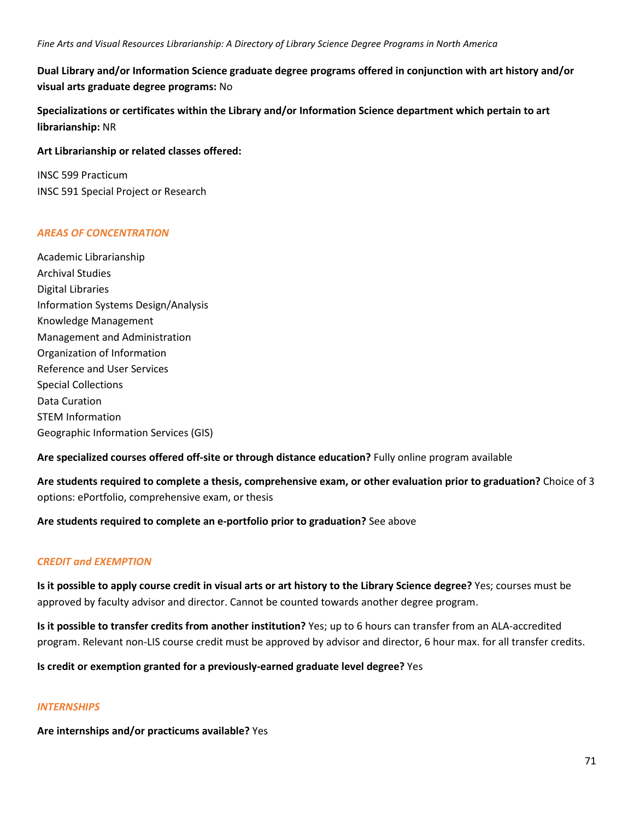**Dual Library and/or Information Science graduate degree programs offered in conjunction with art history and/or visual arts graduate degree programs:** No

**Specializations or certificates within the Library and/or Information Science department which pertain to art librarianship:** NR

### **Art Librarianship or related classes offered:**

INSC 599 Practicum INSC 591 Special Project or Research

## *AREAS OF CONCENTRATION*

Academic Librarianship Archival Studies Digital Libraries Information Systems Design/Analysis Knowledge Management Management and Administration Organization of Information Reference and User Services Special Collections Data Curation STEM Information Geographic Information Services (GIS)

**Are specialized courses offered off-site or through distance education?** Fully online program available

**Are students required to complete a thesis, comprehensive exam, or other evaluation prior to graduation?** Choice of 3 options: ePortfolio, comprehensive exam, or thesis

### **Are students required to complete an e-portfolio prior to graduation?** See above

## *CREDIT and EXEMPTION*

**Is it possible to apply course credit in visual arts or art history to the Library Science degree?** Yes; courses must be approved by faculty advisor and director. Cannot be counted towards another degree program.

**Is it possible to transfer credits from another institution?** Yes; up to 6 hours can transfer from an ALA-accredited program. Relevant non-LIS course credit must be approved by advisor and director, 6 hour max. for all transfer credits.

**Is credit or exemption granted for a previously-earned graduate level degree?** Yes

### *INTERNSHIPS*

**Are internships and/or practicums available?** Yes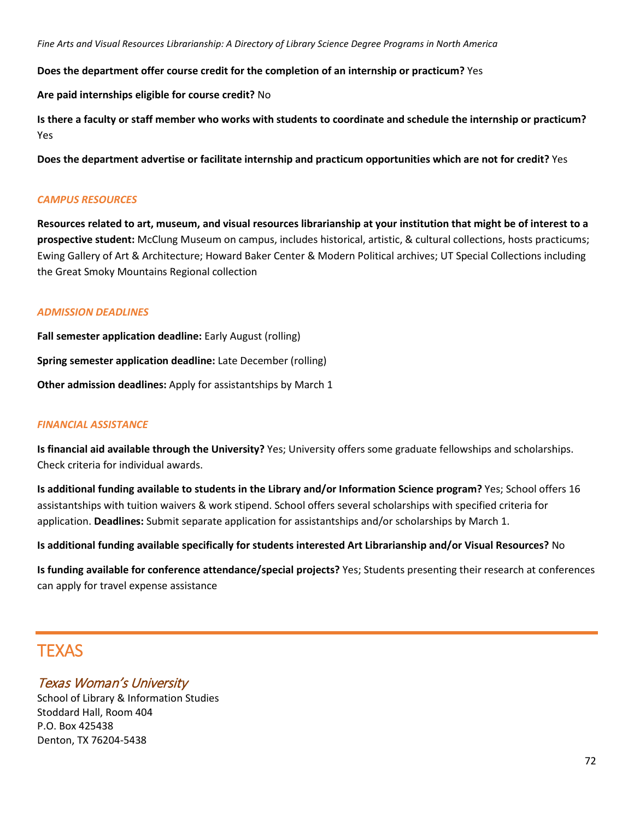**Does the department offer course credit for the completion of an internship or practicum?** Yes

**Are paid internships eligible for course credit?** No

**Is there a faculty or staff member who works with students to coordinate and schedule the internship or practicum?** Yes

**Does the department advertise or facilitate internship and practicum opportunities which are not for credit?** Yes

### *CAMPUS RESOURCES*

**Resources related to art, museum, and visual resources librarianship at your institution that might be of interest to a prospective student:** McClung Museum on campus, includes historical, artistic, & cultural collections, hosts practicums; Ewing Gallery of Art & Architecture; Howard Baker Center & Modern Political archives; UT Special Collections including the Great Smoky Mountains Regional collection

### *ADMISSION DEADLINES*

**Fall semester application deadline:** Early August (rolling) **Spring semester application deadline:** Late December (rolling) **Other admission deadlines:** Apply for assistantships by March 1

### *FINANCIAL ASSISTANCE*

**Is financial aid available through the University?** Yes; University offers some graduate fellowships and scholarships. Check criteria for individual awards.

**Is additional funding available to students in the Library and/or Information Science program?** Yes; School offers 16 assistantships with tuition waivers & work stipend. School offers several scholarships with specified criteria for application. **Deadlines:** Submit separate application for assistantships and/or scholarships by March 1.

**Is additional funding available specifically for students interested Art Librarianship and/or Visual Resources?** No

**Is funding available for conference attendance/special projects?** Yes; Students presenting their research at conferences can apply for travel expense assistance

# **TFXAS**

### Texas Woman's University

School of Library & Information Studies Stoddard Hall, Room 404 P.O. Box 425438 Denton, TX 76204-5438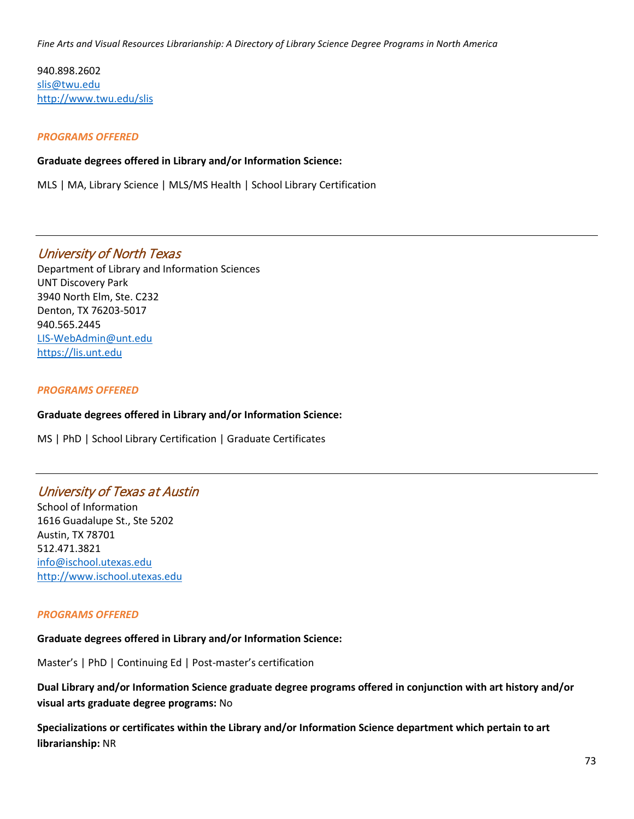940.898.2602 [slis@twu.edu](mailto:slis@twu.edu) <http://www.twu.edu/slis>

### *PROGRAMS OFFERED*

**Graduate degrees offered in Library and/or Information Science:**

MLS | MA, Library Science | MLS/MS Health | School Library Certification

## University of North Texas

Department of Library and Information Sciences UNT Discovery Park 3940 North Elm, Ste. C232 Denton, TX 76203-5017 940.565.2445 [LIS-WebAdmin@unt.edu](mailto:LIS-WebAdmin@unt.edu) [https://lis.unt.edu](https://lis.unt.edu/)

### *PROGRAMS OFFERED*

### **Graduate degrees offered in Library and/or Information Science:**

MS | PhD | School Library Certification | Graduate Certificates

## University of Texas at Austin

School of Information 1616 Guadalupe St., Ste 5202 Austin, TX 78701 512.471.3821 [info@ischool.utexas.edu](mailto:info@ischool.utexas.edu) [http://www.ischool.utexas.edu](http://www.ischool.utexas.edu/)

### *PROGRAMS OFFERED*

### **Graduate degrees offered in Library and/or Information Science:**

Master's | PhD | Continuing Ed | Post-master's certification

**Dual Library and/or Information Science graduate degree programs offered in conjunction with art history and/or visual arts graduate degree programs:** No

**Specializations or certificates within the Library and/or Information Science department which pertain to art librarianship:** NR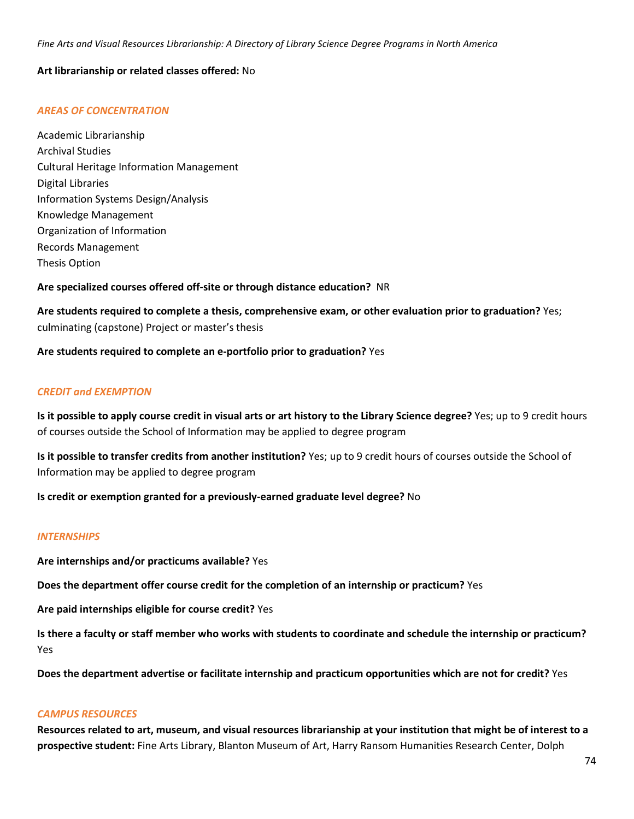### **Art librarianship or related classes offered:** No

### *AREAS OF CONCENTRATION*

Academic Librarianship Archival Studies Cultural Heritage Information Management Digital Libraries Information Systems Design/Analysis Knowledge Management Organization of Information Records Management Thesis Option

**Are specialized courses offered off-site or through distance education?** NR

**Are students required to complete a thesis, comprehensive exam, or other evaluation prior to graduation?** Yes; culminating (capstone) Project or master's thesis

**Are students required to complete an e-portfolio prior to graduation?** Yes

### *CREDIT and EXEMPTION*

**Is it possible to apply course credit in visual arts or art history to the Library Science degree?** Yes; up to 9 credit hours of courses outside the School of Information may be applied to degree program

**Is it possible to transfer credits from another institution?** Yes; up to 9 credit hours of courses outside the School of Information may be applied to degree program

**Is credit or exemption granted for a previously-earned graduate level degree?** No

### *INTERNSHIPS*

**Are internships and/or practicums available?** Yes

**Does the department offer course credit for the completion of an internship or practicum?** Yes

**Are paid internships eligible for course credit?** Yes

**Is there a faculty or staff member who works with students to coordinate and schedule the internship or practicum?** Yes

**Does the department advertise or facilitate internship and practicum opportunities which are not for credit?** Yes

### *CAMPUS RESOURCES*

**Resources related to art, museum, and visual resources librarianship at your institution that might be of interest to a prospective student:** Fine Arts Library, Blanton Museum of Art, Harry Ransom Humanities Research Center, Dolph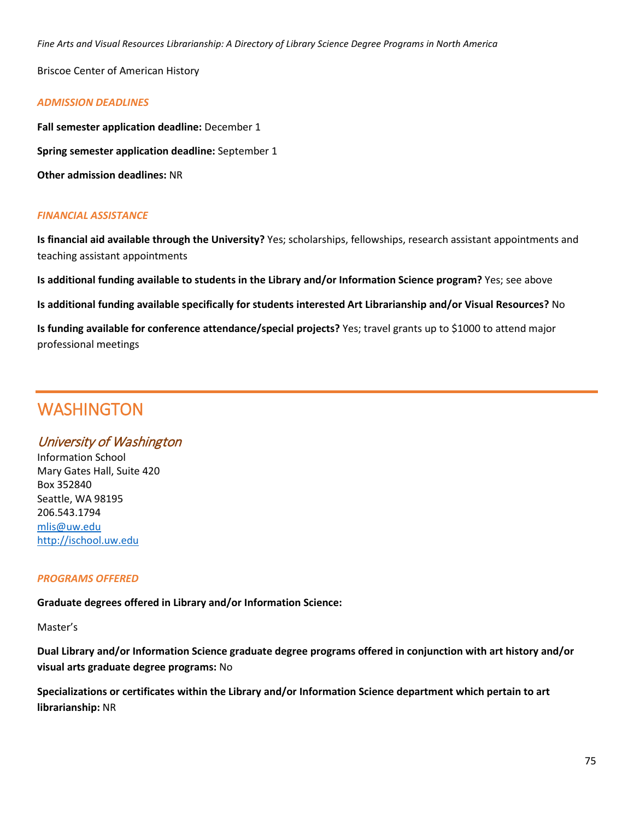Briscoe Center of American History

### *ADMISSION DEADLINES*

**Fall semester application deadline:** December 1

**Spring semester application deadline:** September 1

**Other admission deadlines:** NR

### *FINANCIAL ASSISTANCE*

**Is financial aid available through the University?** Yes; scholarships, fellowships, research assistant appointments and teaching assistant appointments

**Is additional funding available to students in the Library and/or Information Science program?** Yes; see above

**Is additional funding available specifically for students interested Art Librarianship and/or Visual Resources?** No

**Is funding available for conference attendance/special projects?** Yes; travel grants up to \$1000 to attend major professional meetings

# **WASHINGTON**

## University of Washington

Information School Mary Gates Hall, Suite 420 Box 352840 Seattle, WA 98195 206.543.1794 [mlis@uw.edu](mailto:mlis@uw.edu) [http://ischool.uw.edu](http://ischool.uw.edu/)

### *PROGRAMS OFFERED*

**Graduate degrees offered in Library and/or Information Science:**

Master's

**Dual Library and/or Information Science graduate degree programs offered in conjunction with art history and/or visual arts graduate degree programs:** No

**Specializations or certificates within the Library and/or Information Science department which pertain to art librarianship:** NR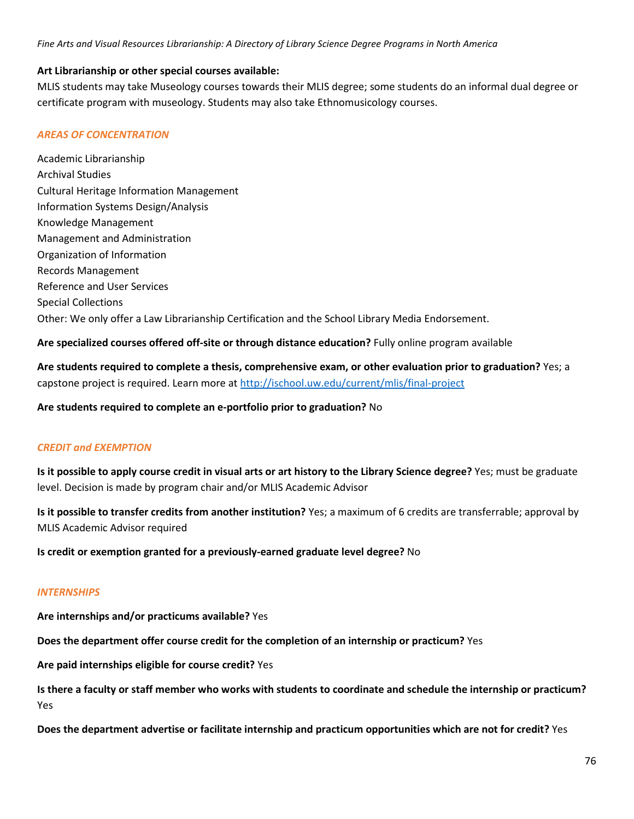### **Art Librarianship or other special courses available:**

MLIS students may take Museology courses towards their MLIS degree; some students do an informal dual degree or certificate program with museology. Students may also take Ethnomusicology courses.

### *AREAS OF CONCENTRATION*

Academic Librarianship Archival Studies Cultural Heritage Information Management Information Systems Design/Analysis Knowledge Management Management and Administration Organization of Information Records Management Reference and User Services Special Collections Other: We only offer a Law Librarianship Certification and the School Library Media Endorsement.

**Are specialized courses offered off-site or through distance education?** Fully online program available

**Are students required to complete a thesis, comprehensive exam, or other evaluation prior to graduation?** Yes; a capstone project is required. Learn more at<http://ischool.uw.edu/current/mlis/final-project>

**Are students required to complete an e-portfolio prior to graduation?** No

### *CREDIT and EXEMPTION*

**Is it possible to apply course credit in visual arts or art history to the Library Science degree?** Yes; must be graduate level. Decision is made by program chair and/or MLIS Academic Advisor

**Is it possible to transfer credits from another institution?** Yes; a maximum of 6 credits are transferrable; approval by MLIS Academic Advisor required

**Is credit or exemption granted for a previously-earned graduate level degree?** No

### *INTERNSHIPS*

**Are internships and/or practicums available?** Yes

**Does the department offer course credit for the completion of an internship or practicum?** Yes

**Are paid internships eligible for course credit?** Yes

**Is there a faculty or staff member who works with students to coordinate and schedule the internship or practicum?** Yes

**Does the department advertise or facilitate internship and practicum opportunities which are not for credit?** Yes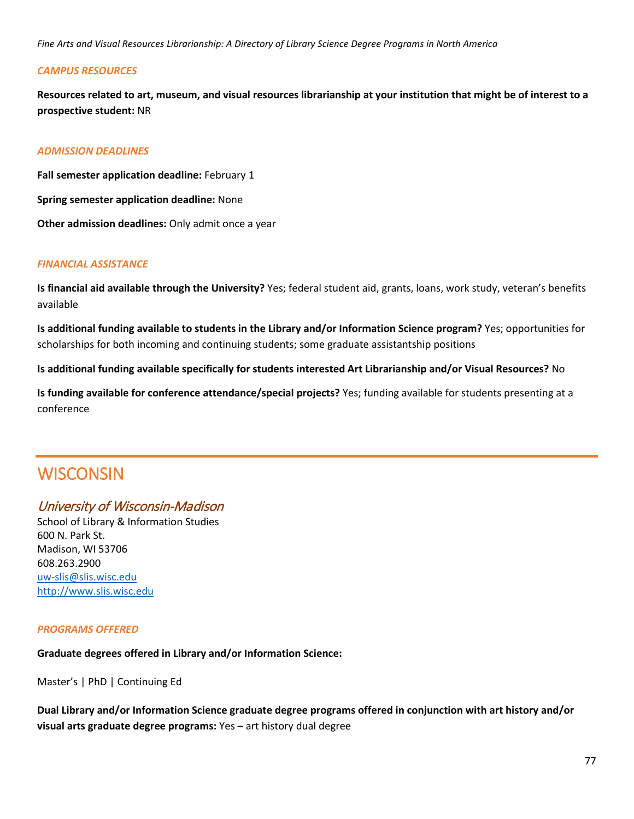### *CAMPUS RESOURCES*

**Resources related to art, museum, and visual resources librarianship at your institution that might be of interest to a prospective student:** NR

### *ADMISSION DEADLINES*

**Fall semester application deadline:** February 1 **Spring semester application deadline:** None **Other admission deadlines:** Only admit once a year

### *FINANCIAL ASSISTANCE*

**Is financial aid available through the University?** Yes; federal student aid, grants, loans, work study, veteran's benefits available

**Is additional funding available to students in the Library and/or Information Science program?** Yes; opportunities for scholarships for both incoming and continuing students; some graduate assistantship positions

**Is additional funding available specifically for students interested Art Librarianship and/or Visual Resources?** No

**Is funding available for conference attendance/special projects?** Yes; funding available for students presenting at a conference

# **WISCONSIN**

## University of Wisconsin-Madison

School of Library & Information Studies 600 N. Park St. Madison, WI 53706 608.263.2900 [uw-slis@slis.wisc.edu](mailto:uw-slis@slis.wisc.edu) [http://www.slis.wisc.edu](http://www.slis.wisc.edu/)

### *PROGRAMS OFFERED*

### **Graduate degrees offered in Library and/or Information Science:**

Master's | PhD | Continuing Ed

**Dual Library and/or Information Science graduate degree programs offered in conjunction with art history and/or visual arts graduate degree programs:** Yes – art history dual degree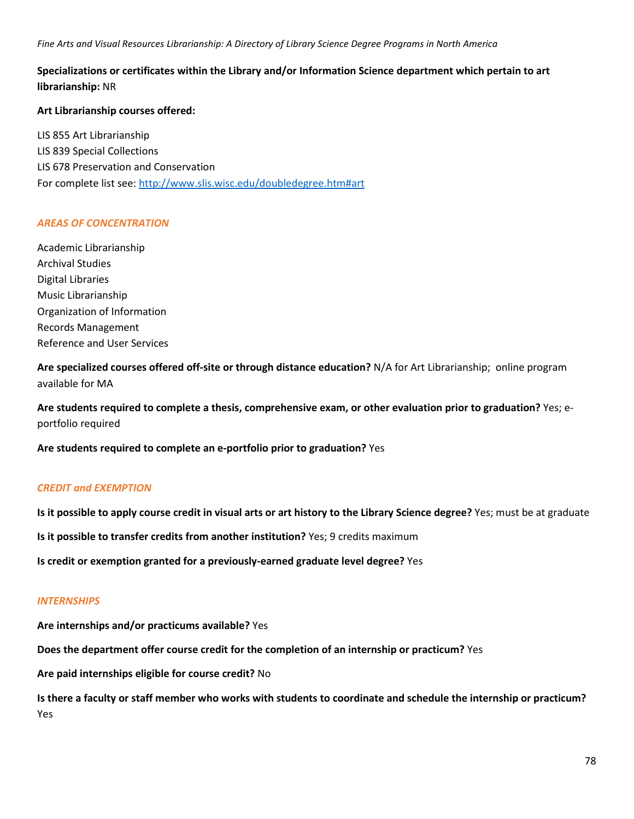### **Specializations or certificates within the Library and/or Information Science department which pertain to art librarianship:** NR

### **Art Librarianship courses offered:**

LIS 855 Art Librarianship LIS 839 Special Collections LIS 678 Preservation and Conservation For complete list see:<http://www.slis.wisc.edu/doubledegree.htm#art>

### *AREAS OF CONCENTRATION*

Academic Librarianship Archival Studies Digital Libraries Music Librarianship Organization of Information Records Management Reference and User Services

**Are specialized courses offered off-site or through distance education?** N/A for Art Librarianship; online program available for MA

**Are students required to complete a thesis, comprehensive exam, or other evaluation prior to graduation?** Yes; eportfolio required

**Are students required to complete an e-portfolio prior to graduation?** Yes

### *CREDIT and EXEMPTION*

**Is it possible to apply course credit in visual arts or art history to the Library Science degree?** Yes; must be at graduate

**Is it possible to transfer credits from another institution?** Yes; 9 credits maximum

**Is credit or exemption granted for a previously-earned graduate level degree?** Yes

### *INTERNSHIPS*

**Are internships and/or practicums available?** Yes

**Does the department offer course credit for the completion of an internship or practicum?** Yes

**Are paid internships eligible for course credit?** No

**Is there a faculty or staff member who works with students to coordinate and schedule the internship or practicum?** Yes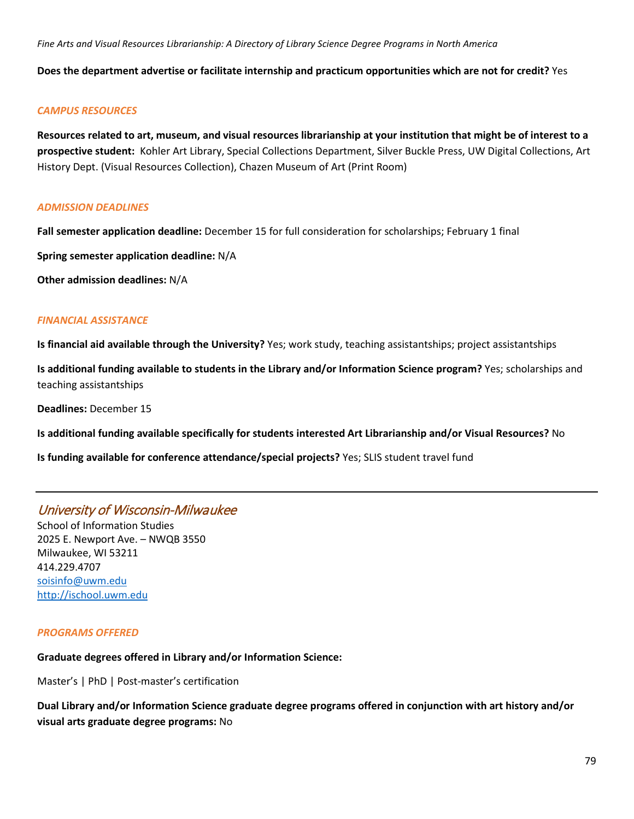**Does the department advertise or facilitate internship and practicum opportunities which are not for credit?** Yes

### *CAMPUS RESOURCES*

**Resources related to art, museum, and visual resources librarianship at your institution that might be of interest to a prospective student:** Kohler Art Library, Special Collections Department, Silver Buckle Press, UW Digital Collections, Art History Dept. (Visual Resources Collection), Chazen Museum of Art (Print Room)

### *ADMISSION DEADLINES*

**Fall semester application deadline:** December 15 for full consideration for scholarships; February 1 final

**Spring semester application deadline:** N/A

**Other admission deadlines:** N/A

### *FINANCIAL ASSISTANCE*

**Is financial aid available through the University?** Yes; work study, teaching assistantships; project assistantships

**Is additional funding available to students in the Library and/or Information Science program?** Yes; scholarships and teaching assistantships

**Deadlines:** December 15

**Is additional funding available specifically for students interested Art Librarianship and/or Visual Resources?** No

**Is funding available for conference attendance/special projects?** Yes; SLIS student travel fund

## University of Wisconsin-Milwaukee

School of Information Studies 2025 E. Newport Ave. – NWQB 3550 Milwaukee, WI 53211 414.229.4707 [soisinfo@uwm.edu](mailto:soisinfo@uwm.edu) [http://ischool.uwm.edu](http://ischool.uwm.edu/)

### *PROGRAMS OFFERED*

## **Graduate degrees offered in Library and/or Information Science:**

Master's | PhD | Post-master's certification

**Dual Library and/or Information Science graduate degree programs offered in conjunction with art history and/or visual arts graduate degree programs:** No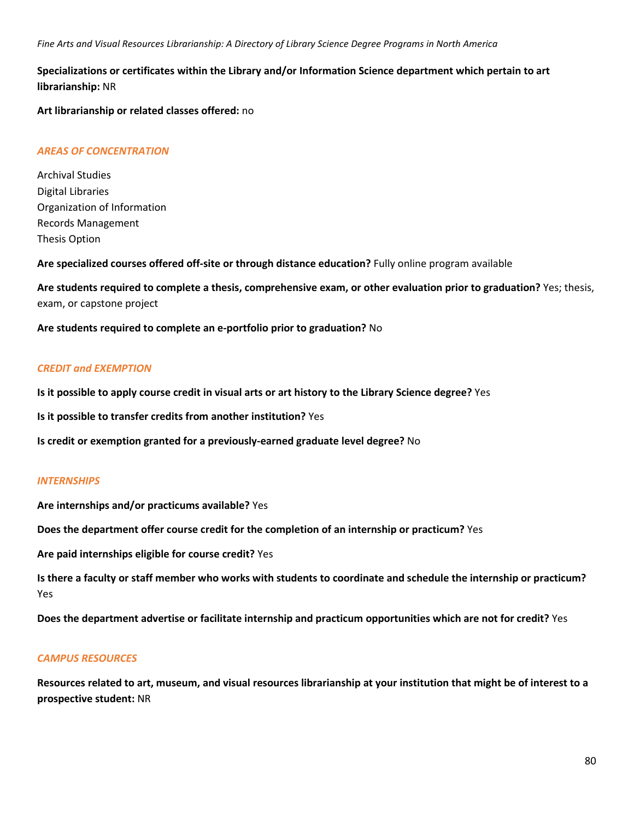### **Specializations or certificates within the Library and/or Information Science department which pertain to art librarianship:** NR

**Art librarianship or related classes offered:** no

### *AREAS OF CONCENTRATION*

Archival Studies Digital Libraries Organization of Information Records Management Thesis Option

**Are specialized courses offered off-site or through distance education?** Fully online program available

**Are students required to complete a thesis, comprehensive exam, or other evaluation prior to graduation?** Yes; thesis, exam, or capstone project

**Are students required to complete an e-portfolio prior to graduation?** No

### *CREDIT and EXEMPTION*

**Is it possible to apply course credit in visual arts or art history to the Library Science degree?** Yes

**Is it possible to transfer credits from another institution?** Yes

**Is credit or exemption granted for a previously-earned graduate level degree?** No

### *INTERNSHIPS*

**Are internships and/or practicums available?** Yes

**Does the department offer course credit for the completion of an internship or practicum?** Yes

**Are paid internships eligible for course credit?** Yes

**Is there a faculty or staff member who works with students to coordinate and schedule the internship or practicum?** Yes

**Does the department advertise or facilitate internship and practicum opportunities which are not for credit?** Yes

### *CAMPUS RESOURCES*

**Resources related to art, museum, and visual resources librarianship at your institution that might be of interest to a prospective student:** NR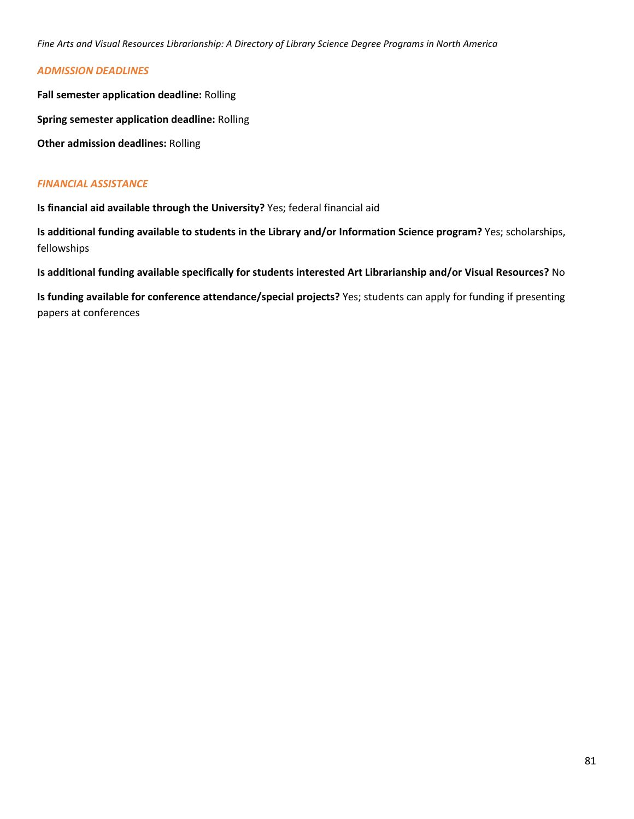### *ADMISSION DEADLINES*

**Fall semester application deadline:** Rolling

**Spring semester application deadline:** Rolling

**Other admission deadlines:** Rolling

### *FINANCIAL ASSISTANCE*

**Is financial aid available through the University?** Yes; federal financial aid

**Is additional funding available to students in the Library and/or Information Science program?** Yes; scholarships, fellowships

**Is additional funding available specifically for students interested Art Librarianship and/or Visual Resources?** No

**Is funding available for conference attendance/special projects?** Yes; students can apply for funding if presenting papers at conferences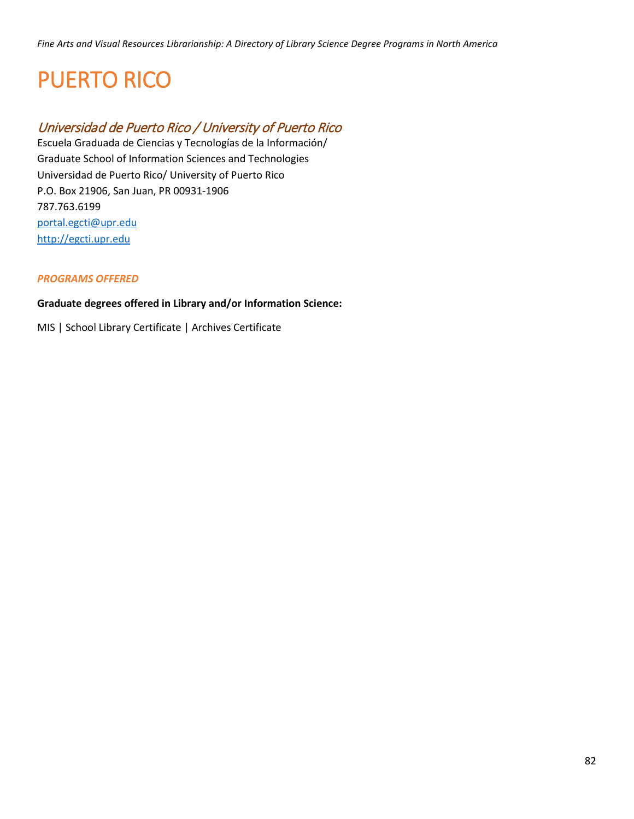# PUERTO RICO

# Universidad de Puerto Rico / University of Puerto Rico

Escuela Graduada de Ciencias y Tecnologías de la Información/ Graduate School of Information Sciences and Technologies Universidad de Puerto Rico/ University of Puerto Rico P.O. Box 21906, San Juan, PR 00931-1906 787.763.6199 [portal.egcti@upr.edu](mailto:portal.egcti@upr.edu) [http://egcti.upr.edu](http://egcti.upr.edu/)

### *PROGRAMS OFFERED*

### **Graduate degrees offered in Library and/or Information Science:**

MIS | School Library Certificate | Archives Certificate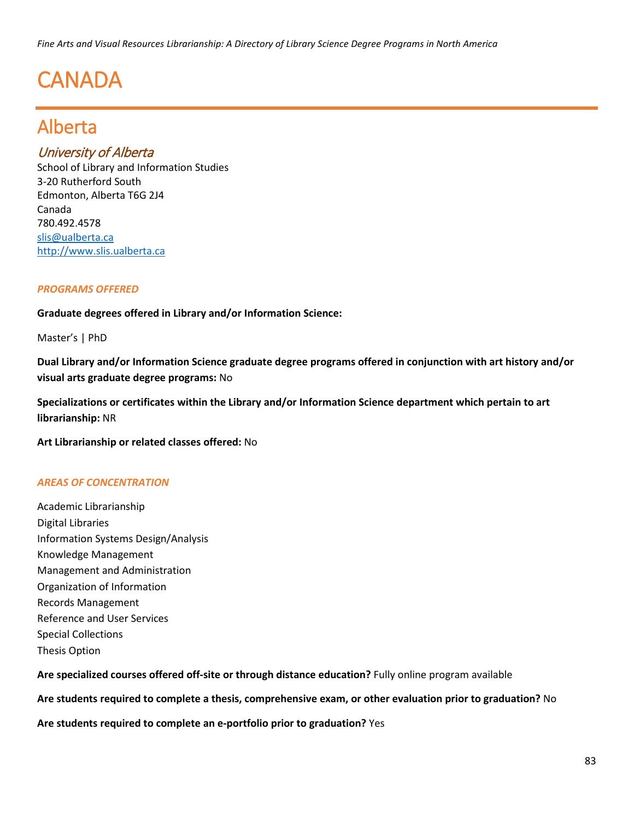# **CANADA**

# Alberta

# University of Alberta

School of Library and Information Studies 3-20 Rutherford South Edmonton, Alberta T6G 2J4 Canada 780.492.4578 [slis@ualberta.ca](mailto:slis@ualberta.ca) [http://www.slis.ualberta.ca](http://www.slis.ualberta.ca/) 

### *PROGRAMS OFFERED*

**Graduate degrees offered in Library and/or Information Science:**

Master's | PhD

**Dual Library and/or Information Science graduate degree programs offered in conjunction with art history and/or visual arts graduate degree programs:** No

**Specializations or certificates within the Library and/or Information Science department which pertain to art librarianship:** NR

**Art Librarianship or related classes offered:** No

### *AREAS OF CONCENTRATION*

Academic Librarianship Digital Libraries Information Systems Design/Analysis Knowledge Management Management and Administration Organization of Information Records Management Reference and User Services Special Collections Thesis Option

**Are specialized courses offered off-site or through distance education?** Fully online program available

**Are students required to complete a thesis, comprehensive exam, or other evaluation prior to graduation?** No

**Are students required to complete an e-portfolio prior to graduation?** Yes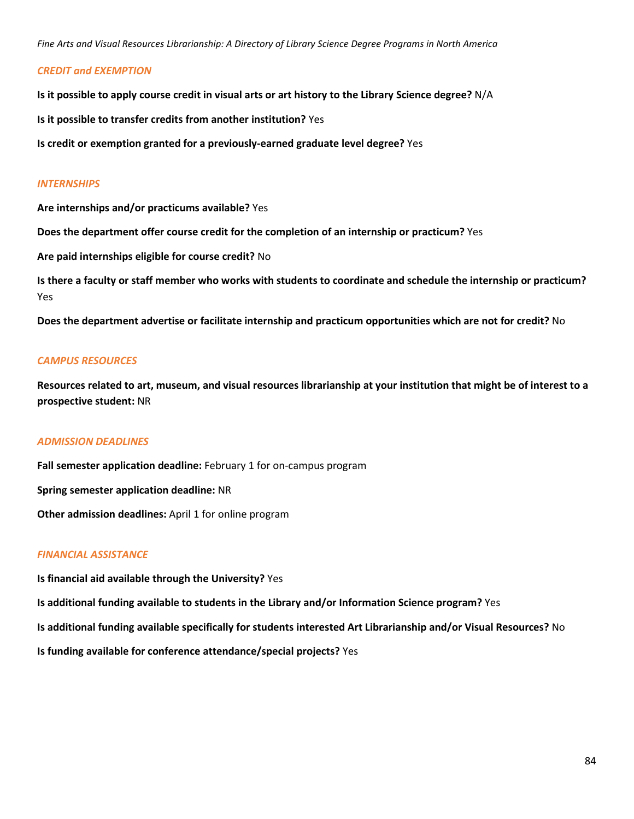### *CREDIT and EXEMPTION*

**Is it possible to apply course credit in visual arts or art history to the Library Science degree?** N/A

**Is it possible to transfer credits from another institution?** Yes

**Is credit or exemption granted for a previously-earned graduate level degree?** Yes

### *INTERNSHIPS*

**Are internships and/or practicums available?** Yes

**Does the department offer course credit for the completion of an internship or practicum?** Yes

**Are paid internships eligible for course credit?** No

**Is there a faculty or staff member who works with students to coordinate and schedule the internship or practicum?** Yes

**Does the department advertise or facilitate internship and practicum opportunities which are not for credit?** No

### *CAMPUS RESOURCES*

**Resources related to art, museum, and visual resources librarianship at your institution that might be of interest to a prospective student:** NR

### *ADMISSION DEADLINES*

**Fall semester application deadline:** February 1 for on-campus program **Spring semester application deadline:** NR **Other admission deadlines:** April 1 for online program

### *FINANCIAL ASSISTANCE*

**Is financial aid available through the University?** Yes

**Is additional funding available to students in the Library and/or Information Science program?** Yes

**Is additional funding available specifically for students interested Art Librarianship and/or Visual Resources?** No

**Is funding available for conference attendance/special projects?** Yes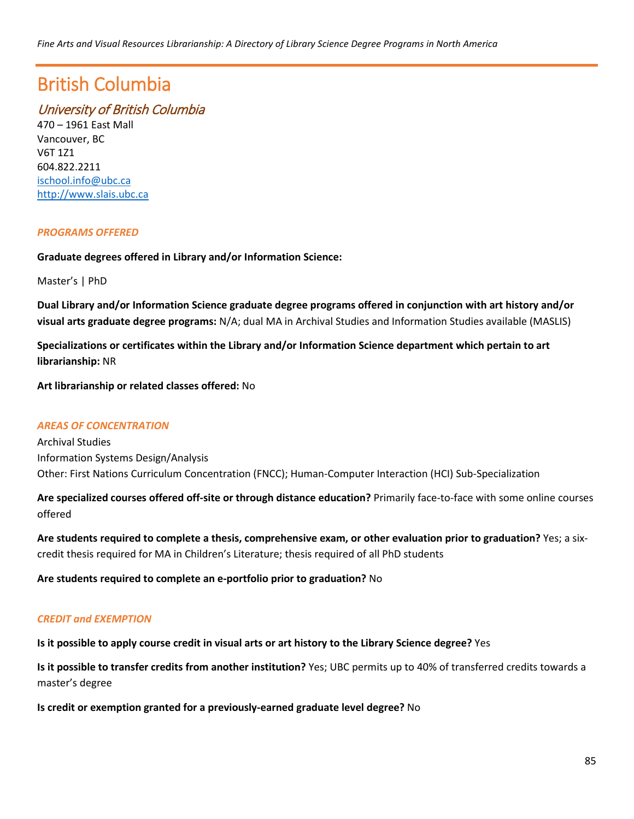# British Columbia

# University of British Columbia

470 – 1961 East Mall Vancouver, BC V6T 1Z1 604.822.2211 [ischool.info@ubc.ca](mailto:ischool.info@ubc.ca) [http://www.slais.ubc.ca](http://www.slais.ubc.ca/)

### *PROGRAMS OFFERED*

### **Graduate degrees offered in Library and/or Information Science:**

Master's | PhD

**Dual Library and/or Information Science graduate degree programs offered in conjunction with art history and/or visual arts graduate degree programs:** N/A; dual MA in Archival Studies and Information Studies available (MASLIS)

**Specializations or certificates within the Library and/or Information Science department which pertain to art librarianship:** NR

**Art librarianship or related classes offered:** No

### *AREAS OF CONCENTRATION*

Archival Studies Information Systems Design/Analysis Other: First Nations Curriculum Concentration (FNCC); Human-Computer Interaction (HCI) Sub-Specialization

**Are specialized courses offered off-site or through distance education?** Primarily face-to-face with some online courses offered

**Are students required to complete a thesis, comprehensive exam, or other evaluation prior to graduation?** Yes; a sixcredit thesis required for MA in Children's Literature; thesis required of all PhD students

**Are students required to complete an e-portfolio prior to graduation?** No

### *CREDIT and EXEMPTION*

**Is it possible to apply course credit in visual arts or art history to the Library Science degree?** Yes

**Is it possible to transfer credits from another institution?** Yes; UBC permits up to 40% of transferred credits towards a master's degree

**Is credit or exemption granted for a previously-earned graduate level degree?** No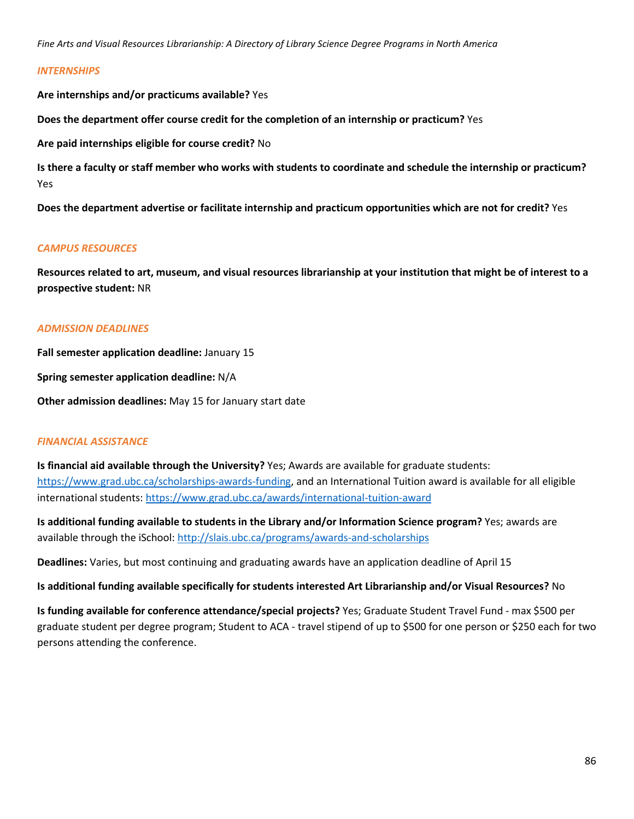#### *INTERNSHIPS*

**Are internships and/or practicums available?** Yes

**Does the department offer course credit for the completion of an internship or practicum?** Yes

**Are paid internships eligible for course credit?** No

**Is there a faculty or staff member who works with students to coordinate and schedule the internship or practicum?** Yes

**Does the department advertise or facilitate internship and practicum opportunities which are not for credit?** Yes

#### *CAMPUS RESOURCES*

**Resources related to art, museum, and visual resources librarianship at your institution that might be of interest to a prospective student:** NR

#### *ADMISSION DEADLINES*

**Fall semester application deadline:** January 15

**Spring semester application deadline:** N/A

**Other admission deadlines:** May 15 for January start date

### *FINANCIAL ASSISTANCE*

**Is financial aid available through the University?** Yes; Awards are available for graduate students: [https://www.grad.ubc.ca/scholarships-awards-funding,](https://www.grad.ubc.ca/scholarships-awards-funding) and an International Tuition award is available for all eligible international students[: https://www.grad.ubc.ca/awards/international-tuition-award](https://www.grad.ubc.ca/awards/international-tuition-award)

**Is additional funding available to students in the Library and/or Information Science program?** Yes; awards are available through the iSchool[: http://slais.ubc.ca/programs/awards-and-scholarships](http://slais.ubc.ca/programs/awards-and-scholarships)

**Deadlines:** Varies, but most continuing and graduating awards have an application deadline of April 15

#### **Is additional funding available specifically for students interested Art Librarianship and/or Visual Resources?** No

**Is funding available for conference attendance/special projects?** Yes; Graduate Student Travel Fund - max \$500 per graduate student per degree program; Student to ACA - travel stipend of up to \$500 for one person or \$250 each for two persons attending the conference.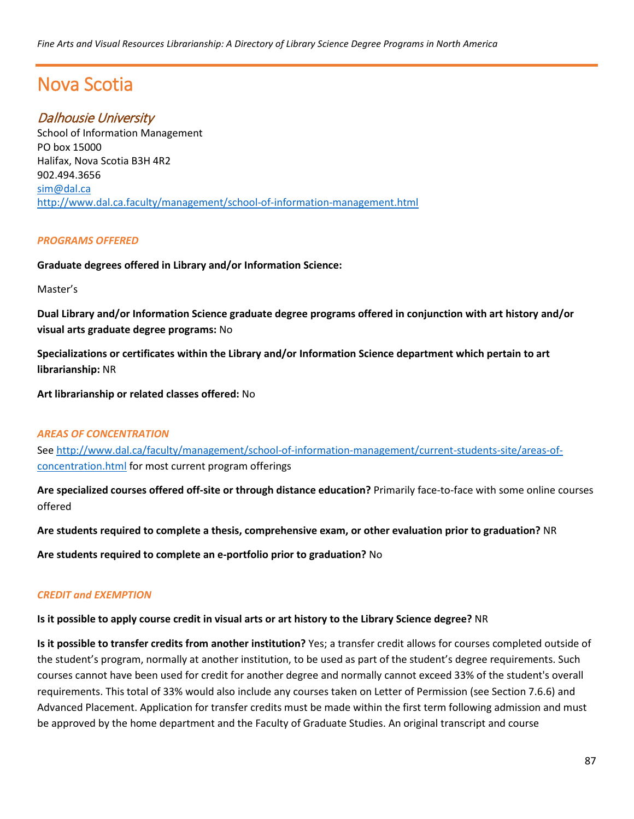# Nova Scotia

# Dalhousie University

School of Information Management PO box 15000 Halifax, Nova Scotia B3H 4R2 902.494.3656 [sim@dal.ca](mailto:sim@dal.ca) <http://www.dal.ca.faculty/management/school-of-information-management.html>

### *PROGRAMS OFFERED*

### **Graduate degrees offered in Library and/or Information Science:**

Master's

**Dual Library and/or Information Science graduate degree programs offered in conjunction with art history and/or visual arts graduate degree programs:** No

**Specializations or certificates within the Library and/or Information Science department which pertain to art librarianship:** NR

**Art librarianship or related classes offered:** No

### *AREAS OF CONCENTRATION*

Se[e http://www.dal.ca/faculty/management/school-of-information-management/current-students-site/areas-of](http://www.dal.ca/faculty/management/school-of-information-management/current-students-site/areas-of-concentration.html)[concentration.html](http://www.dal.ca/faculty/management/school-of-information-management/current-students-site/areas-of-concentration.html) for most current program offerings

**Are specialized courses offered off-site or through distance education?** Primarily face-to-face with some online courses offered

**Are students required to complete a thesis, comprehensive exam, or other evaluation prior to graduation?** NR

**Are students required to complete an e-portfolio prior to graduation?** No

### *CREDIT and EXEMPTION*

### **Is it possible to apply course credit in visual arts or art history to the Library Science degree?** NR

**Is it possible to transfer credits from another institution?** Yes; a transfer credit allows for courses completed outside of the student's program, normally at another institution, to be used as part of the student's degree requirements. Such courses cannot have been used for credit for another degree and normally cannot exceed 33% of the student's overall requirements. This total of 33% would also include any courses taken on Letter of Permission (see Section 7.6.6) and Advanced Placement. Application for transfer credits must be made within the first term following admission and must be approved by the home department and the Faculty of Graduate Studies. An original transcript and course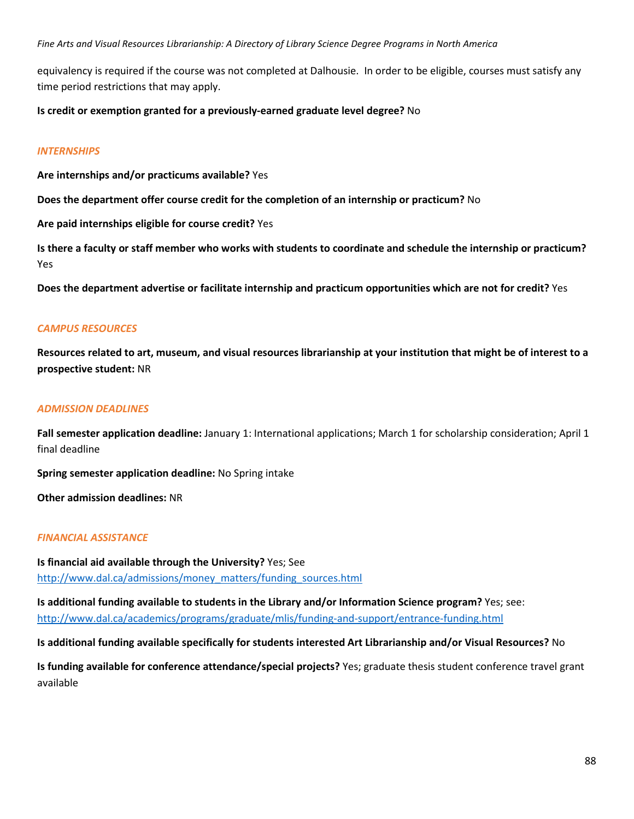equivalency is required if the course was not completed at Dalhousie. In order to be eligible, courses must satisfy any time period restrictions that may apply.

### **Is credit or exemption granted for a previously-earned graduate level degree?** No

### *INTERNSHIPS*

**Are internships and/or practicums available?** Yes

**Does the department offer course credit for the completion of an internship or practicum?** No

**Are paid internships eligible for course credit?** Yes

**Is there a faculty or staff member who works with students to coordinate and schedule the internship or practicum?** Yes

**Does the department advertise or facilitate internship and practicum opportunities which are not for credit?** Yes

### *CAMPUS RESOURCES*

**Resources related to art, museum, and visual resources librarianship at your institution that might be of interest to a prospective student:** NR

### *ADMISSION DEADLINES*

**Fall semester application deadline:** January 1: International applications; March 1 for scholarship consideration; April 1 final deadline

**Spring semester application deadline:** No Spring intake

**Other admission deadlines:** NR

### *FINANCIAL ASSISTANCE*

**Is financial aid available through the University?** Yes; See [http://www.dal.ca/admissions/money\\_matters/funding\\_sources.html](http://www.dal.ca/admissions/money_matters/funding_sources.html)

**Is additional funding available to students in the Library and/or Information Science program?** Yes; see: <http://www.dal.ca/academics/programs/graduate/mlis/funding-and-support/entrance-funding.html>

**Is additional funding available specifically for students interested Art Librarianship and/or Visual Resources?** No

**Is funding available for conference attendance/special projects?** Yes; graduate thesis student conference travel grant available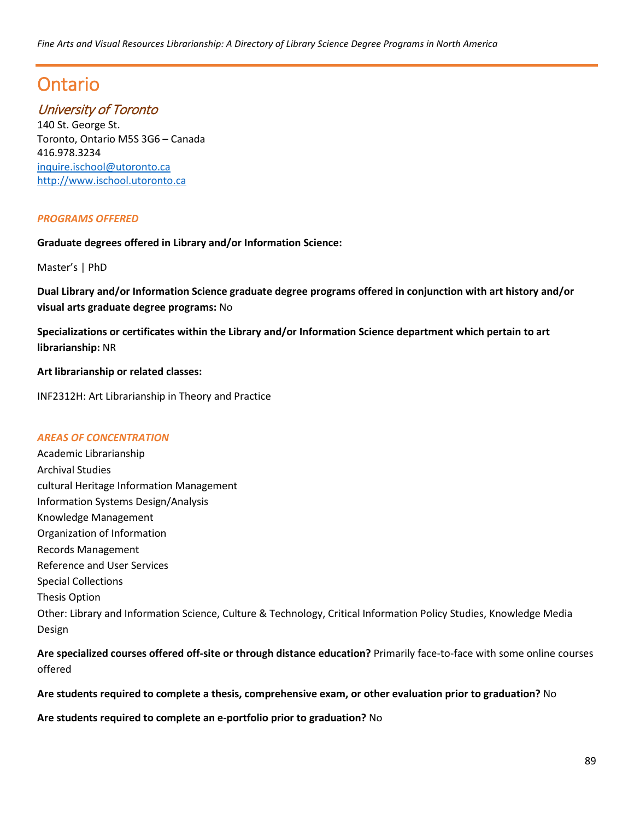# Ontario

# University of Toronto

140 St. George St. Toronto, Ontario M5S 3G6 – Canada 416.978.3234 [inquire.ischool@utoronto.ca](mailto:inquire.ischool@utoronto.ca) [http://www.ischool.utoronto.ca](http://www.ischool.utoronto.ca/) 

### *PROGRAMS OFFERED*

**Graduate degrees offered in Library and/or Information Science:**

Master's | PhD

**Dual Library and/or Information Science graduate degree programs offered in conjunction with art history and/or visual arts graduate degree programs:** No

**Specializations or certificates within the Library and/or Information Science department which pertain to art librarianship:** NR

**Art librarianship or related classes:**

INF2312H: Art Librarianship in Theory and Practice

### *AREAS OF CONCENTRATION*

Academic Librarianship Archival Studies cultural Heritage Information Management Information Systems Design/Analysis Knowledge Management Organization of Information Records Management Reference and User Services Special Collections Thesis Option Other: Library and Information Science, Culture & Technology, Critical Information Policy Studies, Knowledge Media Design

**Are specialized courses offered off-site or through distance education?** Primarily face-to-face with some online courses offered

**Are students required to complete a thesis, comprehensive exam, or other evaluation prior to graduation?** No

**Are students required to complete an e-portfolio prior to graduation?** No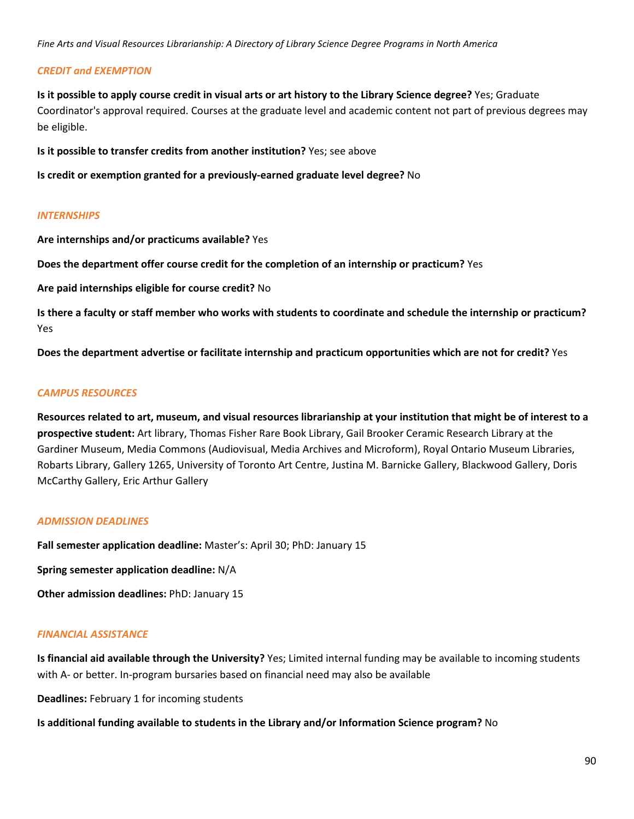### *CREDIT and EXEMPTION*

**Is it possible to apply course credit in visual arts or art history to the Library Science degree?** Yes; Graduate Coordinator's approval required. Courses at the graduate level and academic content not part of previous degrees may be eligible.

**Is it possible to transfer credits from another institution?** Yes; see above

**Is credit or exemption granted for a previously-earned graduate level degree?** No

### *INTERNSHIPS*

**Are internships and/or practicums available?** Yes

**Does the department offer course credit for the completion of an internship or practicum?** Yes

**Are paid internships eligible for course credit?** No

**Is there a faculty or staff member who works with students to coordinate and schedule the internship or practicum?** Yes

**Does the department advertise or facilitate internship and practicum opportunities which are not for credit?** Yes

### *CAMPUS RESOURCES*

**Resources related to art, museum, and visual resources librarianship at your institution that might be of interest to a prospective student:** Art library, Thomas Fisher Rare Book Library, Gail Brooker Ceramic Research Library at the Gardiner Museum, Media Commons (Audiovisual, Media Archives and Microform), Royal Ontario Museum Libraries, Robarts Library, Gallery 1265, University of Toronto Art Centre, Justina M. Barnicke Gallery, Blackwood Gallery, Doris McCarthy Gallery, Eric Arthur Gallery

### *ADMISSION DEADLINES*

**Fall semester application deadline:** Master's: April 30; PhD: January 15

**Spring semester application deadline:** N/A

**Other admission deadlines:** PhD: January 15

### *FINANCIAL ASSISTANCE*

**Is financial aid available through the University?** Yes; Limited internal funding may be available to incoming students with A- or better. In-program bursaries based on financial need may also be available

**Deadlines:** February 1 for incoming students

**Is additional funding available to students in the Library and/or Information Science program?** No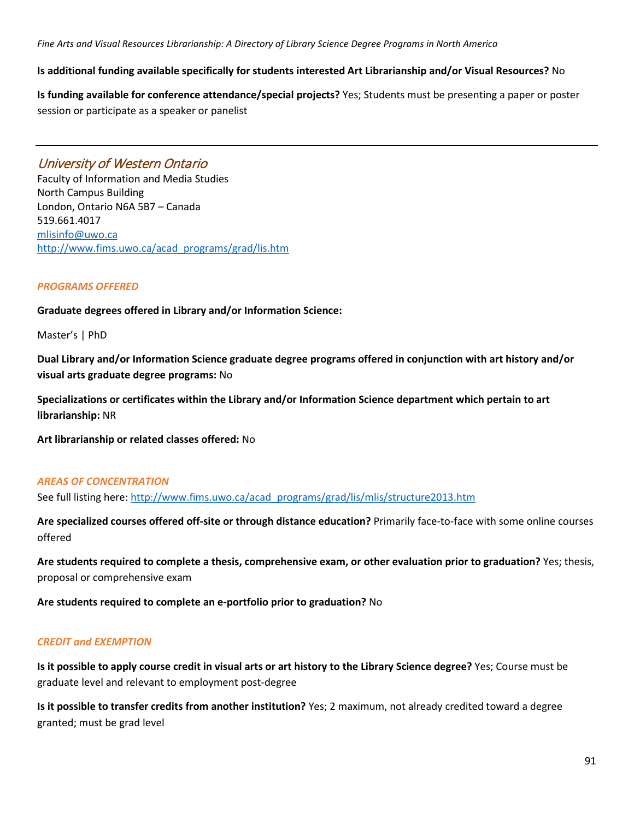### **Is additional funding available specifically for students interested Art Librarianship and/or Visual Resources?** No

**Is funding available for conference attendance/special projects?** Yes; Students must be presenting a paper or poster session or participate as a speaker or panelist

## University of Western Ontario

Faculty of Information and Media Studies North Campus Building London, Ontario N6A 5B7 – Canada 519.661.4017 [mlisinfo@uwo.ca](mailto:mlisinfo@uwo.ca) [http://www.fims.uwo.ca/acad\\_programs/grad/lis.htm](http://www.fims.uwo.ca/acad_programs/grad/lis.htm)

### *PROGRAMS OFFERED*

**Graduate degrees offered in Library and/or Information Science:**

Master's | PhD

**Dual Library and/or Information Science graduate degree programs offered in conjunction with art history and/or visual arts graduate degree programs:** No

**Specializations or certificates within the Library and/or Information Science department which pertain to art librarianship:** NR

**Art librarianship or related classes offered:** No

### *AREAS OF CONCENTRATION*

See full listing here: [http://www.fims.uwo.ca/acad\\_programs/grad/lis/mlis/structure2013.htm](http://www.fims.uwo.ca/acad_programs/grad/lis/mlis/structure2013.htm)

**Are specialized courses offered off-site or through distance education?** Primarily face-to-face with some online courses offered

**Are students required to complete a thesis, comprehensive exam, or other evaluation prior to graduation?** Yes; thesis, proposal or comprehensive exam

**Are students required to complete an e-portfolio prior to graduation?** No

### *CREDIT and EXEMPTION*

**Is it possible to apply course credit in visual arts or art history to the Library Science degree?** Yes; Course must be graduate level and relevant to employment post-degree

**Is it possible to transfer credits from another institution?** Yes; 2 maximum, not already credited toward a degree granted; must be grad level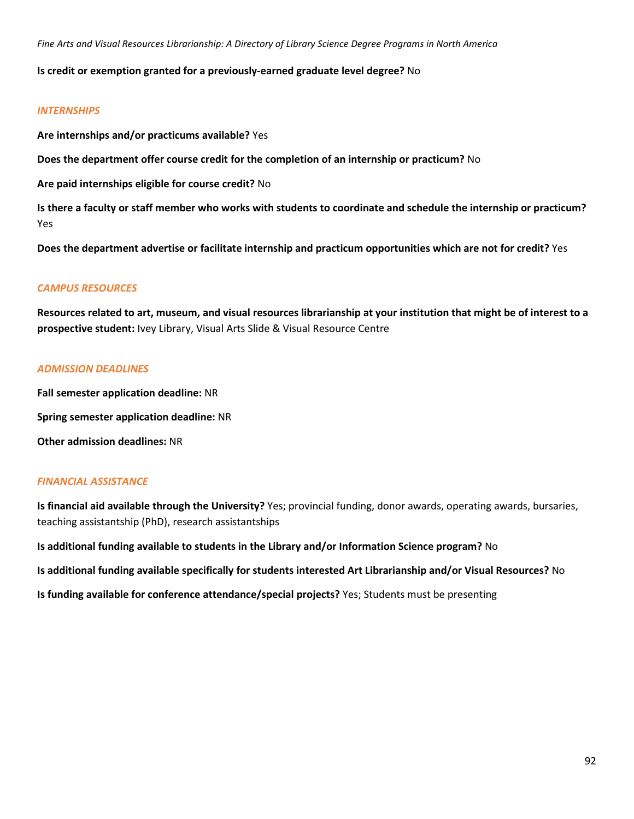### **Is credit or exemption granted for a previously-earned graduate level degree?** No

### *INTERNSHIPS*

**Are internships and/or practicums available?** Yes

**Does the department offer course credit for the completion of an internship or practicum?** No

**Are paid internships eligible for course credit?** No

**Is there a faculty or staff member who works with students to coordinate and schedule the internship or practicum?** Yes

**Does the department advertise or facilitate internship and practicum opportunities which are not for credit?** Yes

### *CAMPUS RESOURCES*

**Resources related to art, museum, and visual resources librarianship at your institution that might be of interest to a prospective student:** Ivey Library, Visual Arts Slide & Visual Resource Centre

### *ADMISSION DEADLINES*

**Fall semester application deadline:** NR **Spring semester application deadline:** NR **Other admission deadlines:** NR

### *FINANCIAL ASSISTANCE*

**Is financial aid available through the University?** Yes; provincial funding, donor awards, operating awards, bursaries, teaching assistantship (PhD), research assistantships

**Is additional funding available to students in the Library and/or Information Science program?** No **Is additional funding available specifically for students interested Art Librarianship and/or Visual Resources?** No **Is funding available for conference attendance/special projects?** Yes; Students must be presenting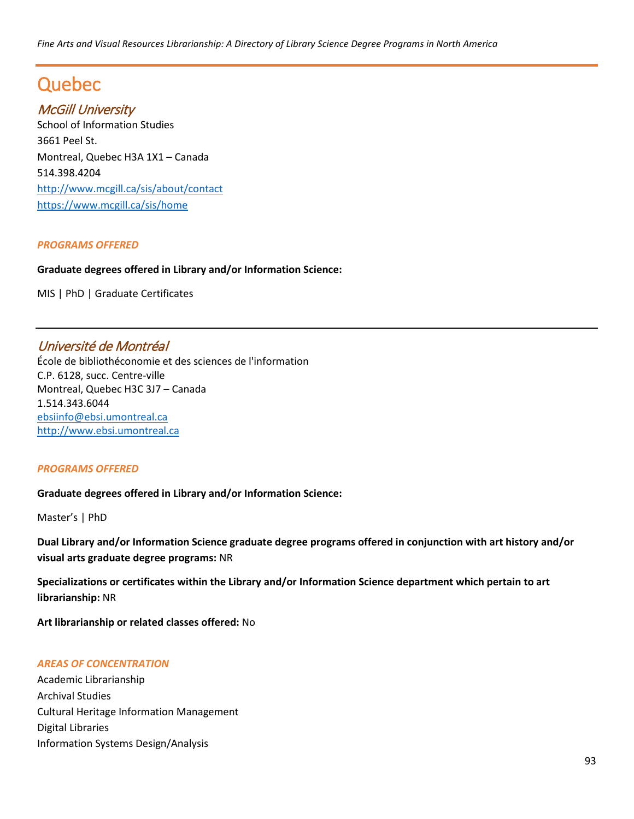# Quebec

# McGill University

School of Information Studies 3661 Peel St. Montreal, Quebec H3A 1X1 – Canada 514.398.4204 <http://www.mcgill.ca/sis/about/contact> <https://www.mcgill.ca/sis/home>

### *PROGRAMS OFFERED*

### **Graduate degrees offered in Library and/or Information Science:**

MIS | PhD | Graduate Certificates

## Université de Montréal

École de bibliothéconomie et des sciences de l'information C.P. 6128, succ. Centre-ville Montreal, Quebec H3C 3J7 – Canada 1.514.343.6044 [ebsiinfo@ebsi.umontreal.ca](mailto:ebsiinfo@ebsi.umontreal.ca) [http://www.ebsi.umontreal.ca](http://www.ebsi.umontreal.ca/)

### *PROGRAMS OFFERED*

**Graduate degrees offered in Library and/or Information Science:**

Master's | PhD

**Dual Library and/or Information Science graduate degree programs offered in conjunction with art history and/or visual arts graduate degree programs:** NR

**Specializations or certificates within the Library and/or Information Science department which pertain to art librarianship:** NR

**Art librarianship or related classes offered:** No

### *AREAS OF CONCENTRATION*

Academic Librarianship Archival Studies Cultural Heritage Information Management Digital Libraries Information Systems Design/Analysis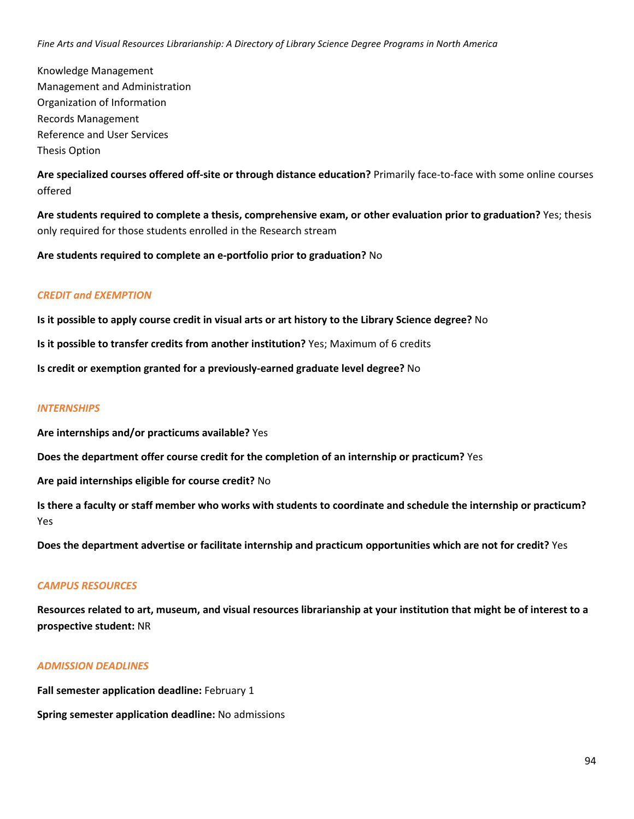Knowledge Management Management and Administration Organization of Information Records Management Reference and User Services Thesis Option

**Are specialized courses offered off-site or through distance education?** Primarily face-to-face with some online courses offered

**Are students required to complete a thesis, comprehensive exam, or other evaluation prior to graduation?** Yes; thesis only required for those students enrolled in the Research stream

**Are students required to complete an e-portfolio prior to graduation?** No

### *CREDIT and EXEMPTION*

**Is it possible to apply course credit in visual arts or art history to the Library Science degree?** No

**Is it possible to transfer credits from another institution?** Yes; Maximum of 6 credits

**Is credit or exemption granted for a previously-earned graduate level degree?** No

#### *INTERNSHIPS*

**Are internships and/or practicums available?** Yes

**Does the department offer course credit for the completion of an internship or practicum?** Yes

**Are paid internships eligible for course credit?** No

**Is there a faculty or staff member who works with students to coordinate and schedule the internship or practicum?** Yes

**Does the department advertise or facilitate internship and practicum opportunities which are not for credit?** Yes

### *CAMPUS RESOURCES*

**Resources related to art, museum, and visual resources librarianship at your institution that might be of interest to a prospective student:** NR

### *ADMISSION DEADLINES*

**Fall semester application deadline: February 1** 

**Spring semester application deadline:** No admissions